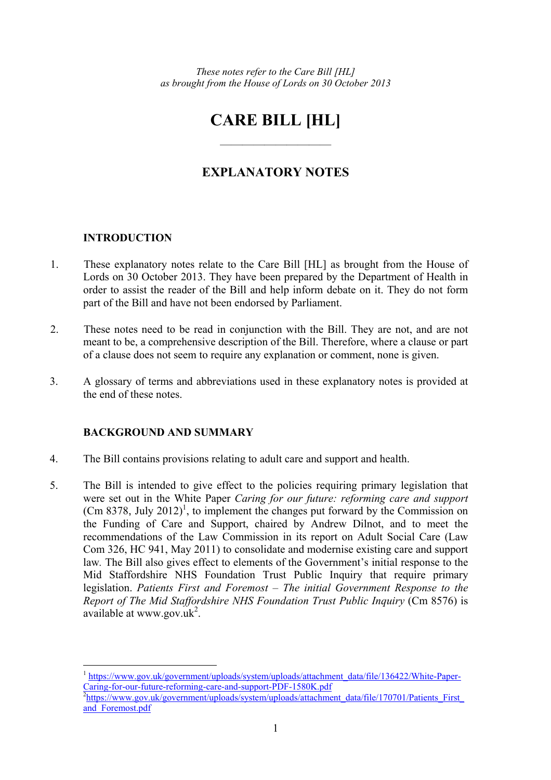# **CARE BILL [HL]**

——————————

# **EXPLANATORY NOTES**

# **INTRODUCTION**

 $\overline{a}$ 

- 1. These explanatory notes relate to the Care Bill [HL] as brought from the House of Lords on 30 October 2013. They have been prepared by the Department of Health in order to assist the reader of the Bill and help inform debate on it. They do not form part of the Bill and have not been endorsed by Parliament.
- 2. These notes need to be read in conjunction with the Bill. They are not, and are not meant to be, a comprehensive description of the Bill. Therefore, where a clause or part of a clause does not seem to require any explanation or comment, none is given.
- 3. A glossary of terms and abbreviations used in these explanatory notes is provided at the end of these notes.

# **BACKGROUND AND SUMMARY**

- 4. The Bill contains provisions relating to adult care and support and health.
- 5. The Bill is intended to give effect to the policies requiring primary legislation that were set out in the White Paper *Caring for our future: reforming care and support*   $(Cm 8378, \text{ July } 2012)^1$ , to implement the changes put forward by the Commission on the Funding of Care and Support, chaired by Andrew Dilnot, and to meet the recommendations of the Law Commission in its report on Adult Social Care (Law Com 326, HC 941, May 2011) to consolidate and modernise existing care and support law*.* The Bill also gives effect to elements of the Government's initial response to the Mid Staffordshire NHS Foundation Trust Public Inquiry that require primary legislation. *Patients First and Foremost – The initial Government Response to the Report of The Mid Staffordshire NHS Foundation Trust Public Inquiry* (Cm 8576) is  $\alpha$ vailable at www.gov.uk<sup>2</sup>.

<sup>&</sup>lt;sup>1</sup> https://www.gov.uk/government/uploads/system/uploads/attachment\_data/file/136422/White-Paper-Caring-for-our-future-reforming-care-and-support-PDF-1580K.pdf

<sup>&</sup>lt;sup>2</sup>https://www.gov.uk/government/uploads/system/uploads/attachment\_data/file/170701/Patients\_First\_ and Foremost.pdf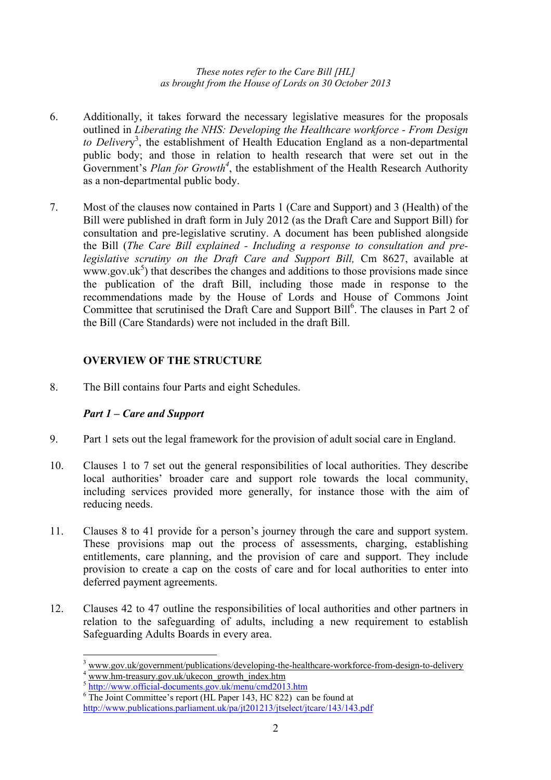- 6. Additionally, it takes forward the necessary legislative measures for the proposals outlined in *Liberating the NHS: Developing the Healthcare workforce - From Design to Deliver*y 3 , the establishment of Health Education England as a non-departmental public body; and those in relation to health research that were set out in the Government's *Plan for Growth<sup>4</sup>* , the establishment of the Health Research Authority as a non-departmental public body.
- 7. Most of the clauses now contained in Parts 1 (Care and Support) and 3 (Health) of the Bill were published in draft form in July 2012 (as the Draft Care and Support Bill) for consultation and pre-legislative scrutiny. A document has been published alongside the Bill (*The Care Bill explained - Including a response to consultation and prelegislative scrutiny on the Draft Care and Support Bill,* Cm 8627, available at  $www.gov.uk<sup>5</sup>)$  that describes the changes and additions to those provisions made since the publication of the draft Bill, including those made in response to the recommendations made by the House of Lords and House of Commons Joint Committee that scrutinised the Draft Care and Support Bill<sup>6</sup>. The clauses in Part 2 of the Bill (Care Standards) were not included in the draft Bill.

# **OVERVIEW OF THE STRUCTURE**

8. The Bill contains four Parts and eight Schedules.

# *Part 1 – Care and Support*

- 9. Part 1 sets out the legal framework for the provision of adult social care in England.
- 10. Clauses 1 to 7 set out the general responsibilities of local authorities. They describe local authorities' broader care and support role towards the local community, including services provided more generally, for instance those with the aim of reducing needs.
- 11. Clauses 8 to 41 provide for a person's journey through the care and support system. These provisions map out the process of assessments, charging, establishing entitlements, care planning, and the provision of care and support. They include provision to create a cap on the costs of care and for local authorities to enter into deferred payment agreements.
- 12. Clauses 42 to 47 outline the responsibilities of local authorities and other partners in relation to the safeguarding of adults, including a new requirement to establish Safeguarding Adults Boards in every area.

<sup>&</sup>lt;sup>3</sup> www.gov.uk/government/publications/developing-the-healthcare-workforce-from-design-to-delivery<br><sup>4</sup> www.hm-treasury.gov.uk/ukecon\_growth\_index.htm

 $^5$  http://www.official-documents.gov.uk/menu/cmd2013.htm  $^6$  The Joint Committee's report (HJ, Pener 143, HC 822), een  $\overline{\text{The Joint Committee's report (HL Paper 143, HC 822)}$  can be found at

http://www.publications.parliament.uk/pa/jt201213/jtselect/jtcare/143/143.pdf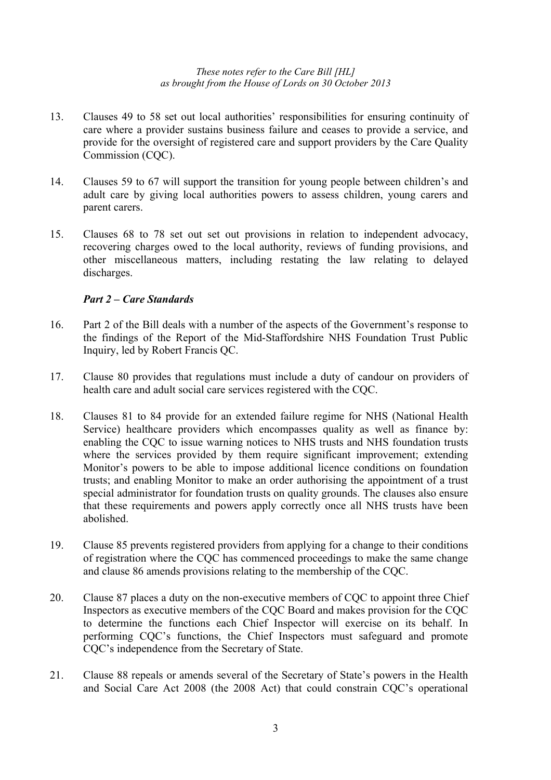- 13. Clauses 49 to 58 set out local authorities' responsibilities for ensuring continuity of care where a provider sustains business failure and ceases to provide a service, and provide for the oversight of registered care and support providers by the Care Quality Commission (CQC).
- 14. Clauses 59 to 67 will support the transition for young people between children's and adult care by giving local authorities powers to assess children, young carers and parent carers.
- 15. Clauses 68 to 78 set out set out provisions in relation to independent advocacy, recovering charges owed to the local authority, reviews of funding provisions, and other miscellaneous matters, including restating the law relating to delayed discharges.

# *Part 2 – Care Standards*

- 16. Part 2 of the Bill deals with a number of the aspects of the Government's response to the findings of the Report of the Mid-Staffordshire NHS Foundation Trust Public Inquiry, led by Robert Francis QC.
- 17. Clause 80 provides that regulations must include a duty of candour on providers of health care and adult social care services registered with the CQC.
- 18. Clauses 81 to 84 provide for an extended failure regime for NHS (National Health Service) healthcare providers which encompasses quality as well as finance by: enabling the CQC to issue warning notices to NHS trusts and NHS foundation trusts where the services provided by them require significant improvement; extending Monitor's powers to be able to impose additional licence conditions on foundation trusts; and enabling Monitor to make an order authorising the appointment of a trust special administrator for foundation trusts on quality grounds. The clauses also ensure that these requirements and powers apply correctly once all NHS trusts have been abolished.
- 19. Clause 85 prevents registered providers from applying for a change to their conditions of registration where the CQC has commenced proceedings to make the same change and clause 86 amends provisions relating to the membership of the CQC.
- 20. Clause 87 places a duty on the non-executive members of CQC to appoint three Chief Inspectors as executive members of the CQC Board and makes provision for the CQC to determine the functions each Chief Inspector will exercise on its behalf. In performing CQC's functions, the Chief Inspectors must safeguard and promote CQC's independence from the Secretary of State.
- 21. Clause 88 repeals or amends several of the Secretary of State's powers in the Health and Social Care Act 2008 (the 2008 Act) that could constrain CQC's operational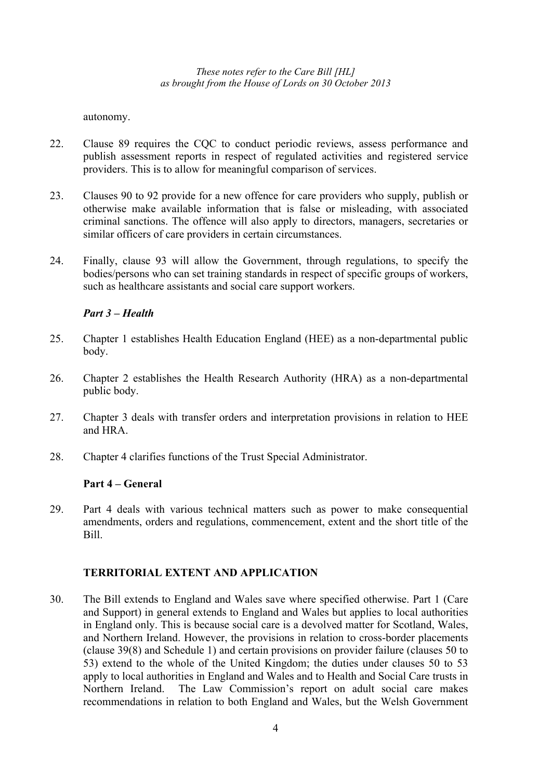autonomy.

- 22. Clause 89 requires the CQC to conduct periodic reviews, assess performance and publish assessment reports in respect of regulated activities and registered service providers. This is to allow for meaningful comparison of services.
- 23. Clauses 90 to 92 provide for a new offence for care providers who supply, publish or otherwise make available information that is false or misleading, with associated criminal sanctions. The offence will also apply to directors, managers, secretaries or similar officers of care providers in certain circumstances.
- 24. Finally, clause 93 will allow the Government, through regulations, to specify the bodies/persons who can set training standards in respect of specific groups of workers, such as healthcare assistants and social care support workers.

# *Part 3 – Health*

- 25. Chapter 1 establishes Health Education England (HEE) as a non-departmental public body.
- 26. Chapter 2 establishes the Health Research Authority (HRA) as a non-departmental public body.
- 27. Chapter 3 deals with transfer orders and interpretation provisions in relation to HEE and HRA.
- 28. Chapter 4 clarifies functions of the Trust Special Administrator.

# **Part 4 – General**

29. Part 4 deals with various technical matters such as power to make consequential amendments, orders and regulations, commencement, extent and the short title of the Bill.

# **TERRITORIAL EXTENT AND APPLICATION**

30. The Bill extends to England and Wales save where specified otherwise. Part 1 (Care and Support) in general extends to England and Wales but applies to local authorities in England only. This is because social care is a devolved matter for Scotland, Wales, and Northern Ireland. However, the provisions in relation to cross-border placements (clause 39(8) and Schedule 1) and certain provisions on provider failure (clauses 50 to 53) extend to the whole of the United Kingdom; the duties under clauses 50 to 53 apply to local authorities in England and Wales and to Health and Social Care trusts in Northern Ireland. The Law Commission's report on adult social care makes recommendations in relation to both England and Wales, but the Welsh Government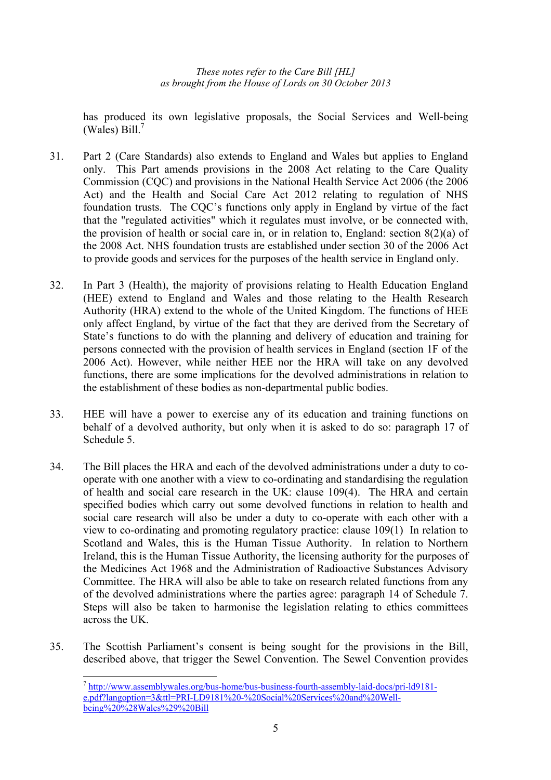has produced its own legislative proposals, the Social Services and Well-being (Wales) Bill. $<sup>7</sup>$ </sup>

- 31. Part 2 (Care Standards) also extends to England and Wales but applies to England only. This Part amends provisions in the 2008 Act relating to the Care Quality Commission (CQC) and provisions in the National Health Service Act 2006 (the 2006 Act) and the Health and Social Care Act 2012 relating to regulation of NHS foundation trusts. The CQC's functions only apply in England by virtue of the fact that the "regulated activities" which it regulates must involve, or be connected with, the provision of health or social care in, or in relation to, England: section  $8(2)(a)$  of the 2008 Act. NHS foundation trusts are established under section 30 of the 2006 Act to provide goods and services for the purposes of the health service in England only.
- 32. In Part 3 (Health), the majority of provisions relating to Health Education England (HEE) extend to England and Wales and those relating to the Health Research Authority (HRA) extend to the whole of the United Kingdom. The functions of HEE only affect England, by virtue of the fact that they are derived from the Secretary of State's functions to do with the planning and delivery of education and training for persons connected with the provision of health services in England (section 1F of the 2006 Act). However, while neither HEE nor the HRA will take on any devolved functions, there are some implications for the devolved administrations in relation to the establishment of these bodies as non-departmental public bodies.
- 33. HEE will have a power to exercise any of its education and training functions on behalf of a devolved authority, but only when it is asked to do so: paragraph 17 of Schedule 5.
- 34. The Bill places the HRA and each of the devolved administrations under a duty to cooperate with one another with a view to co-ordinating and standardising the regulation of health and social care research in the UK: clause 109(4). The HRA and certain specified bodies which carry out some devolved functions in relation to health and social care research will also be under a duty to co-operate with each other with a view to co-ordinating and promoting regulatory practice: clause 109(1) In relation to Scotland and Wales, this is the Human Tissue Authority. In relation to Northern Ireland, this is the Human Tissue Authority, the licensing authority for the purposes of the Medicines Act 1968 and the Administration of Radioactive Substances Advisory Committee. The HRA will also be able to take on research related functions from any of the devolved administrations where the parties agree: paragraph 14 of Schedule 7. Steps will also be taken to harmonise the legislation relating to ethics committees across the UK.
- 35. The Scottish Parliament's consent is being sought for the provisions in the Bill, described above, that trigger the Sewel Convention. The Sewel Convention provides

 $\overline{a}$ 

<sup>7</sup> http://www.assemblywales.org/bus-home/bus-business-fourth-assembly-laid-docs/pri-ld9181 e.pdf?langoption=3&ttl=PRI-LD9181%20-%20Social%20Services%20and%20Wellbeing%20%28Wales%29%20Bill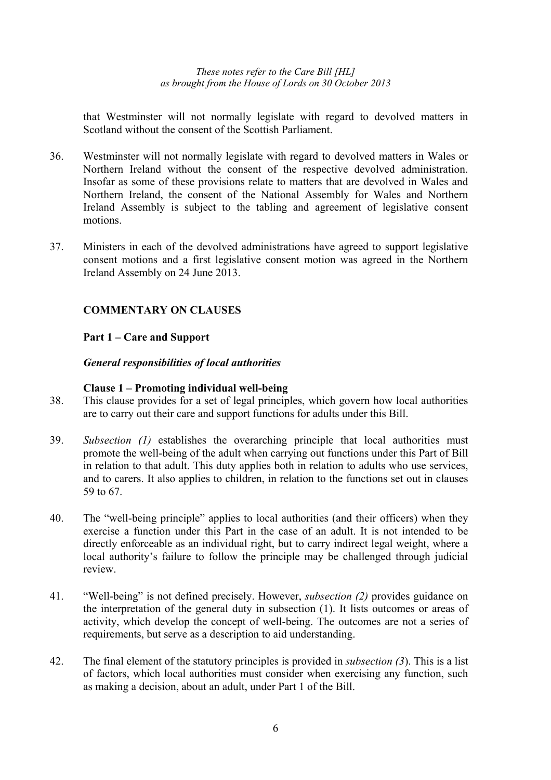that Westminster will not normally legislate with regard to devolved matters in Scotland without the consent of the Scottish Parliament

- 36. Westminster will not normally legislate with regard to devolved matters in Wales or Northern Ireland without the consent of the respective devolved administration. Insofar as some of these provisions relate to matters that are devolved in Wales and Northern Ireland, the consent of the National Assembly for Wales and Northern Ireland Assembly is subject to the tabling and agreement of legislative consent motions.
- 37. Ministers in each of the devolved administrations have agreed to support legislative consent motions and a first legislative consent motion was agreed in the Northern Ireland Assembly on 24 June 2013.

# **COMMENTARY ON CLAUSES**

# **Part 1 – Care and Support**

# *General responsibilities of local authorities*

# **Clause 1 – Promoting individual well-being**

- 38. This clause provides for a set of legal principles, which govern how local authorities are to carry out their care and support functions for adults under this Bill.
- 39. *Subsection (1)* establishes the overarching principle that local authorities must promote the well-being of the adult when carrying out functions under this Part of Bill in relation to that adult. This duty applies both in relation to adults who use services, and to carers. It also applies to children, in relation to the functions set out in clauses 59 to 67.
- 40. The "well-being principle" applies to local authorities (and their officers) when they exercise a function under this Part in the case of an adult. It is not intended to be directly enforceable as an individual right, but to carry indirect legal weight, where a local authority's failure to follow the principle may be challenged through judicial review.
- 41. "Well-being" is not defined precisely. However, *subsection (2)* provides guidance on the interpretation of the general duty in subsection (1). It lists outcomes or areas of activity, which develop the concept of well-being. The outcomes are not a series of requirements, but serve as a description to aid understanding.
- 42. The final element of the statutory principles is provided in *subsection (3*). This is a list of factors, which local authorities must consider when exercising any function, such as making a decision, about an adult, under Part 1 of the Bill.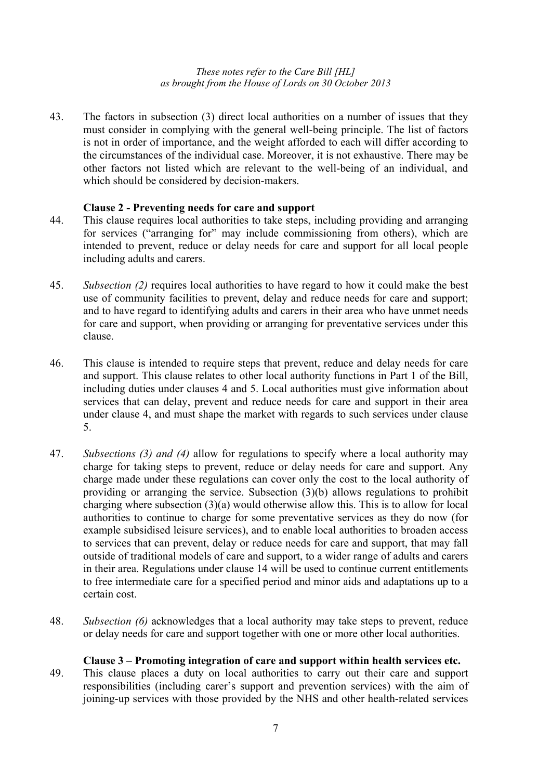43. The factors in subsection (3) direct local authorities on a number of issues that they must consider in complying with the general well-being principle. The list of factors is not in order of importance, and the weight afforded to each will differ according to the circumstances of the individual case. Moreover, it is not exhaustive. There may be other factors not listed which are relevant to the well-being of an individual, and which should be considered by decision-makers.

# **Clause 2 - Preventing needs for care and support**

- 44. This clause requires local authorities to take steps, including providing and arranging for services ("arranging for" may include commissioning from others), which are intended to prevent, reduce or delay needs for care and support for all local people including adults and carers.
- 45. *Subsection (2)* requires local authorities to have regard to how it could make the best use of community facilities to prevent, delay and reduce needs for care and support; and to have regard to identifying adults and carers in their area who have unmet needs for care and support, when providing or arranging for preventative services under this clause.
- 46. This clause is intended to require steps that prevent, reduce and delay needs for care and support. This clause relates to other local authority functions in Part 1 of the Bill, including duties under clauses 4 and 5. Local authorities must give information about services that can delay, prevent and reduce needs for care and support in their area under clause 4, and must shape the market with regards to such services under clause 5.
- 47. *Subsections (3) and (4)* allow for regulations to specify where a local authority may charge for taking steps to prevent, reduce or delay needs for care and support. Any charge made under these regulations can cover only the cost to the local authority of providing or arranging the service. Subsection (3)(b) allows regulations to prohibit charging where subsection (3)(a) would otherwise allow this. This is to allow for local authorities to continue to charge for some preventative services as they do now (for example subsidised leisure services), and to enable local authorities to broaden access to services that can prevent, delay or reduce needs for care and support, that may fall outside of traditional models of care and support, to a wider range of adults and carers in their area. Regulations under clause 14 will be used to continue current entitlements to free intermediate care for a specified period and minor aids and adaptations up to a certain cost.
- 48. *Subsection (6)* acknowledges that a local authority may take steps to prevent, reduce or delay needs for care and support together with one or more other local authorities.

# **Clause 3 – Promoting integration of care and support within health services etc.**

49. This clause places a duty on local authorities to carry out their care and support responsibilities (including carer's support and prevention services) with the aim of joining-up services with those provided by the NHS and other health-related services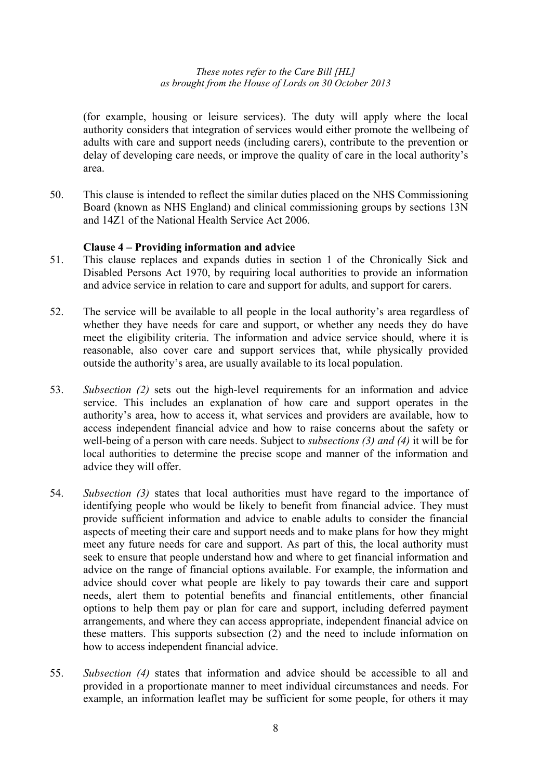(for example, housing or leisure services). The duty will apply where the local authority considers that integration of services would either promote the wellbeing of adults with care and support needs (including carers), contribute to the prevention or delay of developing care needs, or improve the quality of care in the local authority's area.

50. This clause is intended to reflect the similar duties placed on the NHS Commissioning Board (known as NHS England) and clinical commissioning groups by sections 13N and 14Z1 of the National Health Service Act 2006.

# **Clause 4 – Providing information and advice**

- 51. This clause replaces and expands duties in section 1 of the Chronically Sick and Disabled Persons Act 1970, by requiring local authorities to provide an information and advice service in relation to care and support for adults, and support for carers.
- 52. The service will be available to all people in the local authority's area regardless of whether they have needs for care and support, or whether any needs they do have meet the eligibility criteria. The information and advice service should, where it is reasonable, also cover care and support services that, while physically provided outside the authority's area, are usually available to its local population.
- 53. *Subsection (2)* sets out the high-level requirements for an information and advice service. This includes an explanation of how care and support operates in the authority's area, how to access it, what services and providers are available, how to access independent financial advice and how to raise concerns about the safety or well-being of a person with care needs. Subject to *subsections (3) and (4)* it will be for local authorities to determine the precise scope and manner of the information and advice they will offer.
- 54. *Subsection (3)* states that local authorities must have regard to the importance of identifying people who would be likely to benefit from financial advice. They must provide sufficient information and advice to enable adults to consider the financial aspects of meeting their care and support needs and to make plans for how they might meet any future needs for care and support. As part of this, the local authority must seek to ensure that people understand how and where to get financial information and advice on the range of financial options available. For example, the information and advice should cover what people are likely to pay towards their care and support needs, alert them to potential benefits and financial entitlements, other financial options to help them pay or plan for care and support, including deferred payment arrangements, and where they can access appropriate, independent financial advice on these matters. This supports subsection (2) and the need to include information on how to access independent financial advice.
- 55. *Subsection (4)* states that information and advice should be accessible to all and provided in a proportionate manner to meet individual circumstances and needs. For example, an information leaflet may be sufficient for some people, for others it may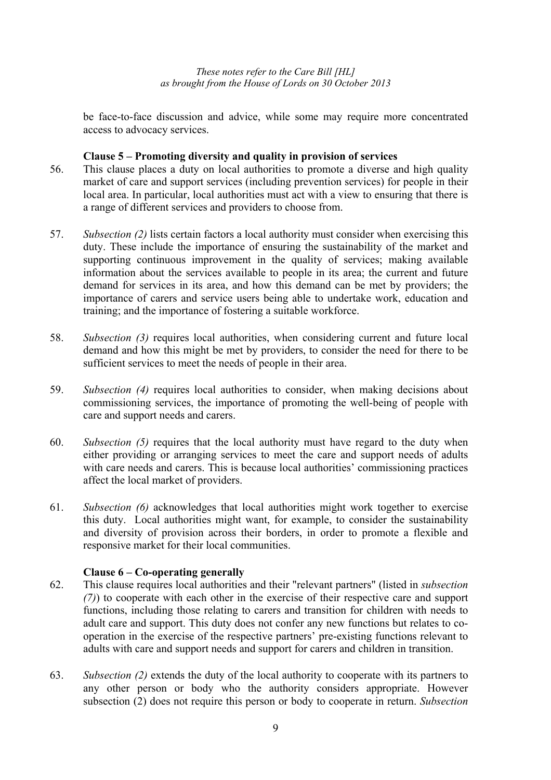be face-to-face discussion and advice, while some may require more concentrated access to advocacy services.

#### **Clause 5 – Promoting diversity and quality in provision of services**

- 56. This clause places a duty on local authorities to promote a diverse and high quality market of care and support services (including prevention services) for people in their local area. In particular, local authorities must act with a view to ensuring that there is a range of different services and providers to choose from.
- 57. *Subsection (2)* lists certain factors a local authority must consider when exercising this duty. These include the importance of ensuring the sustainability of the market and supporting continuous improvement in the quality of services; making available information about the services available to people in its area; the current and future demand for services in its area, and how this demand can be met by providers; the importance of carers and service users being able to undertake work, education and training; and the importance of fostering a suitable workforce.
- 58. *Subsection (3)* requires local authorities, when considering current and future local demand and how this might be met by providers, to consider the need for there to be sufficient services to meet the needs of people in their area.
- 59. *Subsection (4)* requires local authorities to consider, when making decisions about commissioning services, the importance of promoting the well-being of people with care and support needs and carers.
- 60. *Subsection (5)* requires that the local authority must have regard to the duty when either providing or arranging services to meet the care and support needs of adults with care needs and carers. This is because local authorities' commissioning practices affect the local market of providers.
- 61. *Subsection (6)* acknowledges that local authorities might work together to exercise this duty. Local authorities might want, for example, to consider the sustainability and diversity of provision across their borders, in order to promote a flexible and responsive market for their local communities.

# **Clause 6 – Co-operating generally**

- 62. This clause requires local authorities and their "relevant partners" (listed in *subsection (7)*) to cooperate with each other in the exercise of their respective care and support functions, including those relating to carers and transition for children with needs to adult care and support. This duty does not confer any new functions but relates to cooperation in the exercise of the respective partners' pre-existing functions relevant to adults with care and support needs and support for carers and children in transition.
- 63. *Subsection (2)* extends the duty of the local authority to cooperate with its partners to any other person or body who the authority considers appropriate. However subsection (2) does not require this person or body to cooperate in return. *Subsection*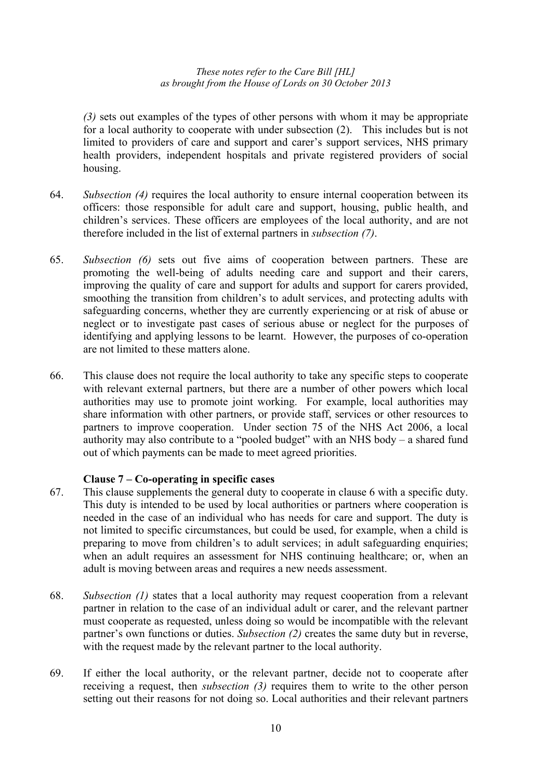*(3)* sets out examples of the types of other persons with whom it may be appropriate for a local authority to cooperate with under subsection (2). This includes but is not limited to providers of care and support and carer's support services, NHS primary health providers, independent hospitals and private registered providers of social housing.

- 64. *Subsection (4)* requires the local authority to ensure internal cooperation between its officers: those responsible for adult care and support, housing, public health, and children's services. These officers are employees of the local authority, and are not therefore included in the list of external partners in *subsection (7)*.
- 65. *Subsection (6)* sets out five aims of cooperation between partners. These are promoting the well-being of adults needing care and support and their carers, improving the quality of care and support for adults and support for carers provided, smoothing the transition from children's to adult services, and protecting adults with safeguarding concerns, whether they are currently experiencing or at risk of abuse or neglect or to investigate past cases of serious abuse or neglect for the purposes of identifying and applying lessons to be learnt. However, the purposes of co-operation are not limited to these matters alone.
- 66. This clause does not require the local authority to take any specific steps to cooperate with relevant external partners, but there are a number of other powers which local authorities may use to promote joint working. For example, local authorities may share information with other partners, or provide staff, services or other resources to partners to improve cooperation. Under section 75 of the NHS Act 2006, a local authority may also contribute to a "pooled budget" with an NHS body – a shared fund out of which payments can be made to meet agreed priorities.

# **Clause 7 – Co-operating in specific cases**

- 67. This clause supplements the general duty to cooperate in clause 6 with a specific duty. This duty is intended to be used by local authorities or partners where cooperation is needed in the case of an individual who has needs for care and support. The duty is not limited to specific circumstances, but could be used, for example, when a child is preparing to move from children's to adult services; in adult safeguarding enquiries; when an adult requires an assessment for NHS continuing healthcare; or, when an adult is moving between areas and requires a new needs assessment.
- 68. *Subsection (1)* states that a local authority may request cooperation from a relevant partner in relation to the case of an individual adult or carer, and the relevant partner must cooperate as requested, unless doing so would be incompatible with the relevant partner's own functions or duties. *Subsection (2)* creates the same duty but in reverse, with the request made by the relevant partner to the local authority.
- 69. If either the local authority, or the relevant partner, decide not to cooperate after receiving a request, then *subsection (3)* requires them to write to the other person setting out their reasons for not doing so. Local authorities and their relevant partners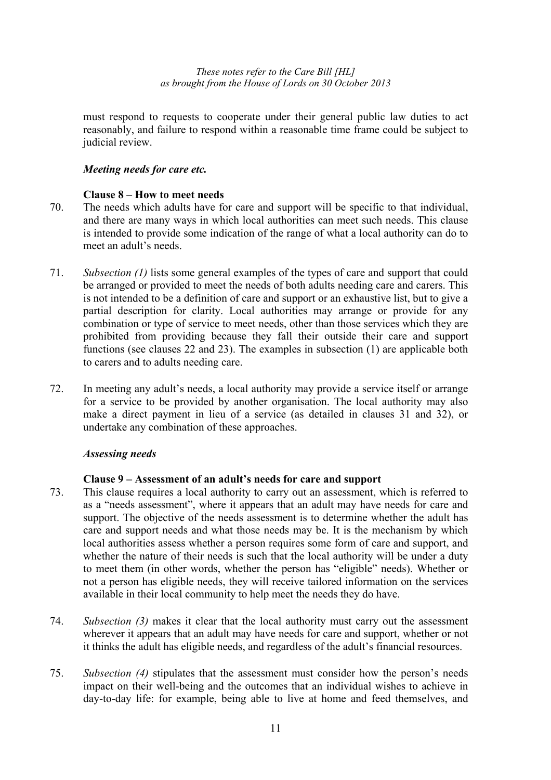must respond to requests to cooperate under their general public law duties to act reasonably, and failure to respond within a reasonable time frame could be subject to judicial review.

# *Meeting needs for care etc.*

#### **Clause 8 – How to meet needs**

- 70. The needs which adults have for care and support will be specific to that individual, and there are many ways in which local authorities can meet such needs. This clause is intended to provide some indication of the range of what a local authority can do to meet an adult's needs.
- 71. *Subsection (1)* lists some general examples of the types of care and support that could be arranged or provided to meet the needs of both adults needing care and carers. This is not intended to be a definition of care and support or an exhaustive list, but to give a partial description for clarity. Local authorities may arrange or provide for any combination or type of service to meet needs, other than those services which they are prohibited from providing because they fall their outside their care and support functions (see clauses 22 and 23). The examples in subsection (1) are applicable both to carers and to adults needing care.
- 72. In meeting any adult's needs, a local authority may provide a service itself or arrange for a service to be provided by another organisation. The local authority may also make a direct payment in lieu of a service (as detailed in clauses 31 and 32), or undertake any combination of these approaches.

# *Assessing needs*

# **Clause 9 – Assessment of an adult's needs for care and support**

- 73. This clause requires a local authority to carry out an assessment, which is referred to as a "needs assessment", where it appears that an adult may have needs for care and support. The objective of the needs assessment is to determine whether the adult has care and support needs and what those needs may be. It is the mechanism by which local authorities assess whether a person requires some form of care and support, and whether the nature of their needs is such that the local authority will be under a duty to meet them (in other words, whether the person has "eligible" needs). Whether or not a person has eligible needs, they will receive tailored information on the services available in their local community to help meet the needs they do have.
- 74. *Subsection (3)* makes it clear that the local authority must carry out the assessment wherever it appears that an adult may have needs for care and support, whether or not it thinks the adult has eligible needs, and regardless of the adult's financial resources.
- 75. *Subsection (4)* stipulates that the assessment must consider how the person's needs impact on their well-being and the outcomes that an individual wishes to achieve in day-to-day life: for example, being able to live at home and feed themselves, and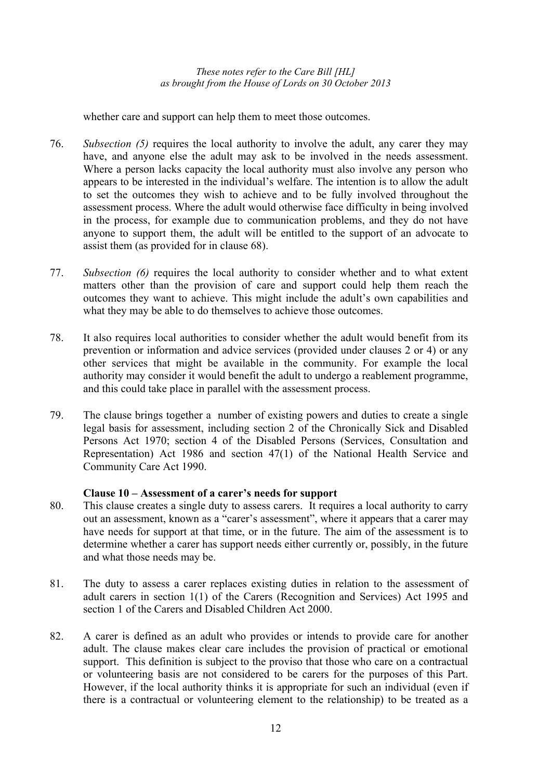whether care and support can help them to meet those outcomes.

- 76. *Subsection (5)* requires the local authority to involve the adult, any carer they may have, and anyone else the adult may ask to be involved in the needs assessment. Where a person lacks capacity the local authority must also involve any person who appears to be interested in the individual's welfare. The intention is to allow the adult to set the outcomes they wish to achieve and to be fully involved throughout the assessment process. Where the adult would otherwise face difficulty in being involved in the process, for example due to communication problems, and they do not have anyone to support them, the adult will be entitled to the support of an advocate to assist them (as provided for in clause 68).
- 77. *Subsection (6)* requires the local authority to consider whether and to what extent matters other than the provision of care and support could help them reach the outcomes they want to achieve. This might include the adult's own capabilities and what they may be able to do themselves to achieve those outcomes.
- 78. It also requires local authorities to consider whether the adult would benefit from its prevention or information and advice services (provided under clauses 2 or 4) or any other services that might be available in the community. For example the local authority may consider it would benefit the adult to undergo a reablement programme, and this could take place in parallel with the assessment process.
- 79. The clause brings together a number of existing powers and duties to create a single legal basis for assessment, including section 2 of the Chronically Sick and Disabled Persons Act 1970; section 4 of the Disabled Persons (Services, Consultation and Representation) Act 1986 and section 47(1) of the National Health Service and Community Care Act 1990.

# **Clause 10 – Assessment of a carer's needs for support**

- 80. This clause creates a single duty to assess carers. It requires a local authority to carry out an assessment, known as a "carer's assessment", where it appears that a carer may have needs for support at that time, or in the future. The aim of the assessment is to determine whether a carer has support needs either currently or, possibly, in the future and what those needs may be.
- 81. The duty to assess a carer replaces existing duties in relation to the assessment of adult carers in section 1(1) of the Carers (Recognition and Services) Act 1995 and section 1 of the Carers and Disabled Children Act 2000.
- 82. A carer is defined as an adult who provides or intends to provide care for another adult. The clause makes clear care includes the provision of practical or emotional support. This definition is subject to the proviso that those who care on a contractual or volunteering basis are not considered to be carers for the purposes of this Part. However, if the local authority thinks it is appropriate for such an individual (even if there is a contractual or volunteering element to the relationship) to be treated as a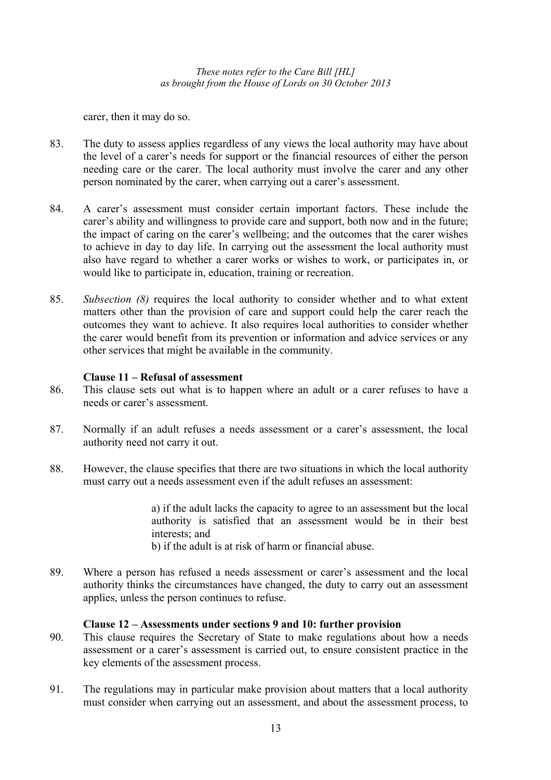carer, then it may do so.

- 83. The duty to assess applies regardless of any views the local authority may have about the level of a carer's needs for support or the financial resources of either the person needing care or the carer. The local authority must involve the carer and any other person nominated by the carer, when carrying out a carer's assessment.
- 84. A carer's assessment must consider certain important factors. These include the carer's ability and willingness to provide care and support, both now and in the future; the impact of caring on the carer's wellbeing; and the outcomes that the carer wishes to achieve in day to day life. In carrying out the assessment the local authority must also have regard to whether a carer works or wishes to work, or participates in, or would like to participate in, education, training or recreation.
- 85. *Subsection (8)* requires the local authority to consider whether and to what extent matters other than the provision of care and support could help the carer reach the outcomes they want to achieve. It also requires local authorities to consider whether the carer would benefit from its prevention or information and advice services or any other services that might be available in the community.

# **Clause 11 – Refusal of assessment**

- 86. This clause sets out what is to happen where an adult or a carer refuses to have a needs or carer's assessment.
- 87. Normally if an adult refuses a needs assessment or a carer's assessment, the local authority need not carry it out.
- 88. However, the clause specifies that there are two situations in which the local authority must carry out a needs assessment even if the adult refuses an assessment:

a) if the adult lacks the capacity to agree to an assessment but the local authority is satisfied that an assessment would be in their best interests; and

b) if the adult is at risk of harm or financial abuse.

89. Where a person has refused a needs assessment or carer's assessment and the local authority thinks the circumstances have changed, the duty to carry out an assessment applies, unless the person continues to refuse.

# **Clause 12 – Assessments under sections 9 and 10: further provision**

- 90. This clause requires the Secretary of State to make regulations about how a needs assessment or a carer's assessment is carried out, to ensure consistent practice in the key elements of the assessment process.
- 91. The regulations may in particular make provision about matters that a local authority must consider when carrying out an assessment, and about the assessment process, to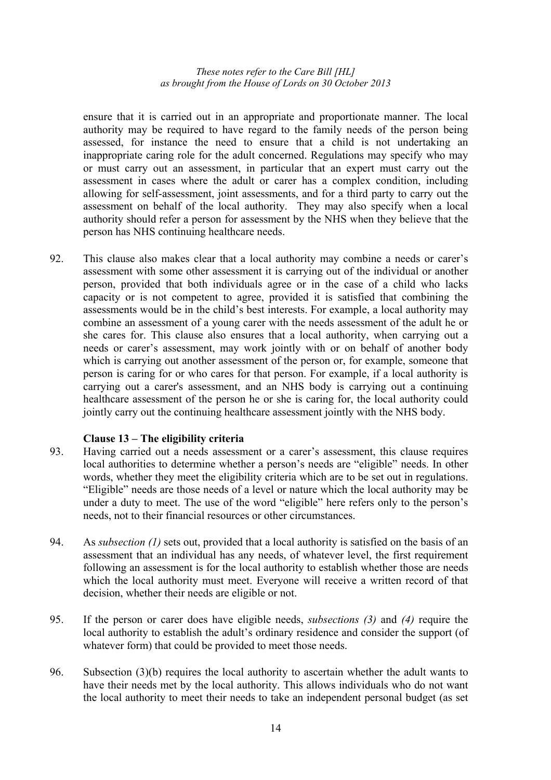ensure that it is carried out in an appropriate and proportionate manner. The local authority may be required to have regard to the family needs of the person being assessed, for instance the need to ensure that a child is not undertaking an inappropriate caring role for the adult concerned. Regulations may specify who may or must carry out an assessment, in particular that an expert must carry out the assessment in cases where the adult or carer has a complex condition, including allowing for self-assessment, joint assessments, and for a third party to carry out the assessment on behalf of the local authority. They may also specify when a local authority should refer a person for assessment by the NHS when they believe that the person has NHS continuing healthcare needs.

92. This clause also makes clear that a local authority may combine a needs or carer's assessment with some other assessment it is carrying out of the individual or another person, provided that both individuals agree or in the case of a child who lacks capacity or is not competent to agree, provided it is satisfied that combining the assessments would be in the child's best interests. For example, a local authority may combine an assessment of a young carer with the needs assessment of the adult he or she cares for. This clause also ensures that a local authority, when carrying out a needs or carer's assessment, may work jointly with or on behalf of another body which is carrying out another assessment of the person or, for example, someone that person is caring for or who cares for that person. For example, if a local authority is carrying out a carer's assessment, and an NHS body is carrying out a continuing healthcare assessment of the person he or she is caring for, the local authority could jointly carry out the continuing healthcare assessment jointly with the NHS body.

# **Clause 13 – The eligibility criteria**

- 93. Having carried out a needs assessment or a carer's assessment, this clause requires local authorities to determine whether a person's needs are "eligible" needs. In other words, whether they meet the eligibility criteria which are to be set out in regulations. "Eligible" needs are those needs of a level or nature which the local authority may be under a duty to meet. The use of the word "eligible" here refers only to the person's needs, not to their financial resources or other circumstances.
- 94. As *subsection (1)* sets out, provided that a local authority is satisfied on the basis of an assessment that an individual has any needs, of whatever level, the first requirement following an assessment is for the local authority to establish whether those are needs which the local authority must meet. Everyone will receive a written record of that decision, whether their needs are eligible or not.
- 95. If the person or carer does have eligible needs, *subsections (3)* and *(4)* require the local authority to establish the adult's ordinary residence and consider the support (of whatever form) that could be provided to meet those needs.
- 96. Subsection (3)(b) requires the local authority to ascertain whether the adult wants to have their needs met by the local authority. This allows individuals who do not want the local authority to meet their needs to take an independent personal budget (as set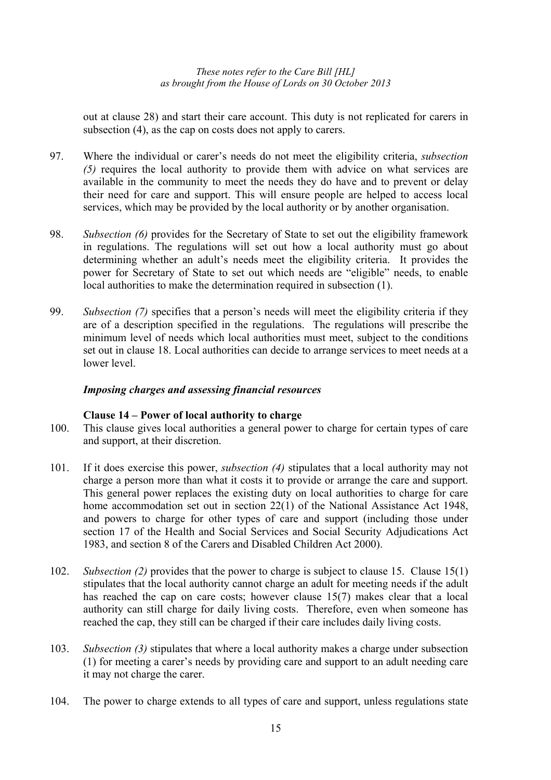out at clause 28) and start their care account. This duty is not replicated for carers in subsection (4), as the cap on costs does not apply to carers.

- 97. Where the individual or carer's needs do not meet the eligibility criteria, *subsection (5)* requires the local authority to provide them with advice on what services are available in the community to meet the needs they do have and to prevent or delay their need for care and support. This will ensure people are helped to access local services, which may be provided by the local authority or by another organisation.
- 98. *Subsection (6)* provides for the Secretary of State to set out the eligibility framework in regulations. The regulations will set out how a local authority must go about determining whether an adult's needs meet the eligibility criteria. It provides the power for Secretary of State to set out which needs are "eligible" needs, to enable local authorities to make the determination required in subsection (1).
- 99. *Subsection (7)* specifies that a person's needs will meet the eligibility criteria if they are of a description specified in the regulations. The regulations will prescribe the minimum level of needs which local authorities must meet, subject to the conditions set out in clause 18. Local authorities can decide to arrange services to meet needs at a lower level.

# *Imposing charges and assessing financial resources*

# **Clause 14 – Power of local authority to charge**

- 100. This clause gives local authorities a general power to charge for certain types of care and support, at their discretion.
- 101. If it does exercise this power, *subsection (4)* stipulates that a local authority may not charge a person more than what it costs it to provide or arrange the care and support. This general power replaces the existing duty on local authorities to charge for care home accommodation set out in section 22(1) of the National Assistance Act 1948, and powers to charge for other types of care and support (including those under section 17 of the Health and Social Services and Social Security Adjudications Act 1983, and section 8 of the Carers and Disabled Children Act 2000).
- 102. *Subsection (2)* provides that the power to charge is subject to clause 15. Clause 15(1) stipulates that the local authority cannot charge an adult for meeting needs if the adult has reached the cap on care costs; however clause 15(7) makes clear that a local authority can still charge for daily living costs. Therefore, even when someone has reached the cap, they still can be charged if their care includes daily living costs.
- 103. *Subsection (3)* stipulates that where a local authority makes a charge under subsection (1) for meeting a carer's needs by providing care and support to an adult needing care it may not charge the carer.
- 104. The power to charge extends to all types of care and support, unless regulations state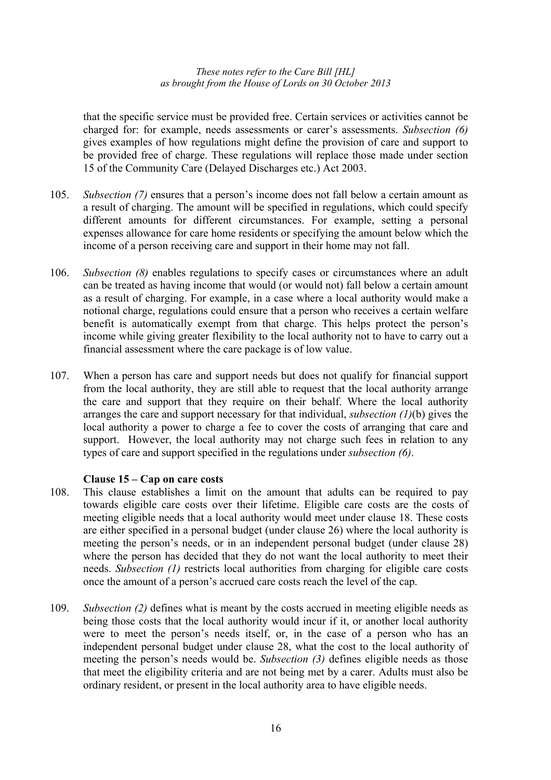that the specific service must be provided free. Certain services or activities cannot be charged for: for example, needs assessments or carer's assessments. *Subsection (6)* gives examples of how regulations might define the provision of care and support to be provided free of charge. These regulations will replace those made under section 15 of the Community Care (Delayed Discharges etc.) Act 2003.

- 105. *Subsection (7)* ensures that a person's income does not fall below a certain amount as a result of charging. The amount will be specified in regulations, which could specify different amounts for different circumstances. For example, setting a personal expenses allowance for care home residents or specifying the amount below which the income of a person receiving care and support in their home may not fall.
- 106. *Subsection (8)* enables regulations to specify cases or circumstances where an adult can be treated as having income that would (or would not) fall below a certain amount as a result of charging. For example, in a case where a local authority would make a notional charge, regulations could ensure that a person who receives a certain welfare benefit is automatically exempt from that charge. This helps protect the person's income while giving greater flexibility to the local authority not to have to carry out a financial assessment where the care package is of low value.
- 107. When a person has care and support needs but does not qualify for financial support from the local authority, they are still able to request that the local authority arrange the care and support that they require on their behalf. Where the local authority arranges the care and support necessary for that individual, *subsection (1)*(b) gives the local authority a power to charge a fee to cover the costs of arranging that care and support. However, the local authority may not charge such fees in relation to any types of care and support specified in the regulations under *subsection (6)*.

# **Clause 15 – Cap on care costs**

- 108. This clause establishes a limit on the amount that adults can be required to pay towards eligible care costs over their lifetime. Eligible care costs are the costs of meeting eligible needs that a local authority would meet under clause 18. These costs are either specified in a personal budget (under clause 26) where the local authority is meeting the person's needs, or in an independent personal budget (under clause 28) where the person has decided that they do not want the local authority to meet their needs. *Subsection (1)* restricts local authorities from charging for eligible care costs once the amount of a person's accrued care costs reach the level of the cap.
- 109. *Subsection (2)* defines what is meant by the costs accrued in meeting eligible needs as being those costs that the local authority would incur if it, or another local authority were to meet the person's needs itself, or, in the case of a person who has an independent personal budget under clause 28, what the cost to the local authority of meeting the person's needs would be. *Subsection (3)* defines eligible needs as those that meet the eligibility criteria and are not being met by a carer. Adults must also be ordinary resident, or present in the local authority area to have eligible needs.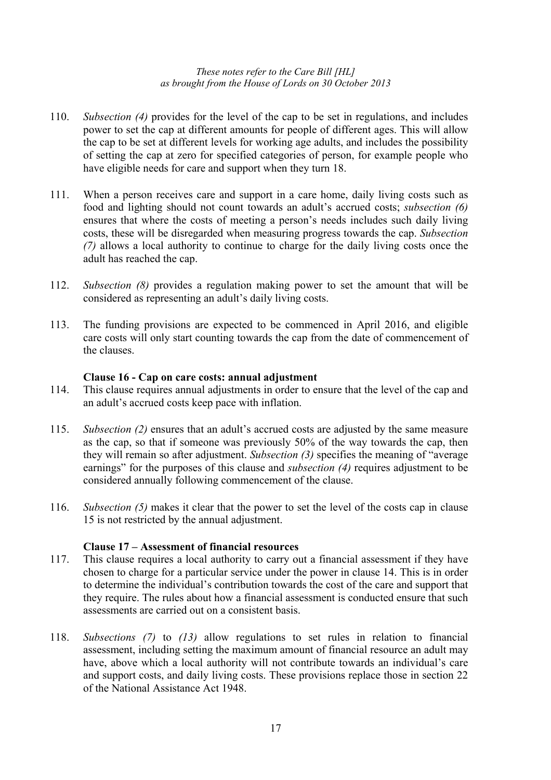- 110. *Subsection (4)* provides for the level of the cap to be set in regulations, and includes power to set the cap at different amounts for people of different ages. This will allow the cap to be set at different levels for working age adults, and includes the possibility of setting the cap at zero for specified categories of person, for example people who have eligible needs for care and support when they turn 18.
- 111. When a person receives care and support in a care home, daily living costs such as food and lighting should not count towards an adult's accrued costs; *subsection (6)* ensures that where the costs of meeting a person's needs includes such daily living costs, these will be disregarded when measuring progress towards the cap. *Subsection (7)* allows a local authority to continue to charge for the daily living costs once the adult has reached the cap.
- 112. *Subsection (8)* provides a regulation making power to set the amount that will be considered as representing an adult's daily living costs.
- 113. The funding provisions are expected to be commenced in April 2016, and eligible care costs will only start counting towards the cap from the date of commencement of the clauses.

# **Clause 16 - Cap on care costs: annual adjustment**

- 114. This clause requires annual adjustments in order to ensure that the level of the cap and an adult's accrued costs keep pace with inflation.
- 115. *Subsection (2)* ensures that an adult's accrued costs are adjusted by the same measure as the cap, so that if someone was previously 50% of the way towards the cap, then they will remain so after adjustment. *Subsection (3)* specifies the meaning of "average earnings" for the purposes of this clause and *subsection (4)* requires adjustment to be considered annually following commencement of the clause.
- 116. *Subsection (5)* makes it clear that the power to set the level of the costs cap in clause 15 is not restricted by the annual adjustment.

# **Clause 17 – Assessment of financial resources**

- 117. This clause requires a local authority to carry out a financial assessment if they have chosen to charge for a particular service under the power in clause 14. This is in order to determine the individual's contribution towards the cost of the care and support that they require. The rules about how a financial assessment is conducted ensure that such assessments are carried out on a consistent basis.
- 118. *Subsections (7)* to *(13)* allow regulations to set rules in relation to financial assessment, including setting the maximum amount of financial resource an adult may have, above which a local authority will not contribute towards an individual's care and support costs, and daily living costs. These provisions replace those in section 22 of the National Assistance Act 1948.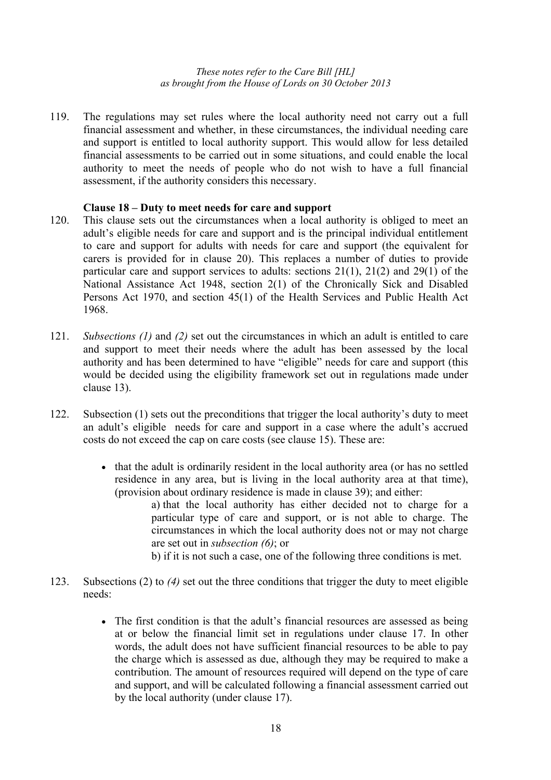119. The regulations may set rules where the local authority need not carry out a full financial assessment and whether, in these circumstances, the individual needing care and support is entitled to local authority support. This would allow for less detailed financial assessments to be carried out in some situations, and could enable the local authority to meet the needs of people who do not wish to have a full financial assessment, if the authority considers this necessary.

# **Clause 18 – Duty to meet needs for care and support**

- 120. This clause sets out the circumstances when a local authority is obliged to meet an adult's eligible needs for care and support and is the principal individual entitlement to care and support for adults with needs for care and support (the equivalent for carers is provided for in clause 20). This replaces a number of duties to provide particular care and support services to adults: sections 21(1), 21(2) and 29(1) of the National Assistance Act 1948, section 2(1) of the Chronically Sick and Disabled Persons Act 1970, and section 45(1) of the Health Services and Public Health Act 1968.
- 121. *Subsections (1)* and *(2)* set out the circumstances in which an adult is entitled to care and support to meet their needs where the adult has been assessed by the local authority and has been determined to have "eligible" needs for care and support (this would be decided using the eligibility framework set out in regulations made under clause 13).
- 122. Subsection (1) sets out the preconditions that trigger the local authority's duty to meet an adult's eligible needs for care and support in a case where the adult's accrued costs do not exceed the cap on care costs (see clause 15). These are:
	- that the adult is ordinarily resident in the local authority area (or has no settled residence in any area, but is living in the local authority area at that time), (provision about ordinary residence is made in clause 39); and either:
		- a) that the local authority has either decided not to charge for a particular type of care and support, or is not able to charge. The circumstances in which the local authority does not or may not charge are set out in *subsection (6)*; or
		- b) if it is not such a case, one of the following three conditions is met.
- 123. Subsections (2) to *(4)* set out the three conditions that trigger the duty to meet eligible needs:
	- The first condition is that the adult's financial resources are assessed as being at or below the financial limit set in regulations under clause 17. In other words, the adult does not have sufficient financial resources to be able to pay the charge which is assessed as due, although they may be required to make a contribution. The amount of resources required will depend on the type of care and support, and will be calculated following a financial assessment carried out by the local authority (under clause 17).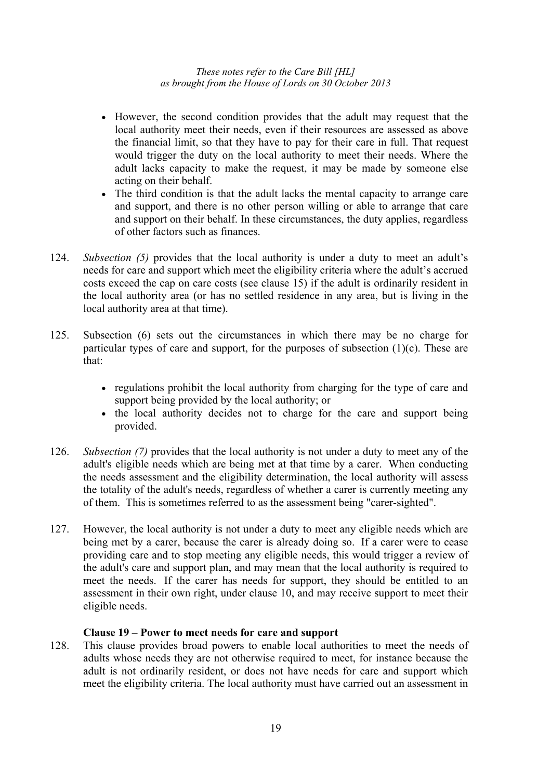- However, the second condition provides that the adult may request that the local authority meet their needs, even if their resources are assessed as above the financial limit, so that they have to pay for their care in full. That request would trigger the duty on the local authority to meet their needs. Where the adult lacks capacity to make the request, it may be made by someone else acting on their behalf.
- The third condition is that the adult lacks the mental capacity to arrange care and support, and there is no other person willing or able to arrange that care and support on their behalf. In these circumstances, the duty applies, regardless of other factors such as finances.
- 124. *Subsection (5)* provides that the local authority is under a duty to meet an adult's needs for care and support which meet the eligibility criteria where the adult's accrued costs exceed the cap on care costs (see clause 15) if the adult is ordinarily resident in the local authority area (or has no settled residence in any area, but is living in the local authority area at that time).
- 125. Subsection (6) sets out the circumstances in which there may be no charge for particular types of care and support, for the purposes of subsection  $(1)(c)$ . These are that:
	- regulations prohibit the local authority from charging for the type of care and support being provided by the local authority; or
	- the local authority decides not to charge for the care and support being provided.
- 126. *Subsection (7)* provides that the local authority is not under a duty to meet any of the adult's eligible needs which are being met at that time by a carer. When conducting the needs assessment and the eligibility determination, the local authority will assess the totality of the adult's needs, regardless of whether a carer is currently meeting any of them. This is sometimes referred to as the assessment being "carer-sighted".
- 127. However, the local authority is not under a duty to meet any eligible needs which are being met by a carer, because the carer is already doing so. If a carer were to cease providing care and to stop meeting any eligible needs, this would trigger a review of the adult's care and support plan, and may mean that the local authority is required to meet the needs. If the carer has needs for support, they should be entitled to an assessment in their own right, under clause 10, and may receive support to meet their eligible needs.

# **Clause 19 – Power to meet needs for care and support**

128. This clause provides broad powers to enable local authorities to meet the needs of adults whose needs they are not otherwise required to meet, for instance because the adult is not ordinarily resident, or does not have needs for care and support which meet the eligibility criteria. The local authority must have carried out an assessment in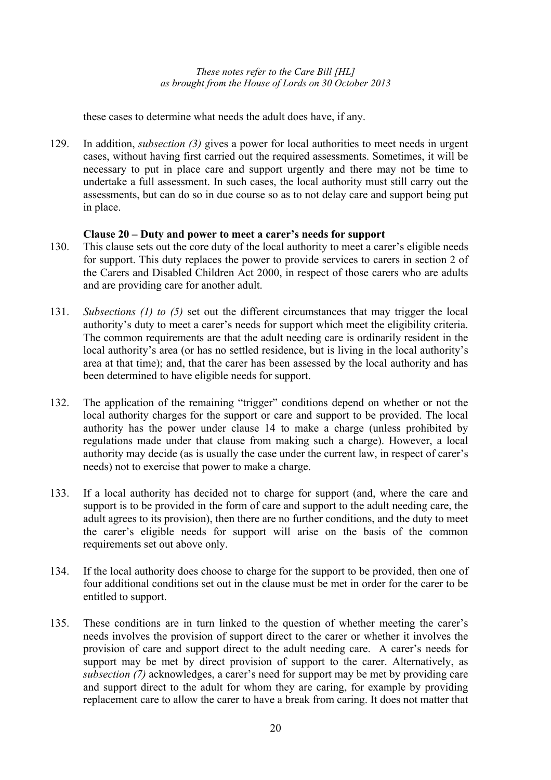these cases to determine what needs the adult does have, if any.

129. In addition, *subsection (3)* gives a power for local authorities to meet needs in urgent cases, without having first carried out the required assessments. Sometimes, it will be necessary to put in place care and support urgently and there may not be time to undertake a full assessment. In such cases, the local authority must still carry out the assessments, but can do so in due course so as to not delay care and support being put in place.

#### **Clause 20 – Duty and power to meet a carer's needs for support**

- 130. This clause sets out the core duty of the local authority to meet a carer's eligible needs for support. This duty replaces the power to provide services to carers in section 2 of the Carers and Disabled Children Act 2000, in respect of those carers who are adults and are providing care for another adult.
- 131. *Subsections (1) to (5)* set out the different circumstances that may trigger the local authority's duty to meet a carer's needs for support which meet the eligibility criteria. The common requirements are that the adult needing care is ordinarily resident in the local authority's area (or has no settled residence, but is living in the local authority's area at that time); and, that the carer has been assessed by the local authority and has been determined to have eligible needs for support.
- 132. The application of the remaining "trigger" conditions depend on whether or not the local authority charges for the support or care and support to be provided. The local authority has the power under clause 14 to make a charge (unless prohibited by regulations made under that clause from making such a charge). However, a local authority may decide (as is usually the case under the current law, in respect of carer's needs) not to exercise that power to make a charge.
- 133. If a local authority has decided not to charge for support (and, where the care and support is to be provided in the form of care and support to the adult needing care, the adult agrees to its provision), then there are no further conditions, and the duty to meet the carer's eligible needs for support will arise on the basis of the common requirements set out above only.
- 134. If the local authority does choose to charge for the support to be provided, then one of four additional conditions set out in the clause must be met in order for the carer to be entitled to support.
- 135. These conditions are in turn linked to the question of whether meeting the carer's needs involves the provision of support direct to the carer or whether it involves the provision of care and support direct to the adult needing care. A carer's needs for support may be met by direct provision of support to the carer. Alternatively, as *subsection (7)* acknowledges, a carer's need for support may be met by providing care and support direct to the adult for whom they are caring, for example by providing replacement care to allow the carer to have a break from caring. It does not matter that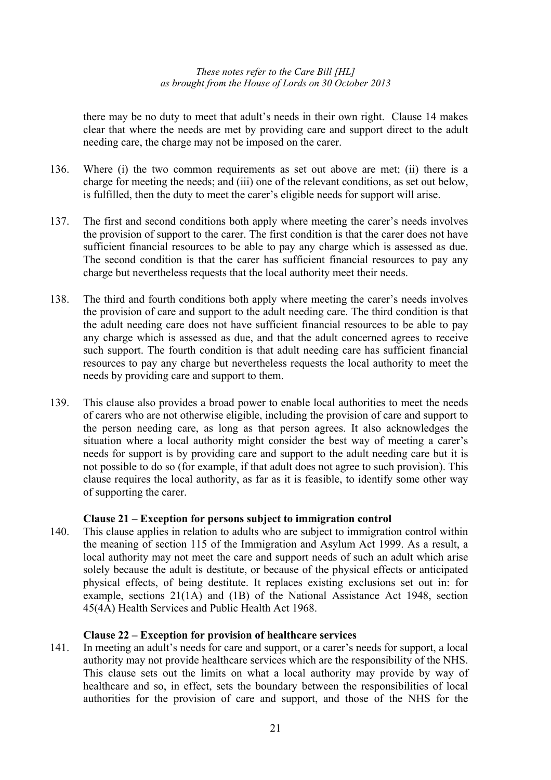there may be no duty to meet that adult's needs in their own right. Clause 14 makes clear that where the needs are met by providing care and support direct to the adult needing care, the charge may not be imposed on the carer.

- 136. Where (i) the two common requirements as set out above are met; (ii) there is a charge for meeting the needs; and (iii) one of the relevant conditions, as set out below, is fulfilled, then the duty to meet the carer's eligible needs for support will arise.
- 137. The first and second conditions both apply where meeting the carer's needs involves the provision of support to the carer. The first condition is that the carer does not have sufficient financial resources to be able to pay any charge which is assessed as due. The second condition is that the carer has sufficient financial resources to pay any charge but nevertheless requests that the local authority meet their needs.
- 138. The third and fourth conditions both apply where meeting the carer's needs involves the provision of care and support to the adult needing care. The third condition is that the adult needing care does not have sufficient financial resources to be able to pay any charge which is assessed as due, and that the adult concerned agrees to receive such support. The fourth condition is that adult needing care has sufficient financial resources to pay any charge but nevertheless requests the local authority to meet the needs by providing care and support to them.
- 139. This clause also provides a broad power to enable local authorities to meet the needs of carers who are not otherwise eligible, including the provision of care and support to the person needing care, as long as that person agrees. It also acknowledges the situation where a local authority might consider the best way of meeting a carer's needs for support is by providing care and support to the adult needing care but it is not possible to do so (for example, if that adult does not agree to such provision). This clause requires the local authority, as far as it is feasible, to identify some other way of supporting the carer.

# **Clause 21 – Exception for persons subject to immigration control**

140. This clause applies in relation to adults who are subject to immigration control within the meaning of section 115 of the Immigration and Asylum Act 1999. As a result, a local authority may not meet the care and support needs of such an adult which arise solely because the adult is destitute, or because of the physical effects or anticipated physical effects, of being destitute. It replaces existing exclusions set out in: for example, sections 21(1A) and (1B) of the National Assistance Act 1948, section 45(4A) Health Services and Public Health Act 1968.

# **Clause 22 – Exception for provision of healthcare services**

141. In meeting an adult's needs for care and support, or a carer's needs for support, a local authority may not provide healthcare services which are the responsibility of the NHS. This clause sets out the limits on what a local authority may provide by way of healthcare and so, in effect, sets the boundary between the responsibilities of local authorities for the provision of care and support, and those of the NHS for the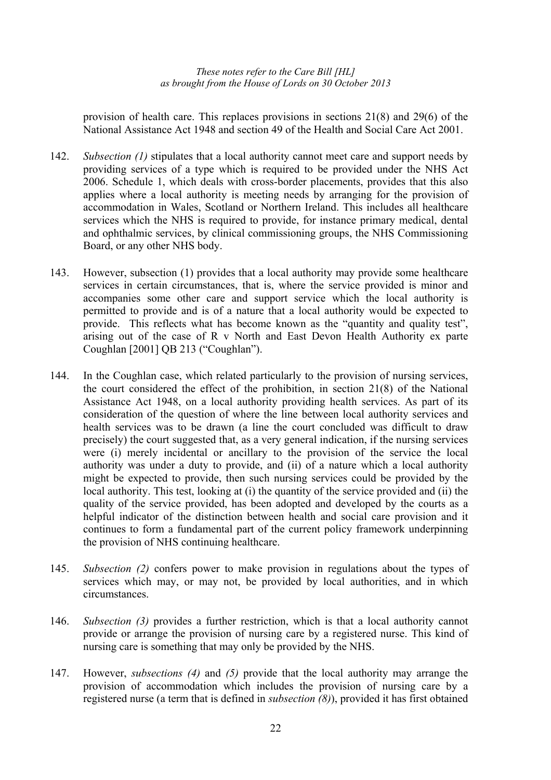provision of health care. This replaces provisions in sections 21(8) and 29(6) of the National Assistance Act 1948 and section 49 of the Health and Social Care Act 2001.

- 142. *Subsection (1)* stipulates that a local authority cannot meet care and support needs by providing services of a type which is required to be provided under the NHS Act 2006. Schedule 1, which deals with cross-border placements, provides that this also applies where a local authority is meeting needs by arranging for the provision of accommodation in Wales, Scotland or Northern Ireland. This includes all healthcare services which the NHS is required to provide, for instance primary medical, dental and ophthalmic services, by clinical commissioning groups, the NHS Commissioning Board, or any other NHS body.
- 143. However, subsection (1) provides that a local authority may provide some healthcare services in certain circumstances, that is, where the service provided is minor and accompanies some other care and support service which the local authority is permitted to provide and is of a nature that a local authority would be expected to provide. This reflects what has become known as the "quantity and quality test", arising out of the case of R v North and East Devon Health Authority ex parte Coughlan [2001] QB 213 ("Coughlan").
- 144. In the Coughlan case, which related particularly to the provision of nursing services, the court considered the effect of the prohibition, in section 21(8) of the National Assistance Act 1948, on a local authority providing health services. As part of its consideration of the question of where the line between local authority services and health services was to be drawn (a line the court concluded was difficult to draw precisely) the court suggested that, as a very general indication, if the nursing services were (i) merely incidental or ancillary to the provision of the service the local authority was under a duty to provide, and (ii) of a nature which a local authority might be expected to provide, then such nursing services could be provided by the local authority. This test, looking at (i) the quantity of the service provided and (ii) the quality of the service provided, has been adopted and developed by the courts as a helpful indicator of the distinction between health and social care provision and it continues to form a fundamental part of the current policy framework underpinning the provision of NHS continuing healthcare.
- 145. *Subsection (2)* confers power to make provision in regulations about the types of services which may, or may not, be provided by local authorities, and in which circumstances.
- 146. *Subsection (3)* provides a further restriction, which is that a local authority cannot provide or arrange the provision of nursing care by a registered nurse. This kind of nursing care is something that may only be provided by the NHS.
- 147. However, *subsections (4)* and *(5)* provide that the local authority may arrange the provision of accommodation which includes the provision of nursing care by a registered nurse (a term that is defined in *subsection (8)*), provided it has first obtained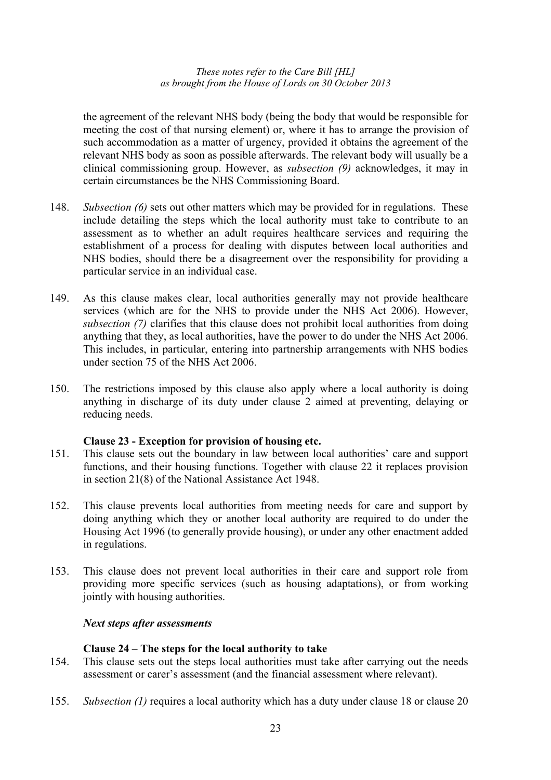the agreement of the relevant NHS body (being the body that would be responsible for meeting the cost of that nursing element) or, where it has to arrange the provision of such accommodation as a matter of urgency, provided it obtains the agreement of the relevant NHS body as soon as possible afterwards. The relevant body will usually be a clinical commissioning group. However, as *subsection (9)* acknowledges, it may in certain circumstances be the NHS Commissioning Board.

- 148. *Subsection (6)* sets out other matters which may be provided for in regulations. These include detailing the steps which the local authority must take to contribute to an assessment as to whether an adult requires healthcare services and requiring the establishment of a process for dealing with disputes between local authorities and NHS bodies, should there be a disagreement over the responsibility for providing a particular service in an individual case.
- 149. As this clause makes clear, local authorities generally may not provide healthcare services (which are for the NHS to provide under the NHS Act 2006). However, *subsection (7)* clarifies that this clause does not prohibit local authorities from doing anything that they, as local authorities, have the power to do under the NHS Act 2006. This includes, in particular, entering into partnership arrangements with NHS bodies under section 75 of the NHS Act 2006.
- 150. The restrictions imposed by this clause also apply where a local authority is doing anything in discharge of its duty under clause 2 aimed at preventing, delaying or reducing needs.

# **Clause 23 - Exception for provision of housing etc.**

- 151. This clause sets out the boundary in law between local authorities' care and support functions, and their housing functions. Together with clause 22 it replaces provision in section 21(8) of the National Assistance Act 1948.
- 152. This clause prevents local authorities from meeting needs for care and support by doing anything which they or another local authority are required to do under the Housing Act 1996 (to generally provide housing), or under any other enactment added in regulations.
- 153. This clause does not prevent local authorities in their care and support role from providing more specific services (such as housing adaptations), or from working jointly with housing authorities.

#### *Next steps after assessments*

#### **Clause 24 – The steps for the local authority to take**

- 154. This clause sets out the steps local authorities must take after carrying out the needs assessment or carer's assessment (and the financial assessment where relevant).
- 155. *Subsection (1)* requires a local authority which has a duty under clause 18 or clause 20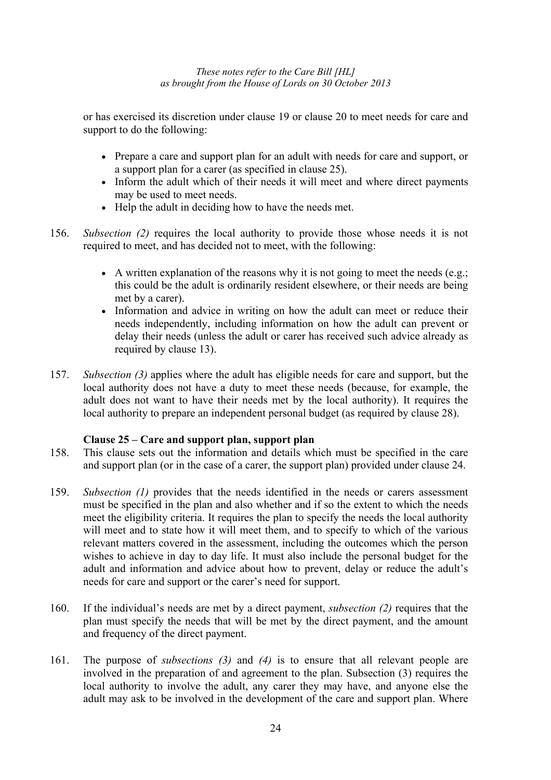or has exercised its discretion under clause 19 or clause 20 to meet needs for care and support to do the following:

- Prepare a care and support plan for an adult with needs for care and support, or a support plan for a carer (as specified in clause 25).
- Inform the adult which of their needs it will meet and where direct payments may be used to meet needs.
- Help the adult in deciding how to have the needs met.
- 156. *Subsection (2)* requires the local authority to provide those whose needs it is not required to meet, and has decided not to meet, with the following:
	- A written explanation of the reasons why it is not going to meet the needs (e.g.; this could be the adult is ordinarily resident elsewhere, or their needs are being met by a carer).
	- Information and advice in writing on how the adult can meet or reduce their needs independently, including information on how the adult can prevent or delay their needs (unless the adult or carer has received such advice already as required by clause 13).
- 157. *Subsection (3)* applies where the adult has eligible needs for care and support, but the local authority does not have a duty to meet these needs (because, for example, the adult does not want to have their needs met by the local authority). It requires the local authority to prepare an independent personal budget (as required by clause 28).

# **Clause 25 – Care and support plan, support plan**

- 158. This clause sets out the information and details which must be specified in the care and support plan (or in the case of a carer, the support plan) provided under clause 24.
- 159. *Subsection (1)* provides that the needs identified in the needs or carers assessment must be specified in the plan and also whether and if so the extent to which the needs meet the eligibility criteria. It requires the plan to specify the needs the local authority will meet and to state how it will meet them, and to specify to which of the various relevant matters covered in the assessment, including the outcomes which the person wishes to achieve in day to day life. It must also include the personal budget for the adult and information and advice about how to prevent, delay or reduce the adult's needs for care and support or the carer's need for support.
- 160. If the individual's needs are met by a direct payment, *subsection (2)* requires that the plan must specify the needs that will be met by the direct payment, and the amount and frequency of the direct payment.
- 161. The purpose of *subsections (3)* and *(4)* is to ensure that all relevant people are involved in the preparation of and agreement to the plan. Subsection (3) requires the local authority to involve the adult, any carer they may have, and anyone else the adult may ask to be involved in the development of the care and support plan. Where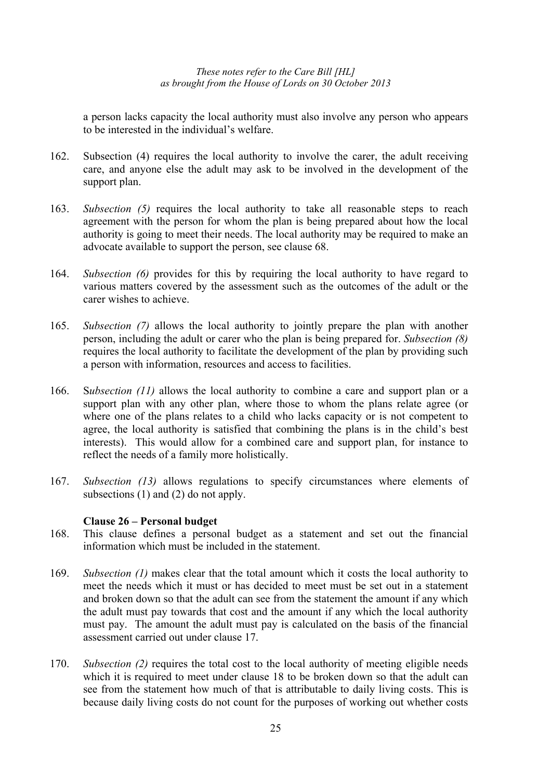a person lacks capacity the local authority must also involve any person who appears to be interested in the individual's welfare.

- 162. Subsection (4) requires the local authority to involve the carer, the adult receiving care, and anyone else the adult may ask to be involved in the development of the support plan.
- 163. *Subsection (5)* requires the local authority to take all reasonable steps to reach agreement with the person for whom the plan is being prepared about how the local authority is going to meet their needs. The local authority may be required to make an advocate available to support the person, see clause 68.
- 164. *Subsection (6)* provides for this by requiring the local authority to have regard to various matters covered by the assessment such as the outcomes of the adult or the carer wishes to achieve.
- 165. *Subsection (7)* allows the local authority to jointly prepare the plan with another person, including the adult or carer who the plan is being prepared for. *Subsection (8)* requires the local authority to facilitate the development of the plan by providing such a person with information, resources and access to facilities.
- 166. S*ubsection (11)* allows the local authority to combine a care and support plan or a support plan with any other plan, where those to whom the plans relate agree (or where one of the plans relates to a child who lacks capacity or is not competent to agree, the local authority is satisfied that combining the plans is in the child's best interests). This would allow for a combined care and support plan, for instance to reflect the needs of a family more holistically.
- 167. *Subsection (13)* allows regulations to specify circumstances where elements of subsections (1) and (2) do not apply.

# **Clause 26 – Personal budget**

- 168. This clause defines a personal budget as a statement and set out the financial information which must be included in the statement.
- 169. *Subsection (1)* makes clear that the total amount which it costs the local authority to meet the needs which it must or has decided to meet must be set out in a statement and broken down so that the adult can see from the statement the amount if any which the adult must pay towards that cost and the amount if any which the local authority must pay. The amount the adult must pay is calculated on the basis of the financial assessment carried out under clause 17.
- 170. *Subsection (2)* requires the total cost to the local authority of meeting eligible needs which it is required to meet under clause 18 to be broken down so that the adult can see from the statement how much of that is attributable to daily living costs. This is because daily living costs do not count for the purposes of working out whether costs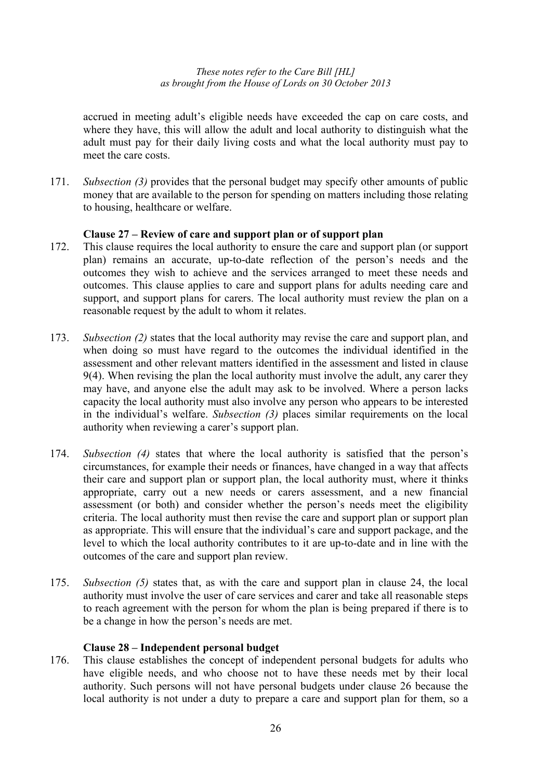accrued in meeting adult's eligible needs have exceeded the cap on care costs, and where they have, this will allow the adult and local authority to distinguish what the adult must pay for their daily living costs and what the local authority must pay to meet the care costs.

171. *Subsection (3)* provides that the personal budget may specify other amounts of public money that are available to the person for spending on matters including those relating to housing, healthcare or welfare.

# **Clause 27 – Review of care and support plan or of support plan**

- 172. This clause requires the local authority to ensure the care and support plan (or support plan) remains an accurate, up-to-date reflection of the person's needs and the outcomes they wish to achieve and the services arranged to meet these needs and outcomes. This clause applies to care and support plans for adults needing care and support, and support plans for carers. The local authority must review the plan on a reasonable request by the adult to whom it relates.
- 173. *Subsection (2)* states that the local authority may revise the care and support plan, and when doing so must have regard to the outcomes the individual identified in the assessment and other relevant matters identified in the assessment and listed in clause 9(4). When revising the plan the local authority must involve the adult, any carer they may have, and anyone else the adult may ask to be involved. Where a person lacks capacity the local authority must also involve any person who appears to be interested in the individual's welfare. *Subsection (3)* places similar requirements on the local authority when reviewing a carer's support plan.
- 174. *Subsection (4)* states that where the local authority is satisfied that the person's circumstances, for example their needs or finances, have changed in a way that affects their care and support plan or support plan, the local authority must, where it thinks appropriate, carry out a new needs or carers assessment, and a new financial assessment (or both) and consider whether the person's needs meet the eligibility criteria. The local authority must then revise the care and support plan or support plan as appropriate. This will ensure that the individual's care and support package, and the level to which the local authority contributes to it are up-to-date and in line with the outcomes of the care and support plan review.
- 175. *Subsection (5)* states that, as with the care and support plan in clause 24, the local authority must involve the user of care services and carer and take all reasonable steps to reach agreement with the person for whom the plan is being prepared if there is to be a change in how the person's needs are met.

#### **Clause 28 – Independent personal budget**

176. This clause establishes the concept of independent personal budgets for adults who have eligible needs, and who choose not to have these needs met by their local authority. Such persons will not have personal budgets under clause 26 because the local authority is not under a duty to prepare a care and support plan for them, so a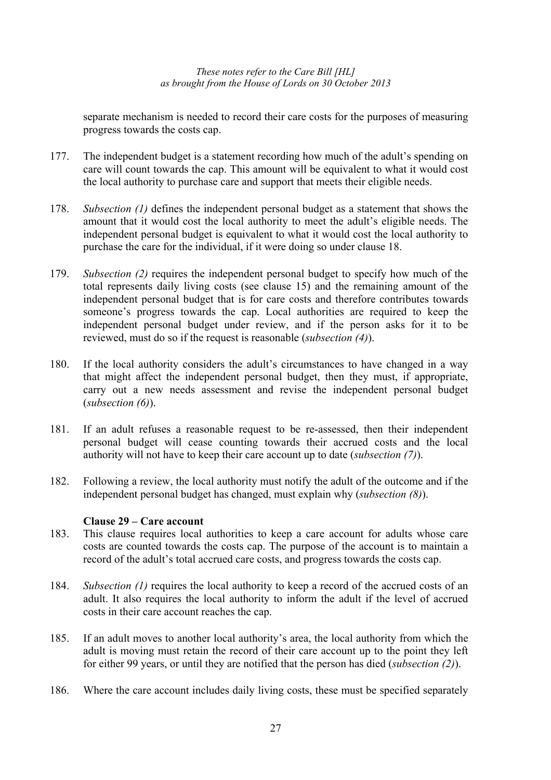separate mechanism is needed to record their care costs for the purposes of measuring progress towards the costs cap.

- 177. The independent budget is a statement recording how much of the adult's spending on care will count towards the cap. This amount will be equivalent to what it would cost the local authority to purchase care and support that meets their eligible needs.
- 178. *Subsection (1)* defines the independent personal budget as a statement that shows the amount that it would cost the local authority to meet the adult's eligible needs. The independent personal budget is equivalent to what it would cost the local authority to purchase the care for the individual, if it were doing so under clause 18.
- 179. *Subsection (2)* requires the independent personal budget to specify how much of the total represents daily living costs (see clause 15) and the remaining amount of the independent personal budget that is for care costs and therefore contributes towards someone's progress towards the cap. Local authorities are required to keep the independent personal budget under review, and if the person asks for it to be reviewed, must do so if the request is reasonable (*subsection (4)*).
- 180. If the local authority considers the adult's circumstances to have changed in a way that might affect the independent personal budget, then they must, if appropriate, carry out a new needs assessment and revise the independent personal budget (*subsection (6)*).
- 181. If an adult refuses a reasonable request to be re-assessed, then their independent personal budget will cease counting towards their accrued costs and the local authority will not have to keep their care account up to date (*subsection (7)*).
- 182. Following a review, the local authority must notify the adult of the outcome and if the independent personal budget has changed, must explain why (*subsection (8)*).

# **Clause 29 – Care account**

- 183. This clause requires local authorities to keep a care account for adults whose care costs are counted towards the costs cap. The purpose of the account is to maintain a record of the adult's total accrued care costs, and progress towards the costs cap.
- 184. *Subsection (1)* requires the local authority to keep a record of the accrued costs of an adult. It also requires the local authority to inform the adult if the level of accrued costs in their care account reaches the cap.
- 185. If an adult moves to another local authority's area, the local authority from which the adult is moving must retain the record of their care account up to the point they left for either 99 years, or until they are notified that the person has died (*subsection (2)*).
- 186. Where the care account includes daily living costs, these must be specified separately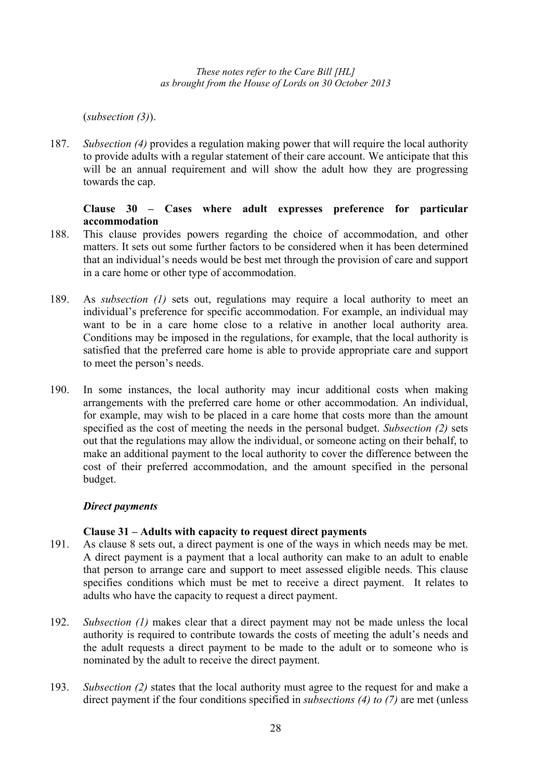(*subsection (3)*).

187. *Subsection (4)* provides a regulation making power that will require the local authority to provide adults with a regular statement of their care account. We anticipate that this will be an annual requirement and will show the adult how they are progressing towards the cap.

# **Clause 30 – Cases where adult expresses preference for particular accommodation**

- 188. This clause provides powers regarding the choice of accommodation, and other matters. It sets out some further factors to be considered when it has been determined that an individual's needs would be best met through the provision of care and support in a care home or other type of accommodation.
- 189. As *subsection (1)* sets out, regulations may require a local authority to meet an individual's preference for specific accommodation. For example, an individual may want to be in a care home close to a relative in another local authority area. Conditions may be imposed in the regulations, for example, that the local authority is satisfied that the preferred care home is able to provide appropriate care and support to meet the person's needs.
- 190. In some instances, the local authority may incur additional costs when making arrangements with the preferred care home or other accommodation. An individual, for example, may wish to be placed in a care home that costs more than the amount specified as the cost of meeting the needs in the personal budget. *Subsection (2)* sets out that the regulations may allow the individual, or someone acting on their behalf, to make an additional payment to the local authority to cover the difference between the cost of their preferred accommodation, and the amount specified in the personal budget.

# *Direct payments*

# **Clause 31 – Adults with capacity to request direct payments**

- 191. As clause 8 sets out, a direct payment is one of the ways in which needs may be met. A direct payment is a payment that a local authority can make to an adult to enable that person to arrange care and support to meet assessed eligible needs. This clause specifies conditions which must be met to receive a direct payment. It relates to adults who have the capacity to request a direct payment.
- 192. *Subsection (1)* makes clear that a direct payment may not be made unless the local authority is required to contribute towards the costs of meeting the adult's needs and the adult requests a direct payment to be made to the adult or to someone who is nominated by the adult to receive the direct payment.
- 193. *Subsection (2)* states that the local authority must agree to the request for and make a direct payment if the four conditions specified in *subsections (4) to (7)* are met (unless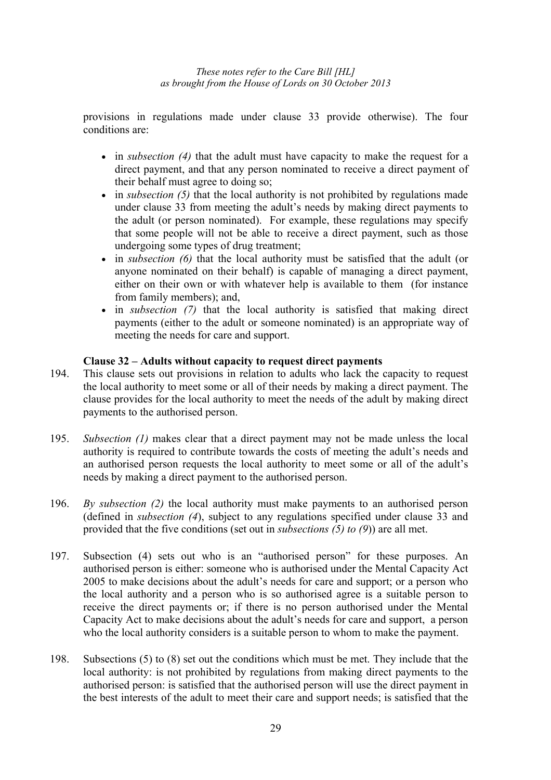provisions in regulations made under clause 33 provide otherwise). The four conditions are:

- in *subsection (4)* that the adult must have capacity to make the request for a direct payment, and that any person nominated to receive a direct payment of their behalf must agree to doing so;
- in *subsection* (5) that the local authority is not prohibited by regulations made under clause 33 from meeting the adult's needs by making direct payments to the adult (or person nominated). For example, these regulations may specify that some people will not be able to receive a direct payment, such as those undergoing some types of drug treatment;
- in *subsection (6)* that the local authority must be satisfied that the adult (or anyone nominated on their behalf) is capable of managing a direct payment, either on their own or with whatever help is available to them (for instance from family members); and,
- in *subsection (7)* that the local authority is satisfied that making direct payments (either to the adult or someone nominated) is an appropriate way of meeting the needs for care and support.

# **Clause 32 – Adults without capacity to request direct payments**

- 194. This clause sets out provisions in relation to adults who lack the capacity to request the local authority to meet some or all of their needs by making a direct payment. The clause provides for the local authority to meet the needs of the adult by making direct payments to the authorised person.
- 195. *Subsection (1)* makes clear that a direct payment may not be made unless the local authority is required to contribute towards the costs of meeting the adult's needs and an authorised person requests the local authority to meet some or all of the adult's needs by making a direct payment to the authorised person.
- 196. *By subsection (2)* the local authority must make payments to an authorised person (defined in *subsection (4*), subject to any regulations specified under clause 33 and provided that the five conditions (set out in *subsections (5) to (9*)) are all met.
- 197. Subsection (4) sets out who is an "authorised person" for these purposes. An authorised person is either: someone who is authorised under the Mental Capacity Act 2005 to make decisions about the adult's needs for care and support; or a person who the local authority and a person who is so authorised agree is a suitable person to receive the direct payments or; if there is no person authorised under the Mental Capacity Act to make decisions about the adult's needs for care and support, a person who the local authority considers is a suitable person to whom to make the payment.
- 198. Subsections (5) to (8) set out the conditions which must be met. They include that the local authority: is not prohibited by regulations from making direct payments to the authorised person: is satisfied that the authorised person will use the direct payment in the best interests of the adult to meet their care and support needs; is satisfied that the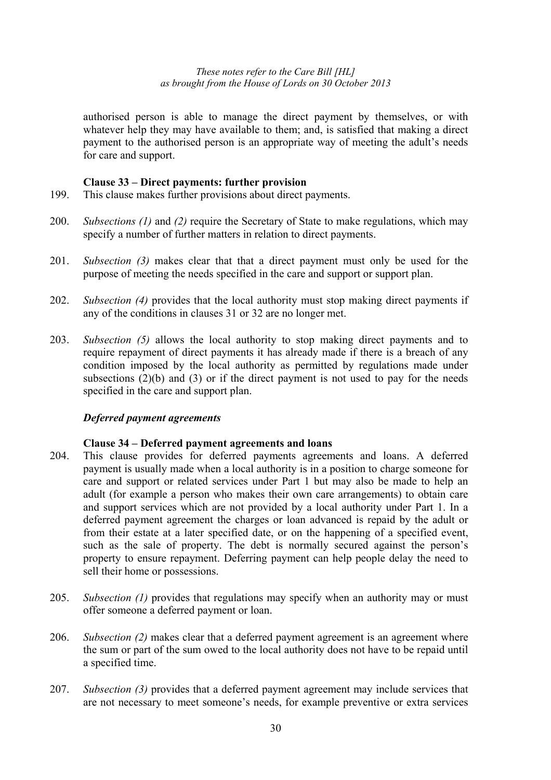authorised person is able to manage the direct payment by themselves, or with whatever help they may have available to them; and, is satisfied that making a direct payment to the authorised person is an appropriate way of meeting the adult's needs for care and support.

#### **Clause 33 – Direct payments: further provision**

- 199. This clause makes further provisions about direct payments.
- 200. *Subsections (1)* and *(2)* require the Secretary of State to make regulations, which may specify a number of further matters in relation to direct payments.
- 201. *Subsection (3)* makes clear that that a direct payment must only be used for the purpose of meeting the needs specified in the care and support or support plan.
- 202. *Subsection (4)* provides that the local authority must stop making direct payments if any of the conditions in clauses 31 or 32 are no longer met.
- 203. *Subsection (5)* allows the local authority to stop making direct payments and to require repayment of direct payments it has already made if there is a breach of any condition imposed by the local authority as permitted by regulations made under subsections  $(2)(b)$  and  $(3)$  or if the direct payment is not used to pay for the needs specified in the care and support plan.

#### *Deferred payment agreements*

#### **Clause 34 – Deferred payment agreements and loans**

- 204. This clause provides for deferred payments agreements and loans. A deferred payment is usually made when a local authority is in a position to charge someone for care and support or related services under Part 1 but may also be made to help an adult (for example a person who makes their own care arrangements) to obtain care and support services which are not provided by a local authority under Part 1. In a deferred payment agreement the charges or loan advanced is repaid by the adult or from their estate at a later specified date, or on the happening of a specified event, such as the sale of property. The debt is normally secured against the person's property to ensure repayment. Deferring payment can help people delay the need to sell their home or possessions.
- 205. *Subsection (1)* provides that regulations may specify when an authority may or must offer someone a deferred payment or loan.
- 206. *Subsection (2)* makes clear that a deferred payment agreement is an agreement where the sum or part of the sum owed to the local authority does not have to be repaid until a specified time.
- 207. *Subsection (3)* provides that a deferred payment agreement may include services that are not necessary to meet someone's needs, for example preventive or extra services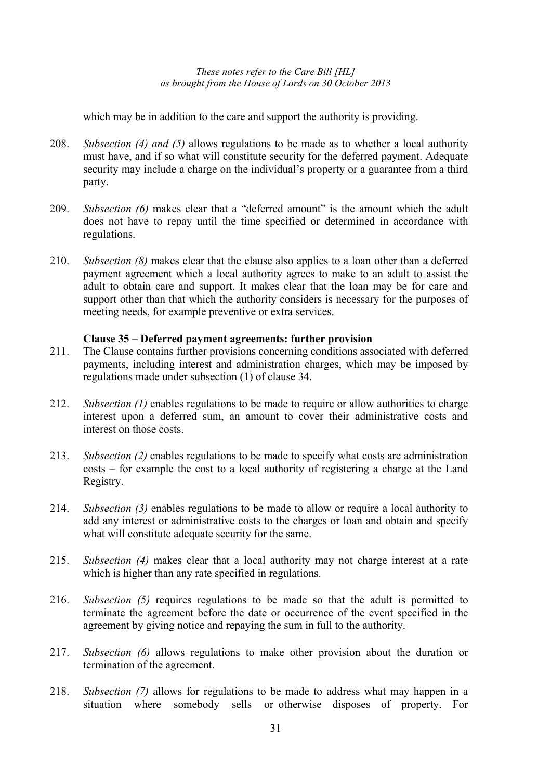which may be in addition to the care and support the authority is providing.

- 208. *Subsection (4) and (5)* allows regulations to be made as to whether a local authority must have, and if so what will constitute security for the deferred payment. Adequate security may include a charge on the individual's property or a guarantee from a third party.
- 209. *Subsection (6)* makes clear that a "deferred amount" is the amount which the adult does not have to repay until the time specified or determined in accordance with regulations.
- 210. *Subsection (8)* makes clear that the clause also applies to a loan other than a deferred payment agreement which a local authority agrees to make to an adult to assist the adult to obtain care and support. It makes clear that the loan may be for care and support other than that which the authority considers is necessary for the purposes of meeting needs, for example preventive or extra services.

# **Clause 35 – Deferred payment agreements: further provision**

- 211. The Clause contains further provisions concerning conditions associated with deferred payments, including interest and administration charges, which may be imposed by regulations made under subsection (1) of clause 34.
- 212. *Subsection (1)* enables regulations to be made to require or allow authorities to charge interest upon a deferred sum, an amount to cover their administrative costs and interest on those costs.
- 213. *Subsection (2)* enables regulations to be made to specify what costs are administration costs – for example the cost to a local authority of registering a charge at the Land Registry.
- 214. *Subsection (3)* enables regulations to be made to allow or require a local authority to add any interest or administrative costs to the charges or loan and obtain and specify what will constitute adequate security for the same.
- 215. *Subsection (4)* makes clear that a local authority may not charge interest at a rate which is higher than any rate specified in regulations.
- 216. *Subsection (5)* requires regulations to be made so that the adult is permitted to terminate the agreement before the date or occurrence of the event specified in the agreement by giving notice and repaying the sum in full to the authority.
- 217. *Subsection (6)* allows regulations to make other provision about the duration or termination of the agreement.
- 218. *Subsection (7)* allows for regulations to be made to address what may happen in a situation where somebody sells or otherwise disposes of property. For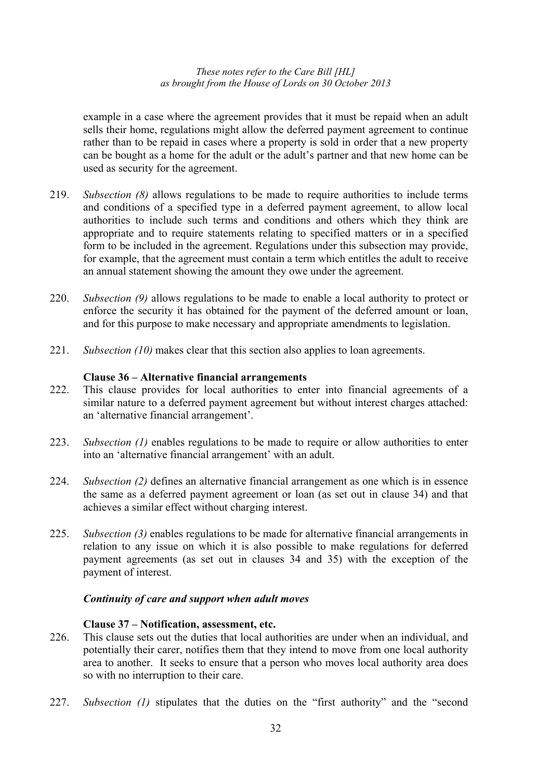example in a case where the agreement provides that it must be repaid when an adult sells their home, regulations might allow the deferred payment agreement to continue rather than to be repaid in cases where a property is sold in order that a new property can be bought as a home for the adult or the adult's partner and that new home can be used as security for the agreement.

- 219. *Subsection (8)* allows regulations to be made to require authorities to include terms and conditions of a specified type in a deferred payment agreement, to allow local authorities to include such terms and conditions and others which they think are appropriate and to require statements relating to specified matters or in a specified form to be included in the agreement. Regulations under this subsection may provide, for example, that the agreement must contain a term which entitles the adult to receive an annual statement showing the amount they owe under the agreement.
- 220. *Subsection (9)* allows regulations to be made to enable a local authority to protect or enforce the security it has obtained for the payment of the deferred amount or loan, and for this purpose to make necessary and appropriate amendments to legislation.
- 221. *Subsection (10)* makes clear that this section also applies to loan agreements.

# **Clause 36 – Alternative financial arrangements**

- 222. This clause provides for local authorities to enter into financial agreements of a similar nature to a deferred payment agreement but without interest charges attached: an 'alternative financial arrangement'.
- 223. *Subsection (1)* enables regulations to be made to require or allow authorities to enter into an 'alternative financial arrangement' with an adult.
- 224. *Subsection (2)* defines an alternative financial arrangement as one which is in essence the same as a deferred payment agreement or loan (as set out in clause 34) and that achieves a similar effect without charging interest.
- 225. *Subsection (3)* enables regulations to be made for alternative financial arrangements in relation to any issue on which it is also possible to make regulations for deferred payment agreements (as set out in clauses 34 and 35) with the exception of the payment of interest.

# *Continuity of care and support when adult moves*

# **Clause 37 – Notification, assessment, etc.**

- 226. This clause sets out the duties that local authorities are under when an individual, and potentially their carer, notifies them that they intend to move from one local authority area to another. It seeks to ensure that a person who moves local authority area does so with no interruption to their care.
- 227. *Subsection (1)* stipulates that the duties on the "first authority" and the "second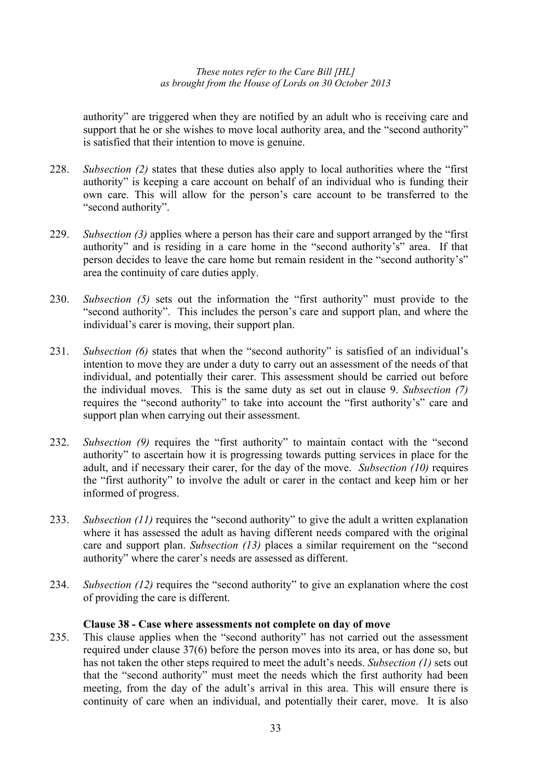authority" are triggered when they are notified by an adult who is receiving care and support that he or she wishes to move local authority area, and the "second authority" is satisfied that their intention to move is genuine.

- 228. *Subsection (2)* states that these duties also apply to local authorities where the "first authority" is keeping a care account on behalf of an individual who is funding their own care. This will allow for the person's care account to be transferred to the "second authority".
- 229. *Subsection (3)* applies where a person has their care and support arranged by the "first authority" and is residing in a care home in the "second authority's" area. If that person decides to leave the care home but remain resident in the "second authority's" area the continuity of care duties apply.
- 230. *Subsection (5)* sets out the information the "first authority" must provide to the "second authority". This includes the person's care and support plan, and where the individual's carer is moving, their support plan.
- 231. *Subsection (6)* states that when the "second authority" is satisfied of an individual's intention to move they are under a duty to carry out an assessment of the needs of that individual, and potentially their carer. This assessment should be carried out before the individual moves. This is the same duty as set out in clause 9. *Subsection (7)* requires the "second authority" to take into account the "first authority's" care and support plan when carrying out their assessment.
- 232. *Subsection (9)* requires the "first authority" to maintain contact with the "second authority" to ascertain how it is progressing towards putting services in place for the adult, and if necessary their carer, for the day of the move. *Subsection (10)* requires the "first authority" to involve the adult or carer in the contact and keep him or her informed of progress.
- 233. *Subsection (11)* requires the "second authority" to give the adult a written explanation where it has assessed the adult as having different needs compared with the original care and support plan. *Subsection (13)* places a similar requirement on the "second authority" where the carer's needs are assessed as different.
- 234. *Subsection (12)* requires the "second authority" to give an explanation where the cost of providing the care is different.

# **Clause 38 - Case where assessments not complete on day of move**

235. This clause applies when the "second authority" has not carried out the assessment required under clause 37(6) before the person moves into its area, or has done so, but has not taken the other steps required to meet the adult's needs. *Subsection (1)* sets out that the "second authority" must meet the needs which the first authority had been meeting, from the day of the adult's arrival in this area. This will ensure there is continuity of care when an individual, and potentially their carer, move. It is also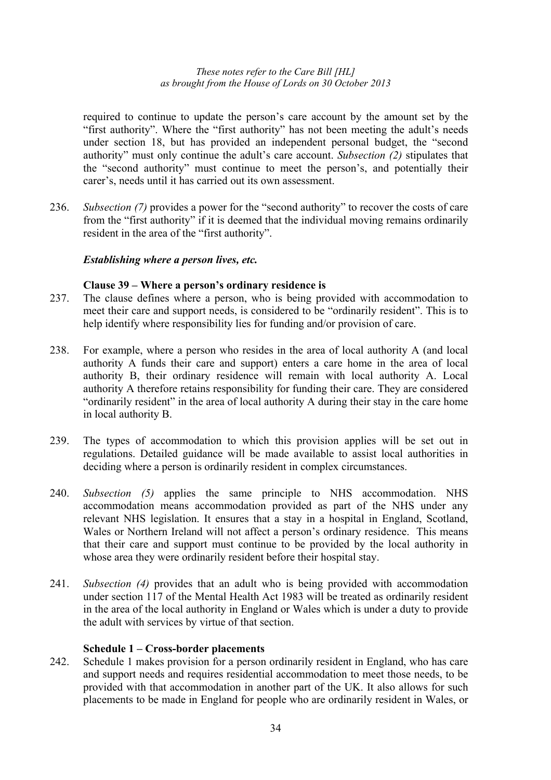required to continue to update the person's care account by the amount set by the "first authority". Where the "first authority" has not been meeting the adult's needs under section 18, but has provided an independent personal budget, the "second authority" must only continue the adult's care account. *Subsection (2)* stipulates that the "second authority" must continue to meet the person's, and potentially their carer's, needs until it has carried out its own assessment.

236. *Subsection (7)* provides a power for the "second authority" to recover the costs of care from the "first authority" if it is deemed that the individual moving remains ordinarily resident in the area of the "first authority".

# *Establishing where a person lives, etc.*

# **Clause 39 – Where a person's ordinary residence is**

- 237. The clause defines where a person, who is being provided with accommodation to meet their care and support needs, is considered to be "ordinarily resident". This is to help identify where responsibility lies for funding and/or provision of care.
- 238. For example, where a person who resides in the area of local authority A (and local authority A funds their care and support) enters a care home in the area of local authority B, their ordinary residence will remain with local authority A. Local authority A therefore retains responsibility for funding their care. They are considered "ordinarily resident" in the area of local authority A during their stay in the care home in local authority B.
- 239. The types of accommodation to which this provision applies will be set out in regulations. Detailed guidance will be made available to assist local authorities in deciding where a person is ordinarily resident in complex circumstances.
- 240. *Subsection (5)* applies the same principle to NHS accommodation. NHS accommodation means accommodation provided as part of the NHS under any relevant NHS legislation. It ensures that a stay in a hospital in England, Scotland, Wales or Northern Ireland will not affect a person's ordinary residence. This means that their care and support must continue to be provided by the local authority in whose area they were ordinarily resident before their hospital stay.
- 241. *Subsection (4)* provides that an adult who is being provided with accommodation under section 117 of the Mental Health Act 1983 will be treated as ordinarily resident in the area of the local authority in England or Wales which is under a duty to provide the adult with services by virtue of that section.

# **Schedule 1 – Cross-border placements**

242. Schedule 1 makes provision for a person ordinarily resident in England, who has care and support needs and requires residential accommodation to meet those needs, to be provided with that accommodation in another part of the UK. It also allows for such placements to be made in England for people who are ordinarily resident in Wales, or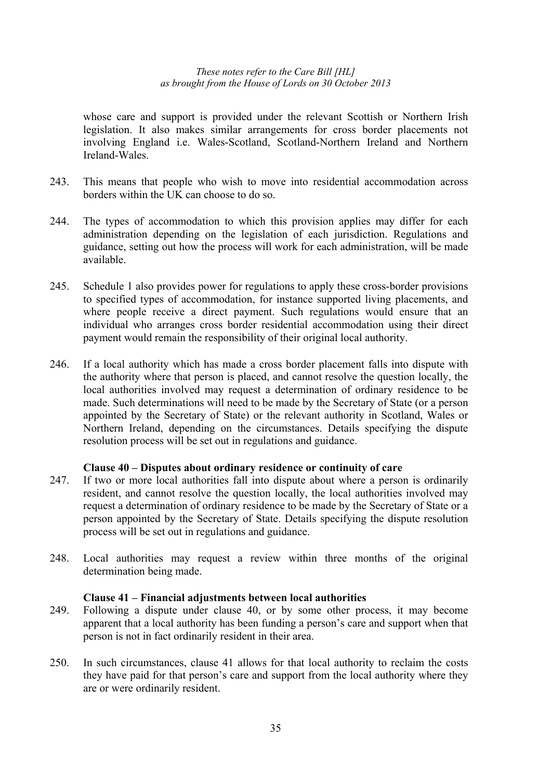whose care and support is provided under the relevant Scottish or Northern Irish legislation. It also makes similar arrangements for cross border placements not involving England i.e. Wales-Scotland, Scotland-Northern Ireland and Northern Ireland-Wales.

- 243. This means that people who wish to move into residential accommodation across borders within the UK can choose to do so.
- 244. The types of accommodation to which this provision applies may differ for each administration depending on the legislation of each jurisdiction. Regulations and guidance, setting out how the process will work for each administration, will be made available.
- 245. Schedule 1 also provides power for regulations to apply these cross-border provisions to specified types of accommodation, for instance supported living placements, and where people receive a direct payment. Such regulations would ensure that an individual who arranges cross border residential accommodation using their direct payment would remain the responsibility of their original local authority.
- 246. If a local authority which has made a cross border placement falls into dispute with the authority where that person is placed, and cannot resolve the question locally, the local authorities involved may request a determination of ordinary residence to be made. Such determinations will need to be made by the Secretary of State (or a person appointed by the Secretary of State) or the relevant authority in Scotland, Wales or Northern Ireland, depending on the circumstances. Details specifying the dispute resolution process will be set out in regulations and guidance.

# **Clause 40 – Disputes about ordinary residence or continuity of care**

- 247. If two or more local authorities fall into dispute about where a person is ordinarily resident, and cannot resolve the question locally, the local authorities involved may request a determination of ordinary residence to be made by the Secretary of State or a person appointed by the Secretary of State. Details specifying the dispute resolution process will be set out in regulations and guidance.
- 248. Local authorities may request a review within three months of the original determination being made.

#### **Clause 41 – Financial adjustments between local authorities**

- 249. Following a dispute under clause 40, or by some other process, it may become apparent that a local authority has been funding a person's care and support when that person is not in fact ordinarily resident in their area.
- 250. In such circumstances, clause 41 allows for that local authority to reclaim the costs they have paid for that person's care and support from the local authority where they are or were ordinarily resident.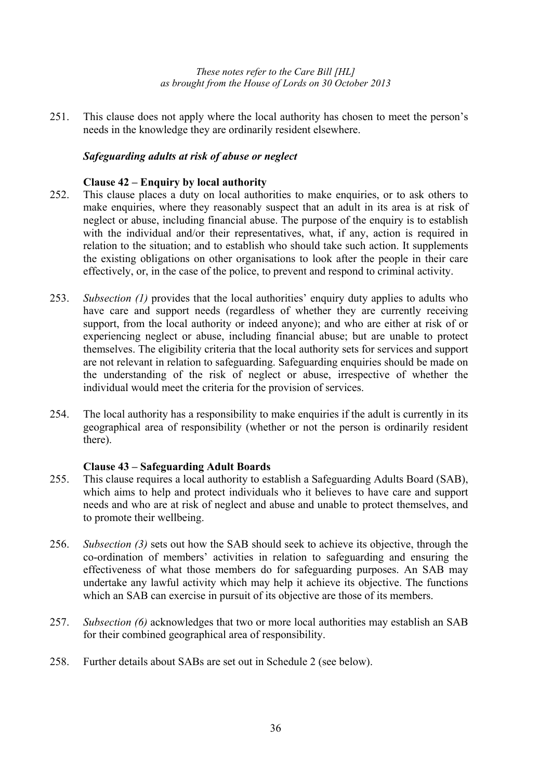251. This clause does not apply where the local authority has chosen to meet the person's needs in the knowledge they are ordinarily resident elsewhere.

# *Safeguarding adults at risk of abuse or neglect*

# **Clause 42 – Enquiry by local authority**

- 252. This clause places a duty on local authorities to make enquiries, or to ask others to make enquiries, where they reasonably suspect that an adult in its area is at risk of neglect or abuse, including financial abuse. The purpose of the enquiry is to establish with the individual and/or their representatives, what, if any, action is required in relation to the situation; and to establish who should take such action. It supplements the existing obligations on other organisations to look after the people in their care effectively, or, in the case of the police, to prevent and respond to criminal activity.
- 253. *Subsection (1)* provides that the local authorities' enquiry duty applies to adults who have care and support needs (regardless of whether they are currently receiving support, from the local authority or indeed anyone); and who are either at risk of or experiencing neglect or abuse, including financial abuse; but are unable to protect themselves. The eligibility criteria that the local authority sets for services and support are not relevant in relation to safeguarding. Safeguarding enquiries should be made on the understanding of the risk of neglect or abuse, irrespective of whether the individual would meet the criteria for the provision of services.
- 254. The local authority has a responsibility to make enquiries if the adult is currently in its geographical area of responsibility (whether or not the person is ordinarily resident there).

# **Clause 43 – Safeguarding Adult Boards**

- 255. This clause requires a local authority to establish a Safeguarding Adults Board (SAB), which aims to help and protect individuals who it believes to have care and support needs and who are at risk of neglect and abuse and unable to protect themselves, and to promote their wellbeing.
- 256. *Subsection (3)* sets out how the SAB should seek to achieve its objective, through the co-ordination of members' activities in relation to safeguarding and ensuring the effectiveness of what those members do for safeguarding purposes. An SAB may undertake any lawful activity which may help it achieve its objective. The functions which an SAB can exercise in pursuit of its objective are those of its members.
- 257. *Subsection (6)* acknowledges that two or more local authorities may establish an SAB for their combined geographical area of responsibility.
- 258. Further details about SABs are set out in Schedule 2 (see below).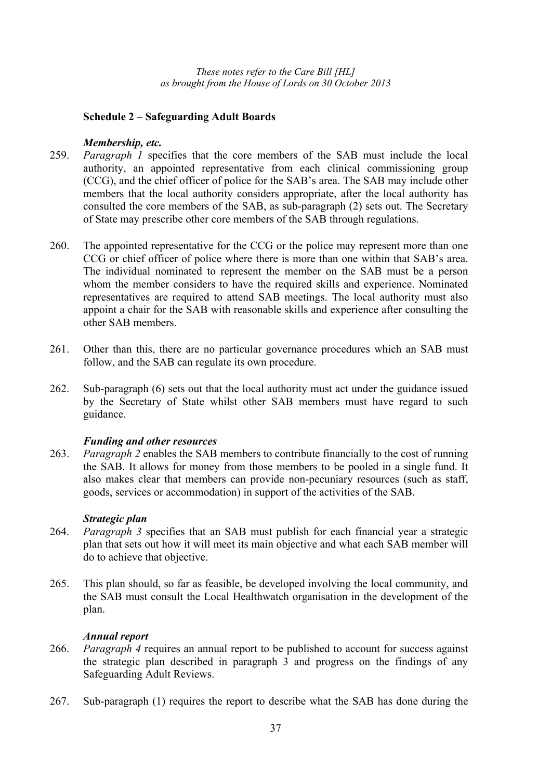## **Schedule 2 – Safeguarding Adult Boards**

## *Membership, etc.*

- 259. *Paragraph 1* specifies that the core members of the SAB must include the local authority, an appointed representative from each clinical commissioning group (CCG), and the chief officer of police for the SAB's area. The SAB may include other members that the local authority considers appropriate, after the local authority has consulted the core members of the SAB, as sub-paragraph (2) sets out. The Secretary of State may prescribe other core members of the SAB through regulations.
- 260. The appointed representative for the CCG or the police may represent more than one CCG or chief officer of police where there is more than one within that SAB's area. The individual nominated to represent the member on the SAB must be a person whom the member considers to have the required skills and experience. Nominated representatives are required to attend SAB meetings. The local authority must also appoint a chair for the SAB with reasonable skills and experience after consulting the other SAB members.
- 261. Other than this, there are no particular governance procedures which an SAB must follow, and the SAB can regulate its own procedure.
- 262. Sub-paragraph (6) sets out that the local authority must act under the guidance issued by the Secretary of State whilst other SAB members must have regard to such guidance.

# *Funding and other resources*

263. *Paragraph 2* enables the SAB members to contribute financially to the cost of running the SAB. It allows for money from those members to be pooled in a single fund. It also makes clear that members can provide non-pecuniary resources (such as staff, goods, services or accommodation) in support of the activities of the SAB.

### *Strategic plan*

- 264. *Paragraph 3* specifies that an SAB must publish for each financial year a strategic plan that sets out how it will meet its main objective and what each SAB member will do to achieve that objective.
- 265. This plan should, so far as feasible, be developed involving the local community, and the SAB must consult the Local Healthwatch organisation in the development of the plan.

### *Annual report*

- 266. *Paragraph 4* requires an annual report to be published to account for success against the strategic plan described in paragraph 3 and progress on the findings of any Safeguarding Adult Reviews.
- 267. Sub-paragraph (1) requires the report to describe what the SAB has done during the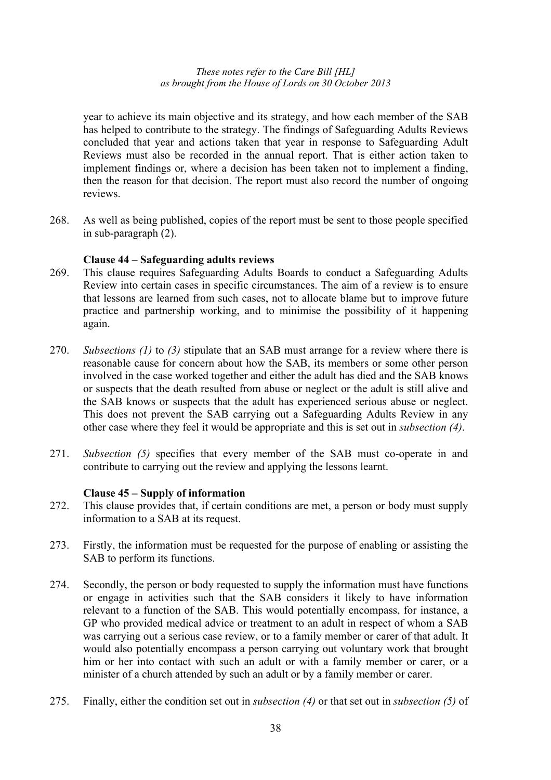year to achieve its main objective and its strategy, and how each member of the SAB has helped to contribute to the strategy. The findings of Safeguarding Adults Reviews concluded that year and actions taken that year in response to Safeguarding Adult Reviews must also be recorded in the annual report. That is either action taken to implement findings or, where a decision has been taken not to implement a finding, then the reason for that decision. The report must also record the number of ongoing reviews.

268. As well as being published, copies of the report must be sent to those people specified in sub-paragraph (2).

### **Clause 44 – Safeguarding adults reviews**

- 269. This clause requires Safeguarding Adults Boards to conduct a Safeguarding Adults Review into certain cases in specific circumstances. The aim of a review is to ensure that lessons are learned from such cases, not to allocate blame but to improve future practice and partnership working, and to minimise the possibility of it happening again.
- 270. *Subsections (1)* to *(3)* stipulate that an SAB must arrange for a review where there is reasonable cause for concern about how the SAB, its members or some other person involved in the case worked together and either the adult has died and the SAB knows or suspects that the death resulted from abuse or neglect or the adult is still alive and the SAB knows or suspects that the adult has experienced serious abuse or neglect. This does not prevent the SAB carrying out a Safeguarding Adults Review in any other case where they feel it would be appropriate and this is set out in *subsection (4)*.
- 271. *Subsection (5)* specifies that every member of the SAB must co-operate in and contribute to carrying out the review and applying the lessons learnt.

### **Clause 45 – Supply of information**

- 272. This clause provides that, if certain conditions are met, a person or body must supply information to a SAB at its request.
- 273. Firstly, the information must be requested for the purpose of enabling or assisting the SAB to perform its functions.
- 274. Secondly, the person or body requested to supply the information must have functions or engage in activities such that the SAB considers it likely to have information relevant to a function of the SAB. This would potentially encompass, for instance, a GP who provided medical advice or treatment to an adult in respect of whom a SAB was carrying out a serious case review, or to a family member or carer of that adult. It would also potentially encompass a person carrying out voluntary work that brought him or her into contact with such an adult or with a family member or carer, or a minister of a church attended by such an adult or by a family member or carer.
- 275. Finally, either the condition set out in *subsection (4)* or that set out in *subsection (5)* of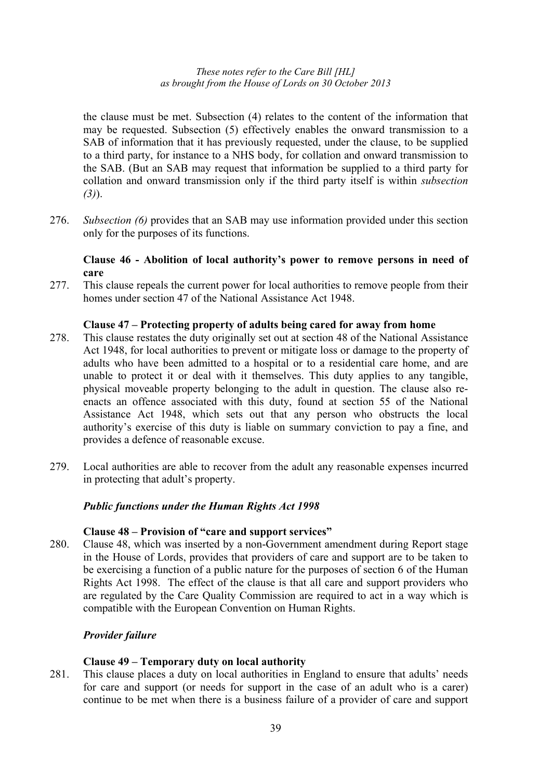the clause must be met. Subsection (4) relates to the content of the information that may be requested. Subsection (5) effectively enables the onward transmission to a SAB of information that it has previously requested, under the clause, to be supplied to a third party, for instance to a NHS body, for collation and onward transmission to the SAB. (But an SAB may request that information be supplied to a third party for collation and onward transmission only if the third party itself is within *subsection (3)*).

276. *Subsection (6)* provides that an SAB may use information provided under this section only for the purposes of its functions.

# **Clause 46 - Abolition of local authority's power to remove persons in need of care**

277. This clause repeals the current power for local authorities to remove people from their homes under section 47 of the National Assistance Act 1948.

### **Clause 47 – Protecting property of adults being cared for away from home**

- 278. This clause restates the duty originally set out at section 48 of the National Assistance Act 1948, for local authorities to prevent or mitigate loss or damage to the property of adults who have been admitted to a hospital or to a residential care home, and are unable to protect it or deal with it themselves. This duty applies to any tangible, physical moveable property belonging to the adult in question. The clause also reenacts an offence associated with this duty, found at section 55 of the National Assistance Act 1948, which sets out that any person who obstructs the local authority's exercise of this duty is liable on summary conviction to pay a fine, and provides a defence of reasonable excuse.
- 279. Local authorities are able to recover from the adult any reasonable expenses incurred in protecting that adult's property.

#### *Public functions under the Human Rights Act 1998*

#### **Clause 48 – Provision of "care and support services"**

280. Clause 48, which was inserted by a non-Government amendment during Report stage in the House of Lords, provides that providers of care and support are to be taken to be exercising a function of a public nature for the purposes of section 6 of the Human Rights Act 1998. The effect of the clause is that all care and support providers who are regulated by the Care Quality Commission are required to act in a way which is compatible with the European Convention on Human Rights.

### *Provider failure*

#### **Clause 49 – Temporary duty on local authority**

281. This clause places a duty on local authorities in England to ensure that adults' needs for care and support (or needs for support in the case of an adult who is a carer) continue to be met when there is a business failure of a provider of care and support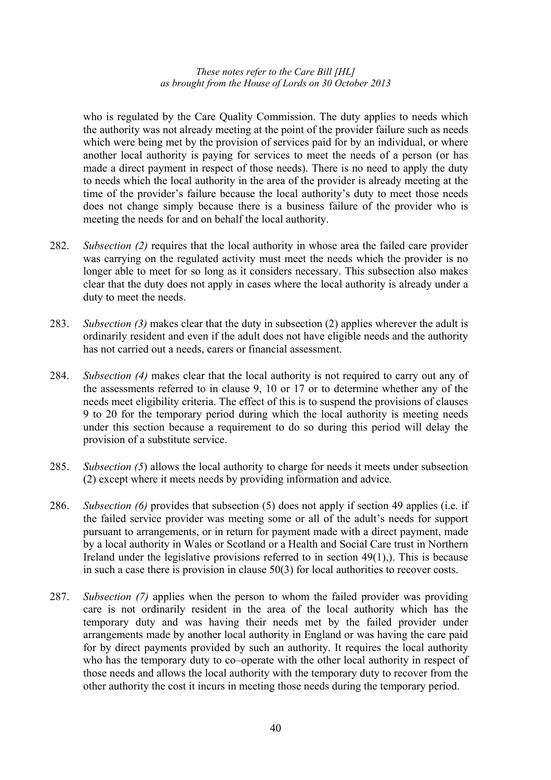who is regulated by the Care Quality Commission. The duty applies to needs which the authority was not already meeting at the point of the provider failure such as needs which were being met by the provision of services paid for by an individual, or where another local authority is paying for services to meet the needs of a person (or has made a direct payment in respect of those needs). There is no need to apply the duty to needs which the local authority in the area of the provider is already meeting at the time of the provider's failure because the local authority's duty to meet those needs does not change simply because there is a business failure of the provider who is meeting the needs for and on behalf the local authority.

- 282. *Subsection (2)* requires that the local authority in whose area the failed care provider was carrying on the regulated activity must meet the needs which the provider is no longer able to meet for so long as it considers necessary. This subsection also makes clear that the duty does not apply in cases where the local authority is already under a duty to meet the needs.
- 283. *Subsection (3)* makes clear that the duty in subsection (2) applies wherever the adult is ordinarily resident and even if the adult does not have eligible needs and the authority has not carried out a needs, carers or financial assessment.
- 284. *Subsection (4)* makes clear that the local authority is not required to carry out any of the assessments referred to in clause 9, 10 or 17 or to determine whether any of the needs meet eligibility criteria. The effect of this is to suspend the provisions of clauses 9 to 20 for the temporary period during which the local authority is meeting needs under this section because a requirement to do so during this period will delay the provision of a substitute service.
- 285. *Subsection (5*) allows the local authority to charge for needs it meets under subsection (2) except where it meets needs by providing information and advice*.*
- 286. *Subsection (6)* provides that subsection (5) does not apply if section 49 applies (i.e. if the failed service provider was meeting some or all of the adult's needs for support pursuant to arrangements, or in return for payment made with a direct payment, made by a local authority in Wales or Scotland or a Health and Social Care trust in Northern Ireland under the legislative provisions referred to in section  $49(1)$ ,). This is because in such a case there is provision in clause 50(3) for local authorities to recover costs.
- 287. *Subsection (7)* applies when the person to whom the failed provider was providing care is not ordinarily resident in the area of the local authority which has the temporary duty and was having their needs met by the failed provider under arrangements made by another local authority in England or was having the care paid for by direct payments provided by such an authority. It requires the local authority who has the temporary duty to co–operate with the other local authority in respect of those needs and allows the local authority with the temporary duty to recover from the other authority the cost it incurs in meeting those needs during the temporary period.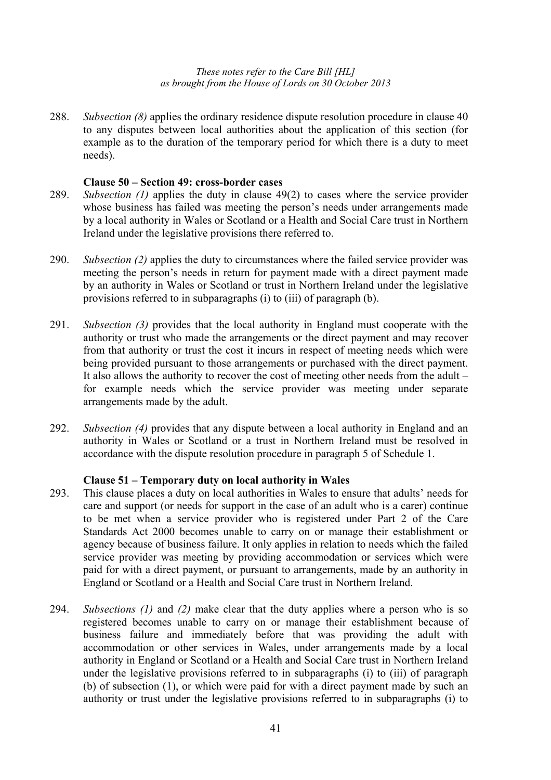288. *Subsection (8)* applies the ordinary residence dispute resolution procedure in clause 40 to any disputes between local authorities about the application of this section (for example as to the duration of the temporary period for which there is a duty to meet needs).

#### **Clause 50 – Section 49: cross-border cases**

- 289. *Subsection (1)* applies the duty in clause 49(2) to cases where the service provider whose business has failed was meeting the person's needs under arrangements made by a local authority in Wales or Scotland or a Health and Social Care trust in Northern Ireland under the legislative provisions there referred to.
- 290. *Subsection (2)* applies the duty to circumstances where the failed service provider was meeting the person's needs in return for payment made with a direct payment made by an authority in Wales or Scotland or trust in Northern Ireland under the legislative provisions referred to in subparagraphs (i) to (iii) of paragraph (b).
- 291. *Subsection (3)* provides that the local authority in England must cooperate with the authority or trust who made the arrangements or the direct payment and may recover from that authority or trust the cost it incurs in respect of meeting needs which were being provided pursuant to those arrangements or purchased with the direct payment. It also allows the authority to recover the cost of meeting other needs from the adult – for example needs which the service provider was meeting under separate arrangements made by the adult.
- 292. *Subsection (4)* provides that any dispute between a local authority in England and an authority in Wales or Scotland or a trust in Northern Ireland must be resolved in accordance with the dispute resolution procedure in paragraph 5 of Schedule 1.

### **Clause 51 – Temporary duty on local authority in Wales**

- 293. This clause places a duty on local authorities in Wales to ensure that adults' needs for care and support (or needs for support in the case of an adult who is a carer) continue to be met when a service provider who is registered under Part 2 of the Care Standards Act 2000 becomes unable to carry on or manage their establishment or agency because of business failure. It only applies in relation to needs which the failed service provider was meeting by providing accommodation or services which were paid for with a direct payment, or pursuant to arrangements, made by an authority in England or Scotland or a Health and Social Care trust in Northern Ireland.
- 294. *Subsections (1)* and *(2)* make clear that the duty applies where a person who is so registered becomes unable to carry on or manage their establishment because of business failure and immediately before that was providing the adult with accommodation or other services in Wales, under arrangements made by a local authority in England or Scotland or a Health and Social Care trust in Northern Ireland under the legislative provisions referred to in subparagraphs (i) to (iii) of paragraph (b) of subsection (1), or which were paid for with a direct payment made by such an authority or trust under the legislative provisions referred to in subparagraphs (i) to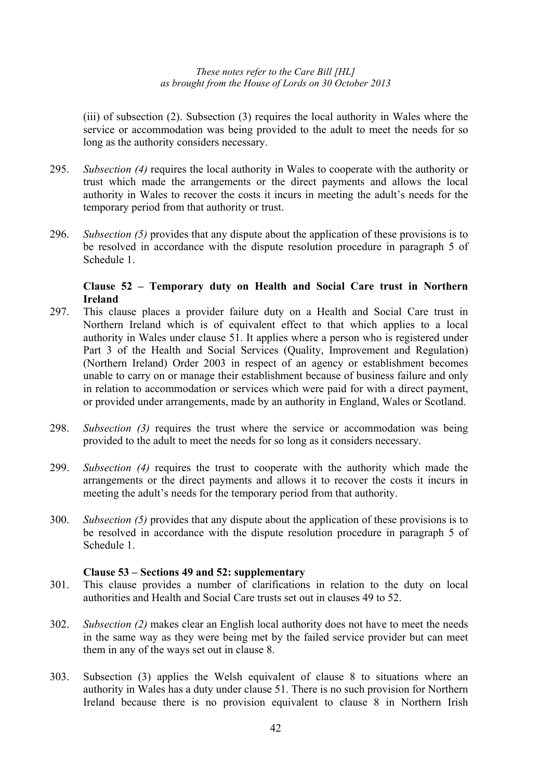(iii) of subsection (2). Subsection (3) requires the local authority in Wales where the service or accommodation was being provided to the adult to meet the needs for so long as the authority considers necessary.

- 295. *Subsection (4)* requires the local authority in Wales to cooperate with the authority or trust which made the arrangements or the direct payments and allows the local authority in Wales to recover the costs it incurs in meeting the adult's needs for the temporary period from that authority or trust.
- 296. *Subsection (5)* provides that any dispute about the application of these provisions is to be resolved in accordance with the dispute resolution procedure in paragraph 5 of Schedule 1.

# **Clause 52 – Temporary duty on Health and Social Care trust in Northern Ireland**

- 297. This clause places a provider failure duty on a Health and Social Care trust in Northern Ireland which is of equivalent effect to that which applies to a local authority in Wales under clause 51. It applies where a person who is registered under Part 3 of the Health and Social Services (Quality, Improvement and Regulation) (Northern Ireland) Order 2003 in respect of an agency or establishment becomes unable to carry on or manage their establishment because of business failure and only in relation to accommodation or services which were paid for with a direct payment, or provided under arrangements, made by an authority in England, Wales or Scotland.
- 298. *Subsection (3)* requires the trust where the service or accommodation was being provided to the adult to meet the needs for so long as it considers necessary.
- 299. *Subsection (4)* requires the trust to cooperate with the authority which made the arrangements or the direct payments and allows it to recover the costs it incurs in meeting the adult's needs for the temporary period from that authority.
- 300. *Subsection (5)* provides that any dispute about the application of these provisions is to be resolved in accordance with the dispute resolution procedure in paragraph 5 of Schedule 1.

### **Clause 53 – Sections 49 and 52: supplementary**

- 301. This clause provides a number of clarifications in relation to the duty on local authorities and Health and Social Care trusts set out in clauses 49 to 52.
- 302. *Subsection (2)* makes clear an English local authority does not have to meet the needs in the same way as they were being met by the failed service provider but can meet them in any of the ways set out in clause 8.
- 303. Subsection (3) applies the Welsh equivalent of clause 8 to situations where an authority in Wales has a duty under clause 51. There is no such provision for Northern Ireland because there is no provision equivalent to clause 8 in Northern Irish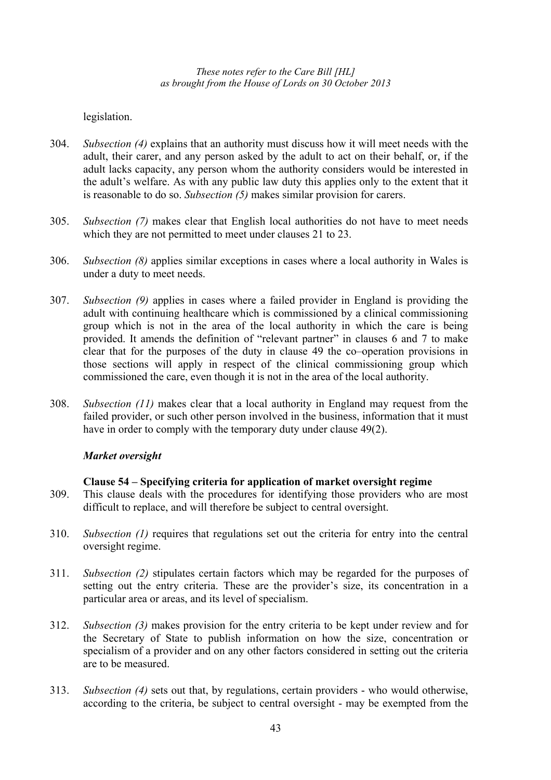legislation.

- 304. *Subsection (4)* explains that an authority must discuss how it will meet needs with the adult, their carer, and any person asked by the adult to act on their behalf, or, if the adult lacks capacity, any person whom the authority considers would be interested in the adult's welfare. As with any public law duty this applies only to the extent that it is reasonable to do so. *Subsection (5)* makes similar provision for carers.
- 305. *Subsection (7)* makes clear that English local authorities do not have to meet needs which they are not permitted to meet under clauses 21 to 23.
- 306. *Subsection (8)* applies similar exceptions in cases where a local authority in Wales is under a duty to meet needs.
- 307. *Subsection (9)* applies in cases where a failed provider in England is providing the adult with continuing healthcare which is commissioned by a clinical commissioning group which is not in the area of the local authority in which the care is being provided. It amends the definition of "relevant partner" in clauses 6 and 7 to make clear that for the purposes of the duty in clause 49 the co–operation provisions in those sections will apply in respect of the clinical commissioning group which commissioned the care, even though it is not in the area of the local authority.
- 308. *Subsection (11)* makes clear that a local authority in England may request from the failed provider, or such other person involved in the business, information that it must have in order to comply with the temporary duty under clause 49(2).

# *Market oversight*

### **Clause 54 – Specifying criteria for application of market oversight regime**

- 309. This clause deals with the procedures for identifying those providers who are most difficult to replace, and will therefore be subject to central oversight.
- 310. *Subsection (1)* requires that regulations set out the criteria for entry into the central oversight regime.
- 311. *Subsection (2)* stipulates certain factors which may be regarded for the purposes of setting out the entry criteria. These are the provider's size, its concentration in a particular area or areas, and its level of specialism.
- 312. *Subsection (3)* makes provision for the entry criteria to be kept under review and for the Secretary of State to publish information on how the size, concentration or specialism of a provider and on any other factors considered in setting out the criteria are to be measured.
- 313. *Subsection (4)* sets out that, by regulations, certain providers who would otherwise, according to the criteria, be subject to central oversight - may be exempted from the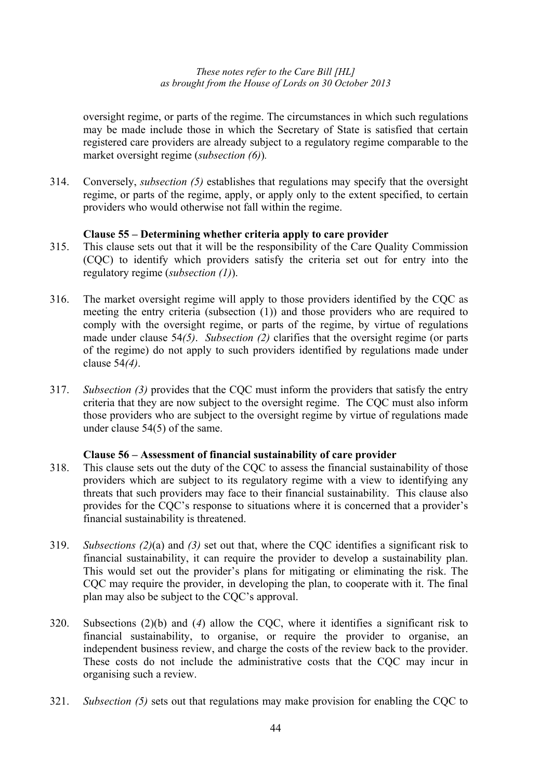oversight regime, or parts of the regime. The circumstances in which such regulations may be made include those in which the Secretary of State is satisfied that certain registered care providers are already subject to a regulatory regime comparable to the market oversight regime (*subsection (6)*)*.* 

314. Conversely, *subsection (5)* establishes that regulations may specify that the oversight regime, or parts of the regime, apply, or apply only to the extent specified, to certain providers who would otherwise not fall within the regime.

# **Clause 55 – Determining whether criteria apply to care provider**

- 315. This clause sets out that it will be the responsibility of the Care Quality Commission (CQC) to identify which providers satisfy the criteria set out for entry into the regulatory regime (*subsection (1)*).
- 316. The market oversight regime will apply to those providers identified by the CQC as meeting the entry criteria (subsection (1)) and those providers who are required to comply with the oversight regime, or parts of the regime, by virtue of regulations made under clause 54*(5)*. *Subsection (2)* clarifies that the oversight regime (or parts of the regime) do not apply to such providers identified by regulations made under clause 54*(4)*.
- 317. *Subsection (3)* provides that the CQC must inform the providers that satisfy the entry criteria that they are now subject to the oversight regime. The CQC must also inform those providers who are subject to the oversight regime by virtue of regulations made under clause 54(5) of the same.

### **Clause 56 – Assessment of financial sustainability of care provider**

- 318. This clause sets out the duty of the CQC to assess the financial sustainability of those providers which are subject to its regulatory regime with a view to identifying any threats that such providers may face to their financial sustainability. This clause also provides for the CQC's response to situations where it is concerned that a provider's financial sustainability is threatened.
- 319. *Subsections (2)*(a) and *(3)* set out that, where the CQC identifies a significant risk to financial sustainability, it can require the provider to develop a sustainability plan. This would set out the provider's plans for mitigating or eliminating the risk. The CQC may require the provider, in developing the plan, to cooperate with it. The final plan may also be subject to the CQC's approval.
- 320. Subsections (2)(b) and (*4*) allow the CQC, where it identifies a significant risk to financial sustainability, to organise, or require the provider to organise, an independent business review, and charge the costs of the review back to the provider. These costs do not include the administrative costs that the CQC may incur in organising such a review.
- 321. *Subsection (5)* sets out that regulations may make provision for enabling the CQC to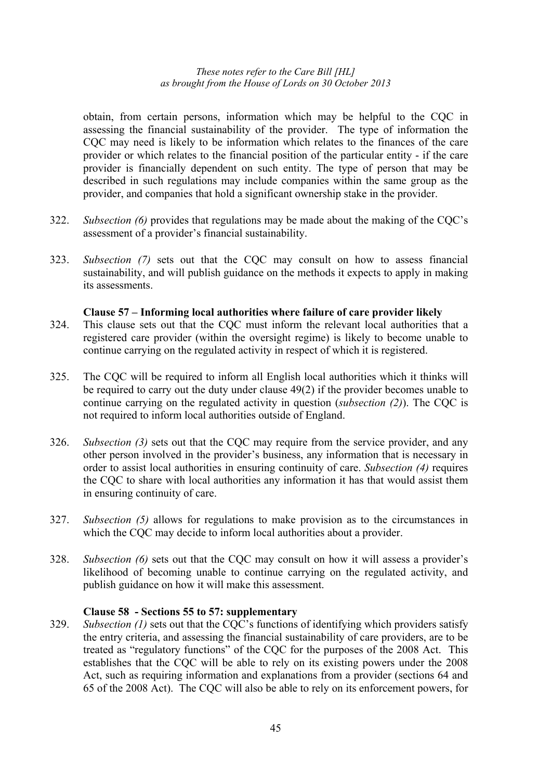obtain, from certain persons, information which may be helpful to the CQC in assessing the financial sustainability of the provider. The type of information the CQC may need is likely to be information which relates to the finances of the care provider or which relates to the financial position of the particular entity - if the care provider is financially dependent on such entity. The type of person that may be described in such regulations may include companies within the same group as the provider, and companies that hold a significant ownership stake in the provider.

- 322. *Subsection (6)* provides that regulations may be made about the making of the CQC's assessment of a provider's financial sustainability.
- 323. *Subsection (7)* sets out that the CQC may consult on how to assess financial sustainability, and will publish guidance on the methods it expects to apply in making its assessments.

#### **Clause 57 – Informing local authorities where failure of care provider likely**

- 324. This clause sets out that the CQC must inform the relevant local authorities that a registered care provider (within the oversight regime) is likely to become unable to continue carrying on the regulated activity in respect of which it is registered.
- 325. The CQC will be required to inform all English local authorities which it thinks will be required to carry out the duty under clause 49(2) if the provider becomes unable to continue carrying on the regulated activity in question (*subsection (2)*). The CQC is not required to inform local authorities outside of England.
- 326. *Subsection (3)* sets out that the CQC may require from the service provider, and any other person involved in the provider's business, any information that is necessary in order to assist local authorities in ensuring continuity of care. *Subsection (4)* requires the CQC to share with local authorities any information it has that would assist them in ensuring continuity of care.
- 327. *Subsection (5)* allows for regulations to make provision as to the circumstances in which the COC may decide to inform local authorities about a provider.
- 328. *Subsection (6)* sets out that the CQC may consult on how it will assess a provider's likelihood of becoming unable to continue carrying on the regulated activity, and publish guidance on how it will make this assessment.

### **Clause 58 - Sections 55 to 57: supplementary**

329. *Subsection (1)* sets out that the CQC's functions of identifying which providers satisfy the entry criteria, and assessing the financial sustainability of care providers, are to be treated as "regulatory functions" of the CQC for the purposes of the 2008 Act. This establishes that the CQC will be able to rely on its existing powers under the 2008 Act, such as requiring information and explanations from a provider (sections 64 and 65 of the 2008 Act). The CQC will also be able to rely on its enforcement powers, for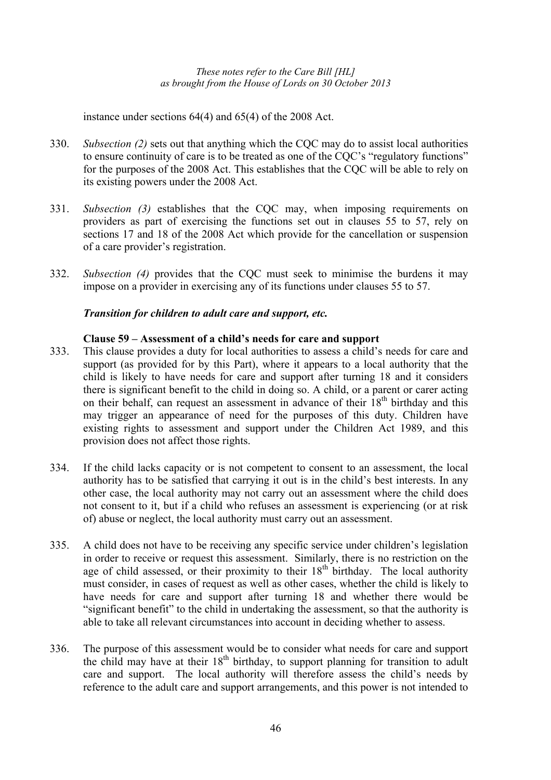instance under sections 64(4) and 65(4) of the 2008 Act.

- 330. *Subsection (2)* sets out that anything which the CQC may do to assist local authorities to ensure continuity of care is to be treated as one of the CQC's "regulatory functions" for the purposes of the 2008 Act. This establishes that the CQC will be able to rely on its existing powers under the 2008 Act.
- 331. *Subsection (3)* establishes that the CQC may, when imposing requirements on providers as part of exercising the functions set out in clauses 55 to 57, rely on sections 17 and 18 of the 2008 Act which provide for the cancellation or suspension of a care provider's registration.
- 332. *Subsection (4)* provides that the CQC must seek to minimise the burdens it may impose on a provider in exercising any of its functions under clauses 55 to 57.

# *Transition for children to adult care and support, etc.*

### **Clause 59 – Assessment of a child's needs for care and support**

- 333. This clause provides a duty for local authorities to assess a child's needs for care and support (as provided for by this Part), where it appears to a local authority that the child is likely to have needs for care and support after turning 18 and it considers there is significant benefit to the child in doing so. A child, or a parent or carer acting on their behalf, can request an assessment in advance of their  $18<sup>th</sup>$  birthday and this may trigger an appearance of need for the purposes of this duty. Children have existing rights to assessment and support under the Children Act 1989, and this provision does not affect those rights.
- 334. If the child lacks capacity or is not competent to consent to an assessment, the local authority has to be satisfied that carrying it out is in the child's best interests. In any other case, the local authority may not carry out an assessment where the child does not consent to it, but if a child who refuses an assessment is experiencing (or at risk of) abuse or neglect, the local authority must carry out an assessment.
- 335. A child does not have to be receiving any specific service under children's legislation in order to receive or request this assessment. Similarly, there is no restriction on the age of child assessed, or their proximity to their  $18<sup>th</sup>$  birthday. The local authority must consider, in cases of request as well as other cases, whether the child is likely to have needs for care and support after turning 18 and whether there would be "significant benefit" to the child in undertaking the assessment, so that the authority is able to take all relevant circumstances into account in deciding whether to assess.
- 336. The purpose of this assessment would be to consider what needs for care and support the child may have at their  $18<sup>th</sup>$  birthday, to support planning for transition to adult care and support. The local authority will therefore assess the child's needs by reference to the adult care and support arrangements, and this power is not intended to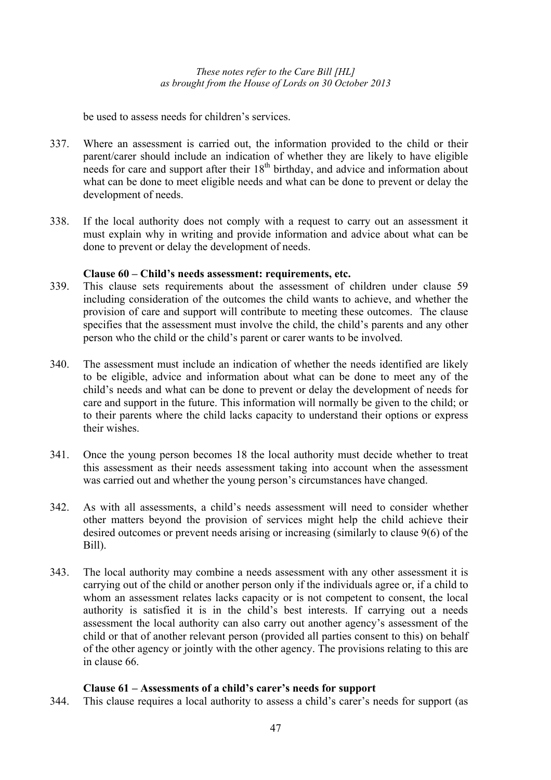be used to assess needs for children's services.

- 337. Where an assessment is carried out, the information provided to the child or their parent/carer should include an indication of whether they are likely to have eligible needs for care and support after their  $18<sup>th</sup>$  birthday, and advice and information about what can be done to meet eligible needs and what can be done to prevent or delay the development of needs.
- 338. If the local authority does not comply with a request to carry out an assessment it must explain why in writing and provide information and advice about what can be done to prevent or delay the development of needs.

# **Clause 60 – Child's needs assessment: requirements, etc.**

- 339. This clause sets requirements about the assessment of children under clause 59 including consideration of the outcomes the child wants to achieve, and whether the provision of care and support will contribute to meeting these outcomes. The clause specifies that the assessment must involve the child, the child's parents and any other person who the child or the child's parent or carer wants to be involved.
- 340. The assessment must include an indication of whether the needs identified are likely to be eligible, advice and information about what can be done to meet any of the child's needs and what can be done to prevent or delay the development of needs for care and support in the future. This information will normally be given to the child; or to their parents where the child lacks capacity to understand their options or express their wishes.
- 341. Once the young person becomes 18 the local authority must decide whether to treat this assessment as their needs assessment taking into account when the assessment was carried out and whether the young person's circumstances have changed.
- 342. As with all assessments, a child's needs assessment will need to consider whether other matters beyond the provision of services might help the child achieve their desired outcomes or prevent needs arising or increasing (similarly to clause 9(6) of the Bill).
- 343. The local authority may combine a needs assessment with any other assessment it is carrying out of the child or another person only if the individuals agree or, if a child to whom an assessment relates lacks capacity or is not competent to consent, the local authority is satisfied it is in the child's best interests. If carrying out a needs assessment the local authority can also carry out another agency's assessment of the child or that of another relevant person (provided all parties consent to this) on behalf of the other agency or jointly with the other agency. The provisions relating to this are in clause 66.

# **Clause 61 – Assessments of a child's carer's needs for support**

344. This clause requires a local authority to assess a child's carer's needs for support (as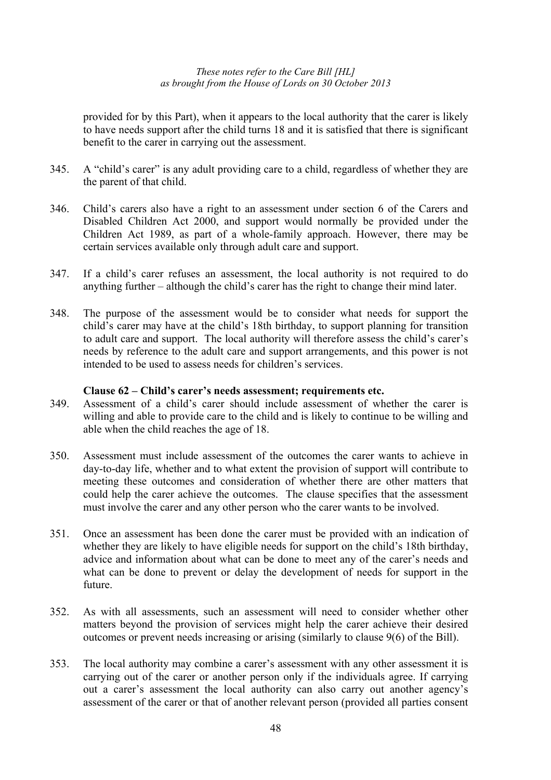provided for by this Part), when it appears to the local authority that the carer is likely to have needs support after the child turns 18 and it is satisfied that there is significant benefit to the carer in carrying out the assessment.

- 345. A "child's carer" is any adult providing care to a child, regardless of whether they are the parent of that child.
- 346. Child's carers also have a right to an assessment under section 6 of the Carers and Disabled Children Act 2000, and support would normally be provided under the Children Act 1989, as part of a whole-family approach. However, there may be certain services available only through adult care and support.
- 347. If a child's carer refuses an assessment, the local authority is not required to do anything further – although the child's carer has the right to change their mind later.
- 348. The purpose of the assessment would be to consider what needs for support the child's carer may have at the child's 18th birthday, to support planning for transition to adult care and support. The local authority will therefore assess the child's carer's needs by reference to the adult care and support arrangements, and this power is not intended to be used to assess needs for children's services.

#### **Clause 62 – Child's carer's needs assessment; requirements etc.**

- 349. Assessment of a child's carer should include assessment of whether the carer is willing and able to provide care to the child and is likely to continue to be willing and able when the child reaches the age of 18.
- 350. Assessment must include assessment of the outcomes the carer wants to achieve in day-to-day life, whether and to what extent the provision of support will contribute to meeting these outcomes and consideration of whether there are other matters that could help the carer achieve the outcomes. The clause specifies that the assessment must involve the carer and any other person who the carer wants to be involved.
- 351. Once an assessment has been done the carer must be provided with an indication of whether they are likely to have eligible needs for support on the child's 18th birthday, advice and information about what can be done to meet any of the carer's needs and what can be done to prevent or delay the development of needs for support in the future.
- 352. As with all assessments, such an assessment will need to consider whether other matters beyond the provision of services might help the carer achieve their desired outcomes or prevent needs increasing or arising (similarly to clause 9(6) of the Bill).
- 353. The local authority may combine a carer's assessment with any other assessment it is carrying out of the carer or another person only if the individuals agree. If carrying out a carer's assessment the local authority can also carry out another agency's assessment of the carer or that of another relevant person (provided all parties consent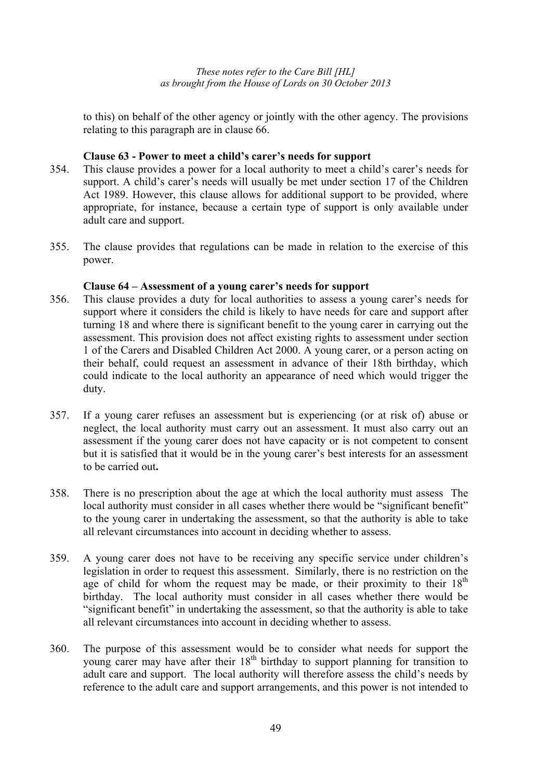to this) on behalf of the other agency or jointly with the other agency. The provisions relating to this paragraph are in clause 66.

# **Clause 63 - Power to meet a child's carer's needs for support**

- 354. This clause provides a power for a local authority to meet a child's carer's needs for support. A child's carer's needs will usually be met under section 17 of the Children Act 1989. However, this clause allows for additional support to be provided, where appropriate, for instance, because a certain type of support is only available under adult care and support.
- 355. The clause provides that regulations can be made in relation to the exercise of this power.

# **Clause 64 – Assessment of a young carer's needs for support**

- 356. This clause provides a duty for local authorities to assess a young carer's needs for support where it considers the child is likely to have needs for care and support after turning 18 and where there is significant benefit to the young carer in carrying out the assessment. This provision does not affect existing rights to assessment under section 1 of the Carers and Disabled Children Act 2000. A young carer, or a person acting on their behalf, could request an assessment in advance of their 18th birthday, which could indicate to the local authority an appearance of need which would trigger the duty.
- 357. If a young carer refuses an assessment but is experiencing (or at risk of) abuse or neglect, the local authority must carry out an assessment. It must also carry out an assessment if the young carer does not have capacity or is not competent to consent but it is satisfied that it would be in the young carer's best interests for an assessment to be carried out**.**
- 358. There is no prescription about the age at which the local authority must assess The local authority must consider in all cases whether there would be "significant benefit" to the young carer in undertaking the assessment, so that the authority is able to take all relevant circumstances into account in deciding whether to assess.
- 359. A young carer does not have to be receiving any specific service under children's legislation in order to request this assessment. Similarly, there is no restriction on the age of child for whom the request may be made, or their proximity to their  $18<sup>th</sup>$ birthday. The local authority must consider in all cases whether there would be "significant benefit" in undertaking the assessment, so that the authority is able to take all relevant circumstances into account in deciding whether to assess.
- 360. The purpose of this assessment would be to consider what needs for support the young carer may have after their 18<sup>th</sup> birthday to support planning for transition to adult care and support. The local authority will therefore assess the child's needs by reference to the adult care and support arrangements, and this power is not intended to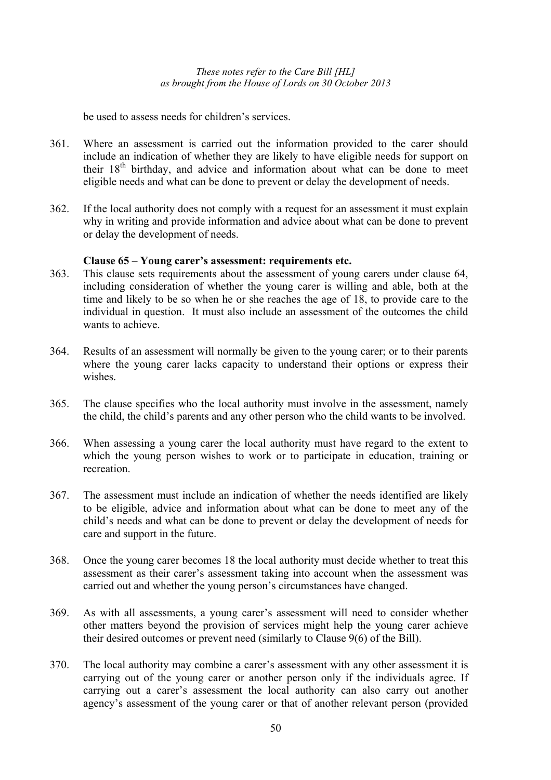be used to assess needs for children's services.

- 361. Where an assessment is carried out the information provided to the carer should include an indication of whether they are likely to have eligible needs for support on their 18<sup>th</sup> birthday, and advice and information about what can be done to meet eligible needs and what can be done to prevent or delay the development of needs.
- 362. If the local authority does not comply with a request for an assessment it must explain why in writing and provide information and advice about what can be done to prevent or delay the development of needs.

### **Clause 65 – Young carer's assessment: requirements etc.**

- 363. This clause sets requirements about the assessment of young carers under clause 64, including consideration of whether the young carer is willing and able, both at the time and likely to be so when he or she reaches the age of 18, to provide care to the individual in question. It must also include an assessment of the outcomes the child wants to achieve.
- 364. Results of an assessment will normally be given to the young carer; or to their parents where the young carer lacks capacity to understand their options or express their wishes
- 365. The clause specifies who the local authority must involve in the assessment, namely the child, the child's parents and any other person who the child wants to be involved.
- 366. When assessing a young carer the local authority must have regard to the extent to which the young person wishes to work or to participate in education, training or recreation.
- 367. The assessment must include an indication of whether the needs identified are likely to be eligible, advice and information about what can be done to meet any of the child's needs and what can be done to prevent or delay the development of needs for care and support in the future.
- 368. Once the young carer becomes 18 the local authority must decide whether to treat this assessment as their carer's assessment taking into account when the assessment was carried out and whether the young person's circumstances have changed.
- 369. As with all assessments, a young carer's assessment will need to consider whether other matters beyond the provision of services might help the young carer achieve their desired outcomes or prevent need (similarly to Clause 9(6) of the Bill).
- 370. The local authority may combine a carer's assessment with any other assessment it is carrying out of the young carer or another person only if the individuals agree. If carrying out a carer's assessment the local authority can also carry out another agency's assessment of the young carer or that of another relevant person (provided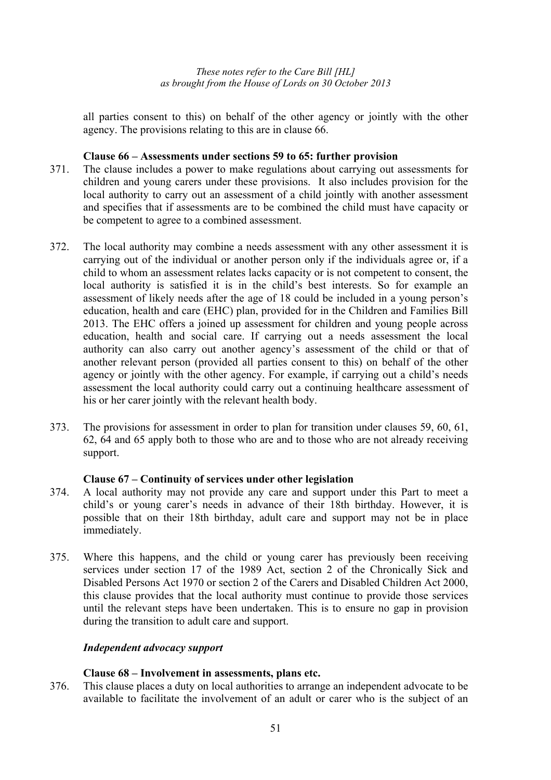all parties consent to this) on behalf of the other agency or jointly with the other agency. The provisions relating to this are in clause 66.

## **Clause 66 – Assessments under sections 59 to 65: further provision**

- 371. The clause includes a power to make regulations about carrying out assessments for children and young carers under these provisions. It also includes provision for the local authority to carry out an assessment of a child jointly with another assessment and specifies that if assessments are to be combined the child must have capacity or be competent to agree to a combined assessment.
- 372. The local authority may combine a needs assessment with any other assessment it is carrying out of the individual or another person only if the individuals agree or, if a child to whom an assessment relates lacks capacity or is not competent to consent, the local authority is satisfied it is in the child's best interests. So for example an assessment of likely needs after the age of 18 could be included in a young person's education, health and care (EHC) plan, provided for in the Children and Families Bill 2013. The EHC offers a joined up assessment for children and young people across education, health and social care. If carrying out a needs assessment the local authority can also carry out another agency's assessment of the child or that of another relevant person (provided all parties consent to this) on behalf of the other agency or jointly with the other agency. For example, if carrying out a child's needs assessment the local authority could carry out a continuing healthcare assessment of his or her carer jointly with the relevant health body.
- 373. The provisions for assessment in order to plan for transition under clauses 59, 60, 61, 62, 64 and 65 apply both to those who are and to those who are not already receiving support.

### **Clause 67 – Continuity of services under other legislation**

- 374. A local authority may not provide any care and support under this Part to meet a child's or young carer's needs in advance of their 18th birthday. However, it is possible that on their 18th birthday, adult care and support may not be in place immediately.
- 375. Where this happens, and the child or young carer has previously been receiving services under section 17 of the 1989 Act, section 2 of the Chronically Sick and Disabled Persons Act 1970 or section 2 of the Carers and Disabled Children Act 2000, this clause provides that the local authority must continue to provide those services until the relevant steps have been undertaken. This is to ensure no gap in provision during the transition to adult care and support.

### *Independent advocacy support*

# **Clause 68 – Involvement in assessments, plans etc.**

376. This clause places a duty on local authorities to arrange an independent advocate to be available to facilitate the involvement of an adult or carer who is the subject of an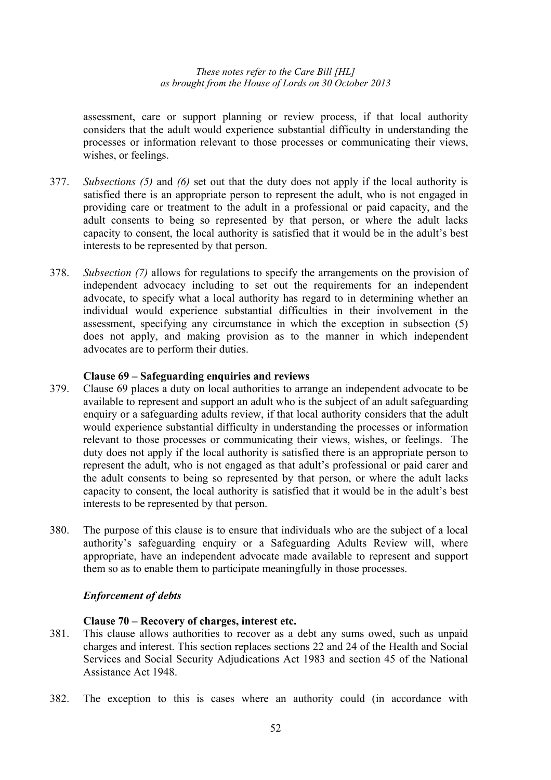assessment, care or support planning or review process, if that local authority considers that the adult would experience substantial difficulty in understanding the processes or information relevant to those processes or communicating their views, wishes, or feelings.

- 377. *Subsections (5)* and *(6)* set out that the duty does not apply if the local authority is satisfied there is an appropriate person to represent the adult, who is not engaged in providing care or treatment to the adult in a professional or paid capacity, and the adult consents to being so represented by that person, or where the adult lacks capacity to consent, the local authority is satisfied that it would be in the adult's best interests to be represented by that person.
- 378. *Subsection (7)* allows for regulations to specify the arrangements on the provision of independent advocacy including to set out the requirements for an independent advocate, to specify what a local authority has regard to in determining whether an individual would experience substantial difficulties in their involvement in the assessment, specifying any circumstance in which the exception in subsection (5) does not apply, and making provision as to the manner in which independent advocates are to perform their duties.

#### **Clause 69 – Safeguarding enquiries and reviews**

- 379. Clause 69 places a duty on local authorities to arrange an independent advocate to be available to represent and support an adult who is the subject of an adult safeguarding enquiry or a safeguarding adults review, if that local authority considers that the adult would experience substantial difficulty in understanding the processes or information relevant to those processes or communicating their views, wishes, or feelings. The duty does not apply if the local authority is satisfied there is an appropriate person to represent the adult, who is not engaged as that adult's professional or paid carer and the adult consents to being so represented by that person, or where the adult lacks capacity to consent, the local authority is satisfied that it would be in the adult's best interests to be represented by that person.
- 380. The purpose of this clause is to ensure that individuals who are the subject of a local authority's safeguarding enquiry or a Safeguarding Adults Review will, where appropriate, have an independent advocate made available to represent and support them so as to enable them to participate meaningfully in those processes.

#### *Enforcement of debts*

#### **Clause 70 – Recovery of charges, interest etc.**

- 381. This clause allows authorities to recover as a debt any sums owed, such as unpaid charges and interest. This section replaces sections 22 and 24 of the Health and Social Services and Social Security Adjudications Act 1983 and section 45 of the National Assistance Act 1948.
- 382. The exception to this is cases where an authority could (in accordance with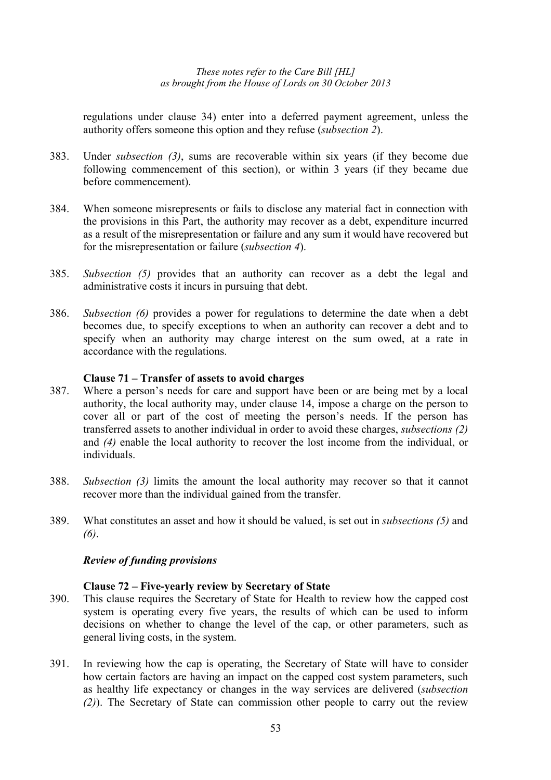regulations under clause 34) enter into a deferred payment agreement, unless the authority offers someone this option and they refuse (*subsection 2*).

- 383. Under *subsection (3)*, sums are recoverable within six years (if they become due following commencement of this section), or within 3 years (if they became due before commencement).
- 384. When someone misrepresents or fails to disclose any material fact in connection with the provisions in this Part, the authority may recover as a debt, expenditure incurred as a result of the misrepresentation or failure and any sum it would have recovered but for the misrepresentation or failure (*subsection 4*).
- 385. *Subsection (5)* provides that an authority can recover as a debt the legal and administrative costs it incurs in pursuing that debt.
- 386. *Subsection (6)* provides a power for regulations to determine the date when a debt becomes due, to specify exceptions to when an authority can recover a debt and to specify when an authority may charge interest on the sum owed, at a rate in accordance with the regulations.

### **Clause 71 – Transfer of assets to avoid charges**

- 387. Where a person's needs for care and support have been or are being met by a local authority, the local authority may, under clause 14, impose a charge on the person to cover all or part of the cost of meeting the person's needs. If the person has transferred assets to another individual in order to avoid these charges, *subsections (2)* and *(4)* enable the local authority to recover the lost income from the individual, or individuals.
- 388. *Subsection (3)* limits the amount the local authority may recover so that it cannot recover more than the individual gained from the transfer.
- 389. What constitutes an asset and how it should be valued, is set out in *subsections (5)* and *(6)*.

#### *Review of funding provisions*

## **Clause 72 – Five-yearly review by Secretary of State**

- 390. This clause requires the Secretary of State for Health to review how the capped cost system is operating every five years, the results of which can be used to inform decisions on whether to change the level of the cap, or other parameters, such as general living costs, in the system.
- 391. In reviewing how the cap is operating, the Secretary of State will have to consider how certain factors are having an impact on the capped cost system parameters, such as healthy life expectancy or changes in the way services are delivered (*subsection (2)*). The Secretary of State can commission other people to carry out the review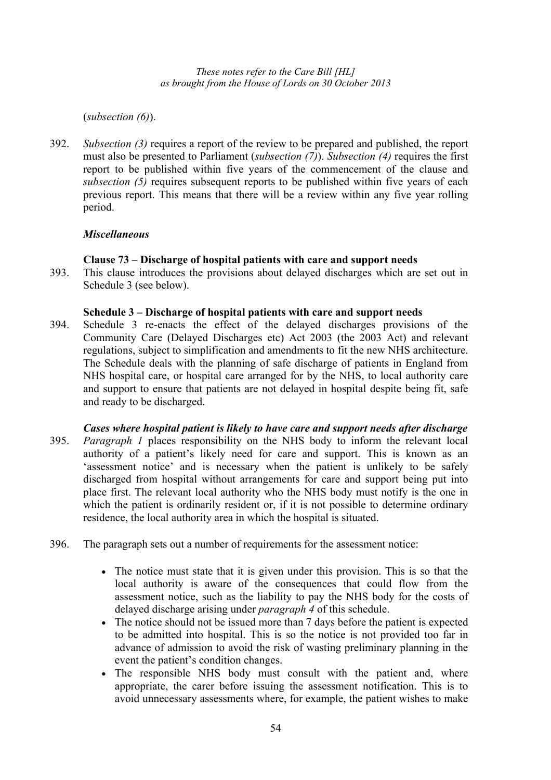(*subsection (6)*).

392. *Subsection (3)* requires a report of the review to be prepared and published, the report must also be presented to Parliament (*subsection (7)*). *Subsection (4)* requires the first report to be published within five years of the commencement of the clause and *subsection (5)* requires subsequent reports to be published within five years of each previous report. This means that there will be a review within any five year rolling period.

# *Miscellaneous*

# **Clause 73 – Discharge of hospital patients with care and support needs**

393. This clause introduces the provisions about delayed discharges which are set out in Schedule 3 (see below).

### **Schedule 3 – Discharge of hospital patients with care and support needs**

- 394. Schedule 3 re-enacts the effect of the delayed discharges provisions of the Community Care (Delayed Discharges etc) Act 2003 (the 2003 Act) and relevant regulations, subject to simplification and amendments to fit the new NHS architecture. The Schedule deals with the planning of safe discharge of patients in England from NHS hospital care, or hospital care arranged for by the NHS, to local authority care and support to ensure that patients are not delayed in hospital despite being fit, safe and ready to be discharged.
- *Cases where hospital patient is likely to have care and support needs after discharge*  395. *Paragraph 1* places responsibility on the NHS body to inform the relevant local authority of a patient's likely need for care and support. This is known as an 'assessment notice' and is necessary when the patient is unlikely to be safely discharged from hospital without arrangements for care and support being put into place first. The relevant local authority who the NHS body must notify is the one in which the patient is ordinarily resident or, if it is not possible to determine ordinary residence, the local authority area in which the hospital is situated.
- 396. The paragraph sets out a number of requirements for the assessment notice:
	- The notice must state that it is given under this provision. This is so that the local authority is aware of the consequences that could flow from the assessment notice, such as the liability to pay the NHS body for the costs of delayed discharge arising under *paragraph 4* of this schedule.
	- The notice should not be issued more than 7 days before the patient is expected to be admitted into hospital. This is so the notice is not provided too far in advance of admission to avoid the risk of wasting preliminary planning in the event the patient's condition changes.
	- The responsible NHS body must consult with the patient and, where appropriate, the carer before issuing the assessment notification. This is to avoid unnecessary assessments where, for example, the patient wishes to make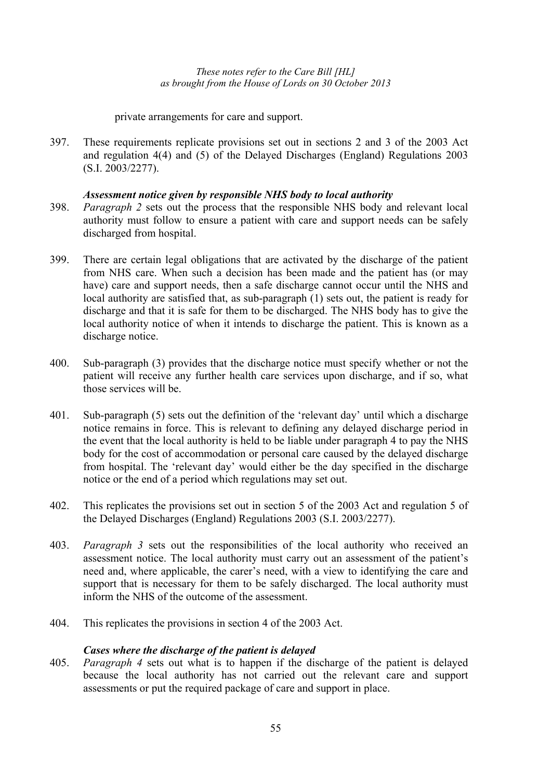private arrangements for care and support.

397. These requirements replicate provisions set out in sections 2 and 3 of the 2003 Act and regulation 4(4) and (5) of the Delayed Discharges (England) Regulations 2003 (S.I. 2003/2277).

# *Assessment notice given by responsible NHS body to local authority*

- 398. *Paragraph 2* sets out the process that the responsible NHS body and relevant local authority must follow to ensure a patient with care and support needs can be safely discharged from hospital.
- 399. There are certain legal obligations that are activated by the discharge of the patient from NHS care. When such a decision has been made and the patient has (or may have) care and support needs, then a safe discharge cannot occur until the NHS and local authority are satisfied that, as sub-paragraph (1) sets out, the patient is ready for discharge and that it is safe for them to be discharged. The NHS body has to give the local authority notice of when it intends to discharge the patient. This is known as a discharge notice.
- 400. Sub-paragraph (3) provides that the discharge notice must specify whether or not the patient will receive any further health care services upon discharge, and if so, what those services will be.
- 401. Sub-paragraph (5) sets out the definition of the 'relevant day' until which a discharge notice remains in force. This is relevant to defining any delayed discharge period in the event that the local authority is held to be liable under paragraph 4 to pay the NHS body for the cost of accommodation or personal care caused by the delayed discharge from hospital. The 'relevant day' would either be the day specified in the discharge notice or the end of a period which regulations may set out.
- 402. This replicates the provisions set out in section 5 of the 2003 Act and regulation 5 of the Delayed Discharges (England) Regulations 2003 (S.I. 2003/2277).
- 403. *Paragraph 3* sets out the responsibilities of the local authority who received an assessment notice. The local authority must carry out an assessment of the patient's need and, where applicable, the carer's need, with a view to identifying the care and support that is necessary for them to be safely discharged. The local authority must inform the NHS of the outcome of the assessment.
- 404. This replicates the provisions in section 4 of the 2003 Act.

# *Cases where the discharge of the patient is delayed*

405. *Paragraph 4* sets out what is to happen if the discharge of the patient is delayed because the local authority has not carried out the relevant care and support assessments or put the required package of care and support in place.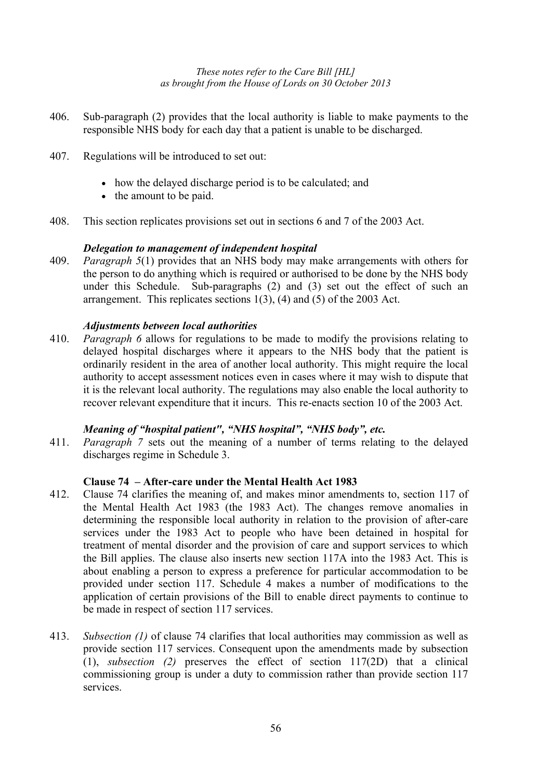- 406. Sub-paragraph (2) provides that the local authority is liable to make payments to the responsible NHS body for each day that a patient is unable to be discharged.
- 407. Regulations will be introduced to set out:
	- how the delayed discharge period is to be calculated; and
	- the amount to be paid.
- 408. This section replicates provisions set out in sections 6 and 7 of the 2003 Act.

### *Delegation to management of independent hospital*

409. *Paragraph 5*(1) provides that an NHS body may make arrangements with others for the person to do anything which is required or authorised to be done by the NHS body under this Schedule. Sub-paragraphs (2) and (3) set out the effect of such an arrangement. This replicates sections 1(3), (4) and (5) of the 2003 Act.

### *Adjustments between local authorities*

410. *Paragraph 6* allows for regulations to be made to modify the provisions relating to delayed hospital discharges where it appears to the NHS body that the patient is ordinarily resident in the area of another local authority. This might require the local authority to accept assessment notices even in cases where it may wish to dispute that it is the relevant local authority. The regulations may also enable the local authority to recover relevant expenditure that it incurs. This re-enacts section 10 of the 2003 Act.

### *Meaning of "hospital patient", "NHS hospital", "NHS body", etc.*

411. *Paragraph 7* sets out the meaning of a number of terms relating to the delayed discharges regime in Schedule 3.

### **Clause 74 – After-care under the Mental Health Act 1983**

- 412. Clause 74 clarifies the meaning of, and makes minor amendments to, section 117 of the Mental Health Act 1983 (the 1983 Act). The changes remove anomalies in determining the responsible local authority in relation to the provision of after-care services under the 1983 Act to people who have been detained in hospital for treatment of mental disorder and the provision of care and support services to which the Bill applies. The clause also inserts new section 117A into the 1983 Act. This is about enabling a person to express a preference for particular accommodation to be provided under section 117. Schedule 4 makes a number of modifications to the application of certain provisions of the Bill to enable direct payments to continue to be made in respect of section 117 services.
- 413. *Subsection (1)* of clause 74 clarifies that local authorities may commission as well as provide section 117 services. Consequent upon the amendments made by subsection (1), *subsection (2)* preserves the effect of section 117(2D) that a clinical commissioning group is under a duty to commission rather than provide section 117 services.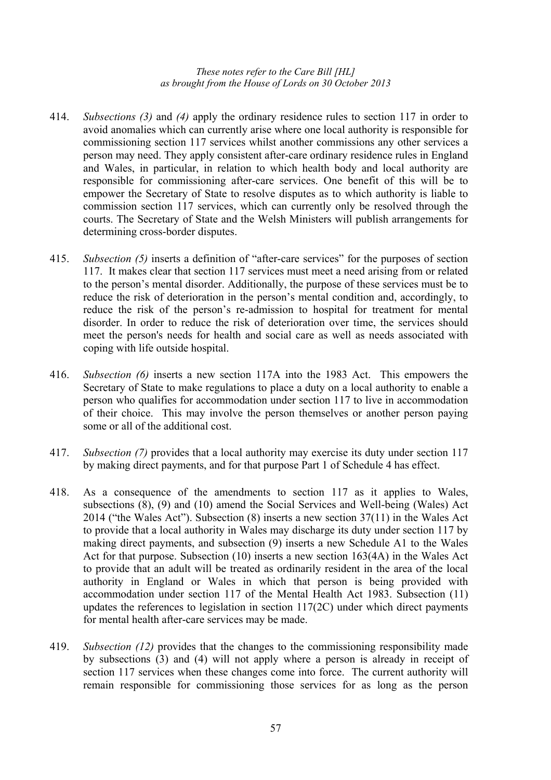- 414. *Subsections (3)* and *(4)* apply the ordinary residence rules to section 117 in order to avoid anomalies which can currently arise where one local authority is responsible for commissioning section 117 services whilst another commissions any other services a person may need. They apply consistent after-care ordinary residence rules in England and Wales, in particular, in relation to which health body and local authority are responsible for commissioning after-care services. One benefit of this will be to empower the Secretary of State to resolve disputes as to which authority is liable to commission section 117 services, which can currently only be resolved through the courts. The Secretary of State and the Welsh Ministers will publish arrangements for determining cross-border disputes.
- 415. *Subsection (5)* inserts a definition of "after-care services" for the purposes of section 117. It makes clear that section 117 services must meet a need arising from or related to the person's mental disorder. Additionally, the purpose of these services must be to reduce the risk of deterioration in the person's mental condition and, accordingly, to reduce the risk of the person's re-admission to hospital for treatment for mental disorder. In order to reduce the risk of deterioration over time, the services should meet the person's needs for health and social care as well as needs associated with coping with life outside hospital.
- 416. *Subsection (6)* inserts a new section 117A into the 1983 Act. This empowers the Secretary of State to make regulations to place a duty on a local authority to enable a person who qualifies for accommodation under section 117 to live in accommodation of their choice. This may involve the person themselves or another person paying some or all of the additional cost.
- 417. *Subsection (7)* provides that a local authority may exercise its duty under section 117 by making direct payments, and for that purpose Part 1 of Schedule 4 has effect.
- 418. As a consequence of the amendments to section 117 as it applies to Wales, subsections (8), (9) and (10) amend the Social Services and Well-being (Wales) Act 2014 ("the Wales Act"). Subsection (8) inserts a new section 37(11) in the Wales Act to provide that a local authority in Wales may discharge its duty under section 117 by making direct payments, and subsection (9) inserts a new Schedule A1 to the Wales Act for that purpose. Subsection (10) inserts a new section 163(4A) in the Wales Act to provide that an adult will be treated as ordinarily resident in the area of the local authority in England or Wales in which that person is being provided with accommodation under section 117 of the Mental Health Act 1983. Subsection (11) updates the references to legislation in section 117(2C) under which direct payments for mental health after-care services may be made.
- 419. *Subsection (12)* provides that the changes to the commissioning responsibility made by subsections (3) and (4) will not apply where a person is already in receipt of section 117 services when these changes come into force. The current authority will remain responsible for commissioning those services for as long as the person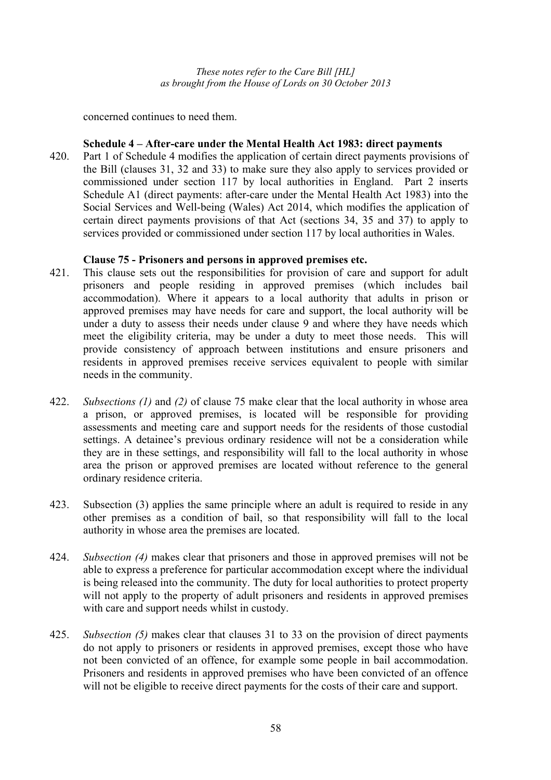concerned continues to need them.

### **Schedule 4 – After-care under the Mental Health Act 1983: direct payments**

420. Part 1 of Schedule 4 modifies the application of certain direct payments provisions of the Bill (clauses 31, 32 and 33) to make sure they also apply to services provided or commissioned under section 117 by local authorities in England. Part 2 inserts Schedule A1 (direct payments: after-care under the Mental Health Act 1983) into the Social Services and Well-being (Wales) Act 2014, which modifies the application of certain direct payments provisions of that Act (sections 34, 35 and 37) to apply to services provided or commissioned under section 117 by local authorities in Wales.

#### **Clause 75 - Prisoners and persons in approved premises etc.**

- 421. This clause sets out the responsibilities for provision of care and support for adult prisoners and people residing in approved premises (which includes bail accommodation). Where it appears to a local authority that adults in prison or approved premises may have needs for care and support, the local authority will be under a duty to assess their needs under clause 9 and where they have needs which meet the eligibility criteria, may be under a duty to meet those needs. This will provide consistency of approach between institutions and ensure prisoners and residents in approved premises receive services equivalent to people with similar needs in the community.
- 422. *Subsections (1)* and *(2)* of clause 75 make clear that the local authority in whose area a prison, or approved premises, is located will be responsible for providing assessments and meeting care and support needs for the residents of those custodial settings. A detainee's previous ordinary residence will not be a consideration while they are in these settings, and responsibility will fall to the local authority in whose area the prison or approved premises are located without reference to the general ordinary residence criteria.
- 423. Subsection (3) applies the same principle where an adult is required to reside in any other premises as a condition of bail, so that responsibility will fall to the local authority in whose area the premises are located.
- 424. *Subsection (4)* makes clear that prisoners and those in approved premises will not be able to express a preference for particular accommodation except where the individual is being released into the community. The duty for local authorities to protect property will not apply to the property of adult prisoners and residents in approved premises with care and support needs whilst in custody.
- 425. *Subsection (5)* makes clear that clauses 31 to 33 on the provision of direct payments do not apply to prisoners or residents in approved premises, except those who have not been convicted of an offence, for example some people in bail accommodation. Prisoners and residents in approved premises who have been convicted of an offence will not be eligible to receive direct payments for the costs of their care and support.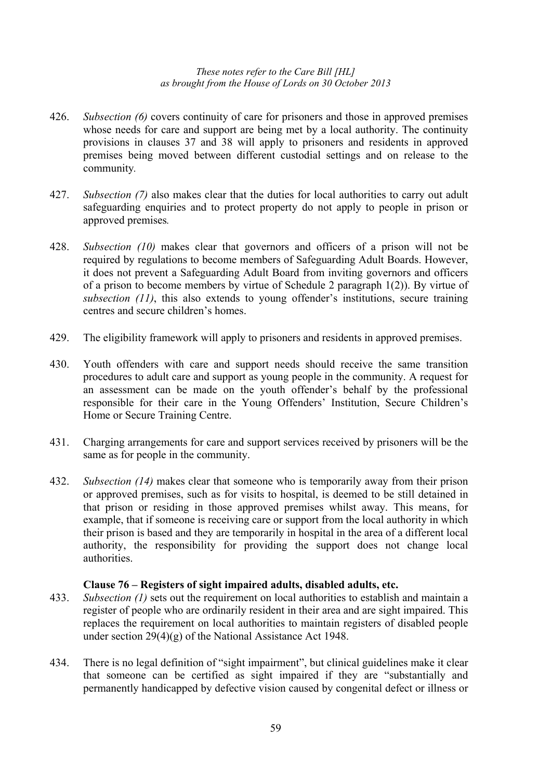- 426. *Subsection (6)* covers continuity of care for prisoners and those in approved premises whose needs for care and support are being met by a local authority. The continuity provisions in clauses 37 and 38 will apply to prisoners and residents in approved premises being moved between different custodial settings and on release to the community*.*
- 427. *Subsection (7)* also makes clear that the duties for local authorities to carry out adult safeguarding enquiries and to protect property do not apply to people in prison or approved premises*.*
- 428. *Subsection (10)* makes clear that governors and officers of a prison will not be required by regulations to become members of Safeguarding Adult Boards. However, it does not prevent a Safeguarding Adult Board from inviting governors and officers of a prison to become members by virtue of Schedule 2 paragraph 1(2)). By virtue of *subsection (11)*, this also extends to young offender's institutions, secure training centres and secure children's homes.
- 429. The eligibility framework will apply to prisoners and residents in approved premises.
- 430. Youth offenders with care and support needs should receive the same transition procedures to adult care and support as young people in the community. A request for an assessment can be made on the youth offender's behalf by the professional responsible for their care in the Young Offenders' Institution, Secure Children's Home or Secure Training Centre.
- 431. Charging arrangements for care and support services received by prisoners will be the same as for people in the community.
- 432. *Subsection (14)* makes clear that someone who is temporarily away from their prison or approved premises, such as for visits to hospital, is deemed to be still detained in that prison or residing in those approved premises whilst away. This means, for example, that if someone is receiving care or support from the local authority in which their prison is based and they are temporarily in hospital in the area of a different local authority, the responsibility for providing the support does not change local authorities.

### **Clause 76 – Registers of sight impaired adults, disabled adults, etc.**

- 433. *Subsection (1)* sets out the requirement on local authorities to establish and maintain a register of people who are ordinarily resident in their area and are sight impaired. This replaces the requirement on local authorities to maintain registers of disabled people under section 29(4)(g) of the National Assistance Act 1948.
- 434. There is no legal definition of "sight impairment", but clinical guidelines make it clear that someone can be certified as sight impaired if they are "substantially and permanently handicapped by defective vision caused by congenital defect or illness or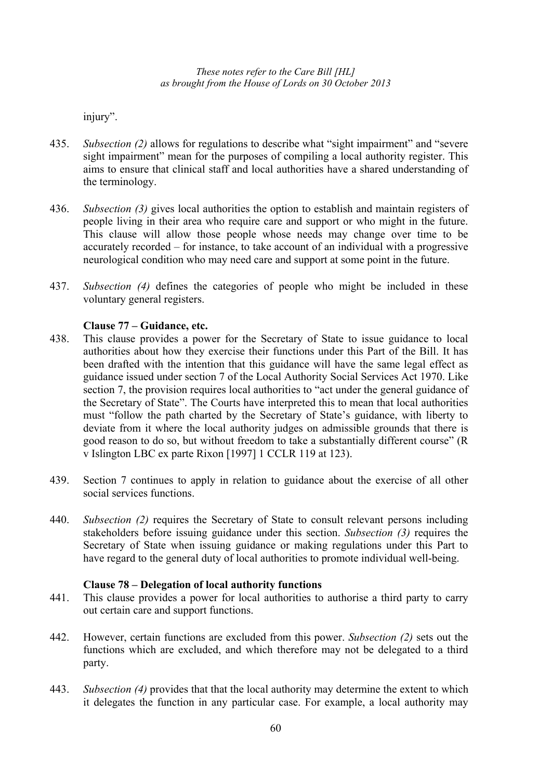injury".

- 435. *Subsection (2)* allows for regulations to describe what "sight impairment" and "severe sight impairment" mean for the purposes of compiling a local authority register. This aims to ensure that clinical staff and local authorities have a shared understanding of the terminology.
- 436. *Subsection (3)* gives local authorities the option to establish and maintain registers of people living in their area who require care and support or who might in the future. This clause will allow those people whose needs may change over time to be accurately recorded – for instance, to take account of an individual with a progressive neurological condition who may need care and support at some point in the future.
- 437. *Subsection (4)* defines the categories of people who might be included in these voluntary general registers.

# **Clause 77 – Guidance, etc.**

- 438. This clause provides a power for the Secretary of State to issue guidance to local authorities about how they exercise their functions under this Part of the Bill. It has been drafted with the intention that this guidance will have the same legal effect as guidance issued under section 7 of the Local Authority Social Services Act 1970. Like section 7, the provision requires local authorities to "act under the general guidance of the Secretary of State". The Courts have interpreted this to mean that local authorities must "follow the path charted by the Secretary of State's guidance, with liberty to deviate from it where the local authority judges on admissible grounds that there is good reason to do so, but without freedom to take a substantially different course" (R v Islington LBC ex parte Rixon [1997] 1 CCLR 119 at 123).
- 439. Section 7 continues to apply in relation to guidance about the exercise of all other social services functions.
- 440. *Subsection (2)* requires the Secretary of State to consult relevant persons including stakeholders before issuing guidance under this section. *Subsection (3)* requires the Secretary of State when issuing guidance or making regulations under this Part to have regard to the general duty of local authorities to promote individual well-being.

### **Clause 78 – Delegation of local authority functions**

- 441. This clause provides a power for local authorities to authorise a third party to carry out certain care and support functions.
- 442. However, certain functions are excluded from this power. *Subsection (2)* sets out the functions which are excluded, and which therefore may not be delegated to a third party.
- 443. *Subsection (4)* provides that that the local authority may determine the extent to which it delegates the function in any particular case. For example, a local authority may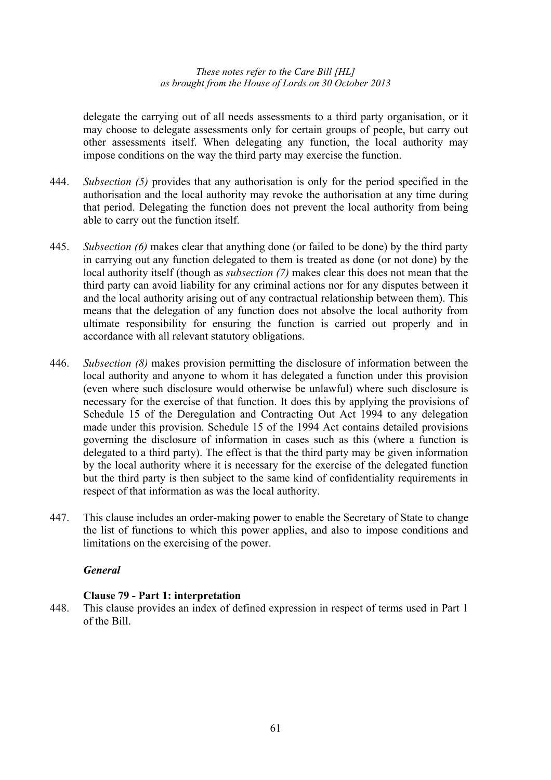delegate the carrying out of all needs assessments to a third party organisation, or it may choose to delegate assessments only for certain groups of people, but carry out other assessments itself. When delegating any function, the local authority may impose conditions on the way the third party may exercise the function.

- 444. *Subsection (5)* provides that any authorisation is only for the period specified in the authorisation and the local authority may revoke the authorisation at any time during that period. Delegating the function does not prevent the local authority from being able to carry out the function itself.
- 445. *Subsection (6)* makes clear that anything done (or failed to be done) by the third party in carrying out any function delegated to them is treated as done (or not done) by the local authority itself (though as *subsection (7)* makes clear this does not mean that the third party can avoid liability for any criminal actions nor for any disputes between it and the local authority arising out of any contractual relationship between them). This means that the delegation of any function does not absolve the local authority from ultimate responsibility for ensuring the function is carried out properly and in accordance with all relevant statutory obligations.
- 446. *Subsection (8)* makes provision permitting the disclosure of information between the local authority and anyone to whom it has delegated a function under this provision (even where such disclosure would otherwise be unlawful) where such disclosure is necessary for the exercise of that function. It does this by applying the provisions of Schedule 15 of the Deregulation and Contracting Out Act 1994 to any delegation made under this provision. Schedule 15 of the 1994 Act contains detailed provisions governing the disclosure of information in cases such as this (where a function is delegated to a third party). The effect is that the third party may be given information by the local authority where it is necessary for the exercise of the delegated function but the third party is then subject to the same kind of confidentiality requirements in respect of that information as was the local authority.
- 447. This clause includes an order-making power to enable the Secretary of State to change the list of functions to which this power applies, and also to impose conditions and limitations on the exercising of the power.

# *General*

# **Clause 79 - Part 1: interpretation**

448. This clause provides an index of defined expression in respect of terms used in Part 1 of the Bill.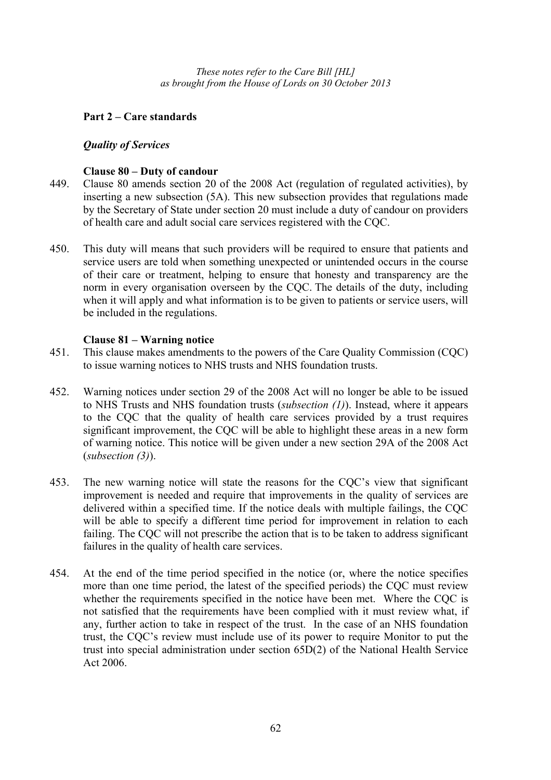# **Part 2 – Care standards**

## *Quality of Services*

## **Clause 80 – Duty of candour**

- 449. Clause 80 amends section 20 of the 2008 Act (regulation of regulated activities), by inserting a new subsection (5A). This new subsection provides that regulations made by the Secretary of State under section 20 must include a duty of candour on providers of health care and adult social care services registered with the CQC.
- 450. This duty will means that such providers will be required to ensure that patients and service users are told when something unexpected or unintended occurs in the course of their care or treatment, helping to ensure that honesty and transparency are the norm in every organisation overseen by the CQC. The details of the duty, including when it will apply and what information is to be given to patients or service users, will be included in the regulations.

# **Clause 81 – Warning notice**

- 451. This clause makes amendments to the powers of the Care Quality Commission (CQC) to issue warning notices to NHS trusts and NHS foundation trusts.
- 452. Warning notices under section 29 of the 2008 Act will no longer be able to be issued to NHS Trusts and NHS foundation trusts (*subsection (1)*). Instead, where it appears to the CQC that the quality of health care services provided by a trust requires significant improvement, the CQC will be able to highlight these areas in a new form of warning notice. This notice will be given under a new section 29A of the 2008 Act (*subsection (3)*).
- 453. The new warning notice will state the reasons for the CQC's view that significant improvement is needed and require that improvements in the quality of services are delivered within a specified time. If the notice deals with multiple failings, the CQC will be able to specify a different time period for improvement in relation to each failing. The CQC will not prescribe the action that is to be taken to address significant failures in the quality of health care services.
- 454. At the end of the time period specified in the notice (or, where the notice specifies more than one time period, the latest of the specified periods) the CQC must review whether the requirements specified in the notice have been met. Where the CQC is not satisfied that the requirements have been complied with it must review what, if any, further action to take in respect of the trust. In the case of an NHS foundation trust, the CQC's review must include use of its power to require Monitor to put the trust into special administration under section 65D(2) of the National Health Service Act 2006.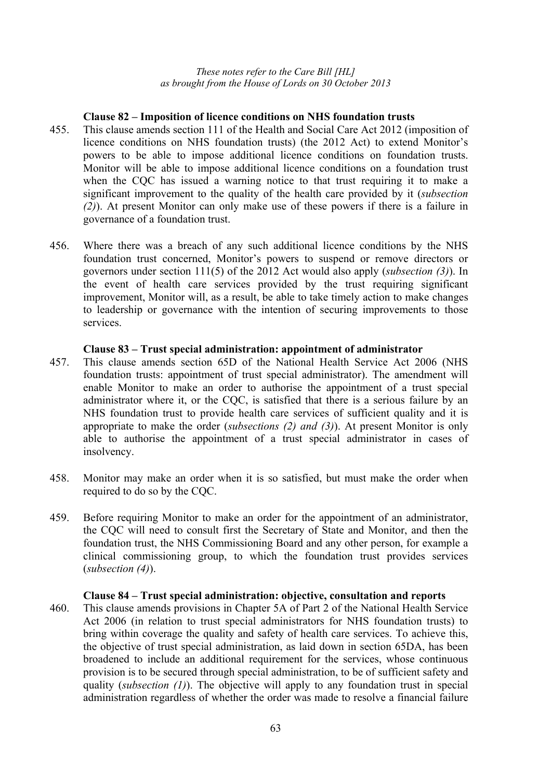#### **Clause 82 – Imposition of licence conditions on NHS foundation trusts**

- 455. This clause amends section 111 of the Health and Social Care Act 2012 (imposition of licence conditions on NHS foundation trusts) (the 2012 Act) to extend Monitor's powers to be able to impose additional licence conditions on foundation trusts. Monitor will be able to impose additional licence conditions on a foundation trust when the CQC has issued a warning notice to that trust requiring it to make a significant improvement to the quality of the health care provided by it (*subsection (2)*). At present Monitor can only make use of these powers if there is a failure in governance of a foundation trust.
- 456. Where there was a breach of any such additional licence conditions by the NHS foundation trust concerned, Monitor's powers to suspend or remove directors or governors under section 111(5) of the 2012 Act would also apply (*subsection (3)*). In the event of health care services provided by the trust requiring significant improvement, Monitor will, as a result, be able to take timely action to make changes to leadership or governance with the intention of securing improvements to those services.

#### **Clause 83 – Trust special administration: appointment of administrator**

- 457. This clause amends section 65D of the National Health Service Act 2006 (NHS foundation trusts: appointment of trust special administrator). The amendment will enable Monitor to make an order to authorise the appointment of a trust special administrator where it, or the CQC, is satisfied that there is a serious failure by an NHS foundation trust to provide health care services of sufficient quality and it is appropriate to make the order (*subsections (2) and (3)*). At present Monitor is only able to authorise the appointment of a trust special administrator in cases of insolvency.
- 458. Monitor may make an order when it is so satisfied, but must make the order when required to do so by the CQC.
- 459. Before requiring Monitor to make an order for the appointment of an administrator, the CQC will need to consult first the Secretary of State and Monitor, and then the foundation trust, the NHS Commissioning Board and any other person, for example a clinical commissioning group, to which the foundation trust provides services (*subsection (4)*).

#### **Clause 84 – Trust special administration: objective, consultation and reports**

460. This clause amends provisions in Chapter 5A of Part 2 of the National Health Service Act 2006 (in relation to trust special administrators for NHS foundation trusts) to bring within coverage the quality and safety of health care services. To achieve this, the objective of trust special administration, as laid down in section 65DA, has been broadened to include an additional requirement for the services, whose continuous provision is to be secured through special administration, to be of sufficient safety and quality (*subsection (1)*). The objective will apply to any foundation trust in special administration regardless of whether the order was made to resolve a financial failure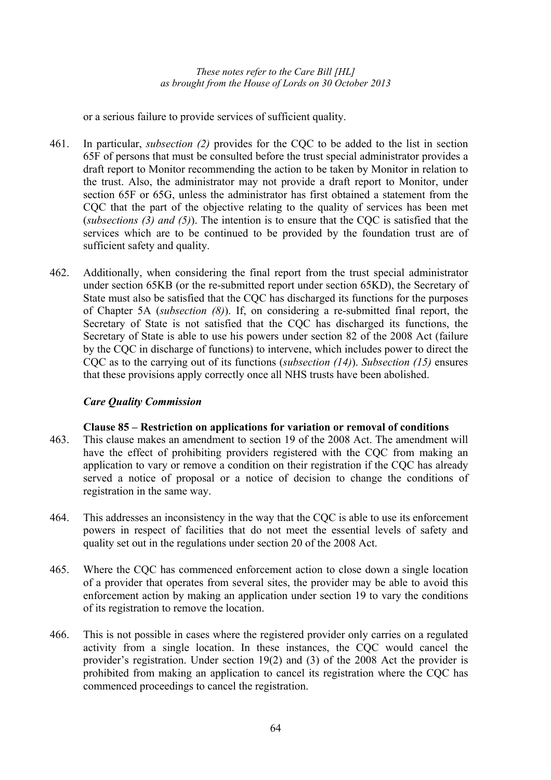or a serious failure to provide services of sufficient quality.

- 461. In particular, *subsection (2)* provides for the CQC to be added to the list in section 65F of persons that must be consulted before the trust special administrator provides a draft report to Monitor recommending the action to be taken by Monitor in relation to the trust. Also, the administrator may not provide a draft report to Monitor, under section 65F or 65G, unless the administrator has first obtained a statement from the CQC that the part of the objective relating to the quality of services has been met (*subsections (3) and (5)*). The intention is to ensure that the CQC is satisfied that the services which are to be continued to be provided by the foundation trust are of sufficient safety and quality.
- 462. Additionally, when considering the final report from the trust special administrator under section 65KB (or the re-submitted report under section 65KD), the Secretary of State must also be satisfied that the CQC has discharged its functions for the purposes of Chapter 5A (*subsection (8)*). If, on considering a re-submitted final report, the Secretary of State is not satisfied that the CQC has discharged its functions, the Secretary of State is able to use his powers under section 82 of the 2008 Act (failure by the CQC in discharge of functions) to intervene, which includes power to direct the CQC as to the carrying out of its functions (*subsection (14)*). *Subsection (15)* ensures that these provisions apply correctly once all NHS trusts have been abolished.

# *Care Quality Commission*

### **Clause 85 – Restriction on applications for variation or removal of conditions**

- 463. This clause makes an amendment to section 19 of the 2008 Act. The amendment will have the effect of prohibiting providers registered with the CQC from making an application to vary or remove a condition on their registration if the CQC has already served a notice of proposal or a notice of decision to change the conditions of registration in the same way.
- 464. This addresses an inconsistency in the way that the CQC is able to use its enforcement powers in respect of facilities that do not meet the essential levels of safety and quality set out in the regulations under section 20 of the 2008 Act.
- 465. Where the CQC has commenced enforcement action to close down a single location of a provider that operates from several sites, the provider may be able to avoid this enforcement action by making an application under section 19 to vary the conditions of its registration to remove the location.
- 466. This is not possible in cases where the registered provider only carries on a regulated activity from a single location. In these instances, the CQC would cancel the provider's registration. Under section 19(2) and (3) of the 2008 Act the provider is prohibited from making an application to cancel its registration where the CQC has commenced proceedings to cancel the registration.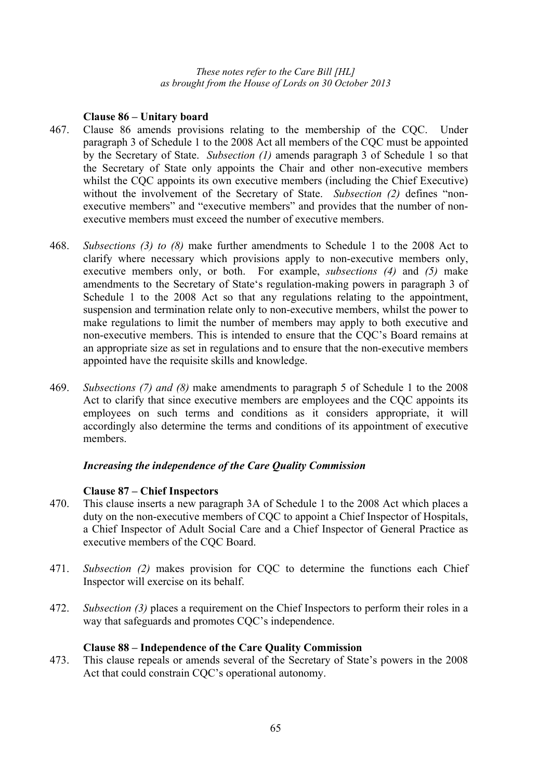# **Clause 86 – Unitary board**

- 467. Clause 86 amends provisions relating to the membership of the CQC. Under paragraph 3 of Schedule 1 to the 2008 Act all members of the CQC must be appointed by the Secretary of State. *Subsection (1)* amends paragraph 3 of Schedule 1 so that the Secretary of State only appoints the Chair and other non-executive members whilst the CQC appoints its own executive members (including the Chief Executive) without the involvement of the Secretary of State. *Subsection (2)* defines "nonexecutive members" and "executive members" and provides that the number of nonexecutive members must exceed the number of executive members.
- 468. *Subsections (3) to (8)* make further amendments to Schedule 1 to the 2008 Act to clarify where necessary which provisions apply to non-executive members only, executive members only, or both. For example, *subsections (4)* and *(5)* make amendments to the Secretary of State's regulation-making powers in paragraph 3 of Schedule 1 to the 2008 Act so that any regulations relating to the appointment, suspension and termination relate only to non-executive members, whilst the power to make regulations to limit the number of members may apply to both executive and non-executive members. This is intended to ensure that the CQC's Board remains at an appropriate size as set in regulations and to ensure that the non-executive members appointed have the requisite skills and knowledge.
- 469. *Subsections (7) and (8)* make amendments to paragraph 5 of Schedule 1 to the 2008 Act to clarify that since executive members are employees and the CQC appoints its employees on such terms and conditions as it considers appropriate, it will accordingly also determine the terms and conditions of its appointment of executive members.

# *Increasing the independence of the Care Quality Commission*

# **Clause 87 – Chief Inspectors**

- 470. This clause inserts a new paragraph 3A of Schedule 1 to the 2008 Act which places a duty on the non-executive members of CQC to appoint a Chief Inspector of Hospitals, a Chief Inspector of Adult Social Care and a Chief Inspector of General Practice as executive members of the CQC Board.
- 471. *Subsection (2)* makes provision for CQC to determine the functions each Chief Inspector will exercise on its behalf.
- 472. *Subsection (3)* places a requirement on the Chief Inspectors to perform their roles in a way that safeguards and promotes CQC's independence.

# **Clause 88 – Independence of the Care Quality Commission**

473. This clause repeals or amends several of the Secretary of State's powers in the 2008 Act that could constrain CQC's operational autonomy.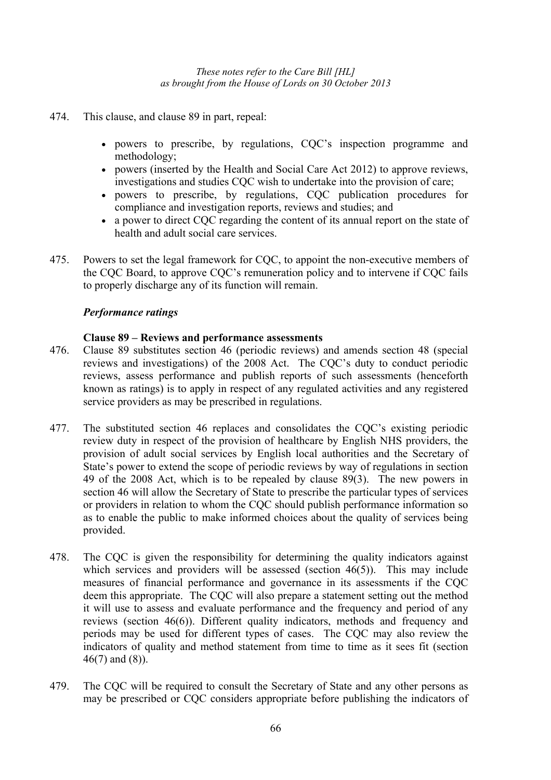- 474. This clause, and clause 89 in part, repeal:
	- powers to prescribe, by regulations, CQC's inspection programme and methodology;
	- powers (inserted by the Health and Social Care Act 2012) to approve reviews, investigations and studies CQC wish to undertake into the provision of care;
	- powers to prescribe, by regulations, CQC publication procedures for compliance and investigation reports, reviews and studies; and
	- a power to direct COC regarding the content of its annual report on the state of health and adult social care services.
- 475. Powers to set the legal framework for CQC, to appoint the non-executive members of the CQC Board, to approve CQC's remuneration policy and to intervene if CQC fails to properly discharge any of its function will remain.

### *Performance ratings*

# **Clause 89 – Reviews and performance assessments**

- 476. Clause 89 substitutes section 46 (periodic reviews) and amends section 48 (special reviews and investigations) of the 2008 Act. The CQC's duty to conduct periodic reviews, assess performance and publish reports of such assessments (henceforth known as ratings) is to apply in respect of any regulated activities and any registered service providers as may be prescribed in regulations.
- 477. The substituted section 46 replaces and consolidates the CQC's existing periodic review duty in respect of the provision of healthcare by English NHS providers, the provision of adult social services by English local authorities and the Secretary of State's power to extend the scope of periodic reviews by way of regulations in section 49 of the 2008 Act, which is to be repealed by clause 89(3). The new powers in section 46 will allow the Secretary of State to prescribe the particular types of services or providers in relation to whom the CQC should publish performance information so as to enable the public to make informed choices about the quality of services being provided.
- 478. The CQC is given the responsibility for determining the quality indicators against which services and providers will be assessed (section 46(5)). This may include measures of financial performance and governance in its assessments if the CQC deem this appropriate. The CQC will also prepare a statement setting out the method it will use to assess and evaluate performance and the frequency and period of any reviews (section 46(6)). Different quality indicators, methods and frequency and periods may be used for different types of cases. The CQC may also review the indicators of quality and method statement from time to time as it sees fit (section 46(7) and (8)).
- 479. The CQC will be required to consult the Secretary of State and any other persons as may be prescribed or CQC considers appropriate before publishing the indicators of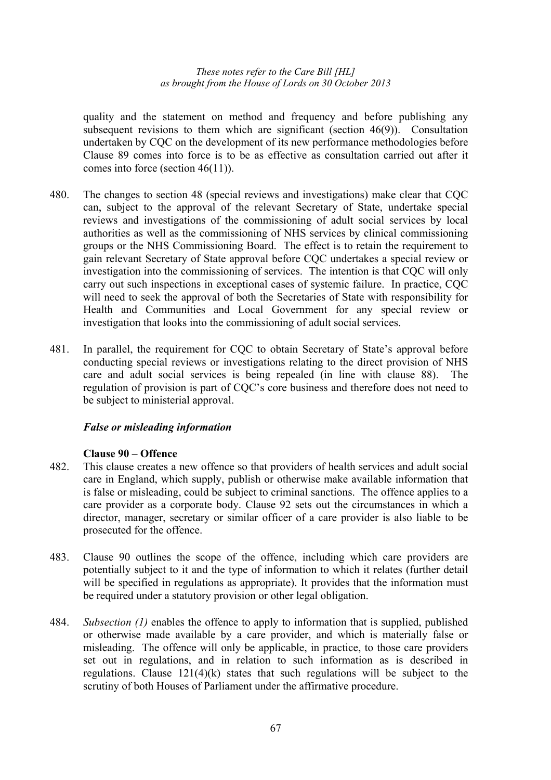quality and the statement on method and frequency and before publishing any subsequent revisions to them which are significant (section 46(9)). Consultation undertaken by CQC on the development of its new performance methodologies before Clause 89 comes into force is to be as effective as consultation carried out after it comes into force (section 46(11)).

- 480. The changes to section 48 (special reviews and investigations) make clear that CQC can, subject to the approval of the relevant Secretary of State, undertake special reviews and investigations of the commissioning of adult social services by local authorities as well as the commissioning of NHS services by clinical commissioning groups or the NHS Commissioning Board. The effect is to retain the requirement to gain relevant Secretary of State approval before CQC undertakes a special review or investigation into the commissioning of services. The intention is that CQC will only carry out such inspections in exceptional cases of systemic failure. In practice, CQC will need to seek the approval of both the Secretaries of State with responsibility for Health and Communities and Local Government for any special review or investigation that looks into the commissioning of adult social services.
- 481. In parallel, the requirement for CQC to obtain Secretary of State's approval before conducting special reviews or investigations relating to the direct provision of NHS care and adult social services is being repealed (in line with clause 88). The regulation of provision is part of CQC's core business and therefore does not need to be subject to ministerial approval.

### *False or misleading information*

#### **Clause 90 – Offence**

- 482. This clause creates a new offence so that providers of health services and adult social care in England, which supply, publish or otherwise make available information that is false or misleading, could be subject to criminal sanctions. The offence applies to a care provider as a corporate body. Clause 92 sets out the circumstances in which a director, manager, secretary or similar officer of a care provider is also liable to be prosecuted for the offence.
- 483. Clause 90 outlines the scope of the offence, including which care providers are potentially subject to it and the type of information to which it relates (further detail will be specified in regulations as appropriate). It provides that the information must be required under a statutory provision or other legal obligation.
- 484. *Subsection (1)* enables the offence to apply to information that is supplied, published or otherwise made available by a care provider, and which is materially false or misleading. The offence will only be applicable, in practice, to those care providers set out in regulations, and in relation to such information as is described in regulations. Clause  $121(4)(k)$  states that such regulations will be subject to the scrutiny of both Houses of Parliament under the affirmative procedure.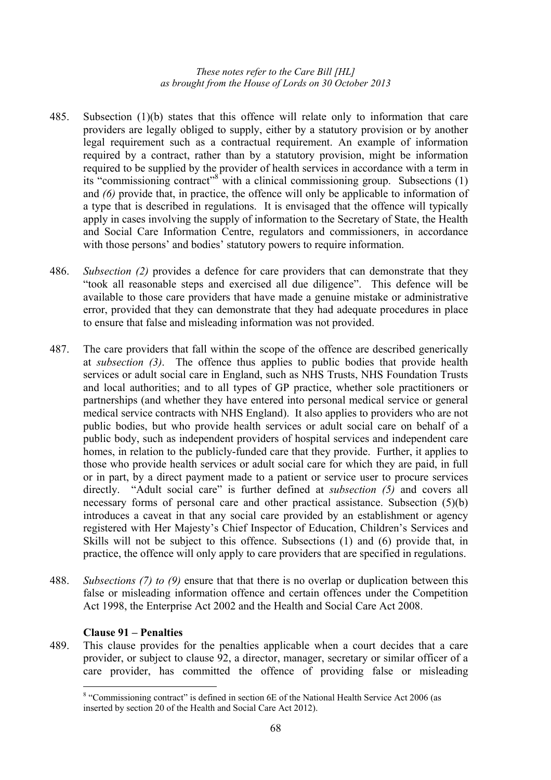- 485. Subsection (1)(b) states that this offence will relate only to information that care providers are legally obliged to supply, either by a statutory provision or by another legal requirement such as a contractual requirement. An example of information required by a contract, rather than by a statutory provision, might be information required to be supplied by the provider of health services in accordance with a term in its "commissioning contract"<sup>8</sup> with a clinical commissioning group. Subsections (1) and *(6)* provide that, in practice, the offence will only be applicable to information of a type that is described in regulations. It is envisaged that the offence will typically apply in cases involving the supply of information to the Secretary of State, the Health and Social Care Information Centre, regulators and commissioners, in accordance with those persons' and bodies' statutory powers to require information.
- 486. *Subsection (2)* provides a defence for care providers that can demonstrate that they "took all reasonable steps and exercised all due diligence". This defence will be available to those care providers that have made a genuine mistake or administrative error, provided that they can demonstrate that they had adequate procedures in place to ensure that false and misleading information was not provided.
- 487. The care providers that fall within the scope of the offence are described generically at *subsection (3)*. The offence thus applies to public bodies that provide health services or adult social care in England, such as NHS Trusts, NHS Foundation Trusts and local authorities; and to all types of GP practice, whether sole practitioners or partnerships (and whether they have entered into personal medical service or general medical service contracts with NHS England). It also applies to providers who are not public bodies, but who provide health services or adult social care on behalf of a public body, such as independent providers of hospital services and independent care homes, in relation to the publicly-funded care that they provide. Further, it applies to those who provide health services or adult social care for which they are paid, in full or in part, by a direct payment made to a patient or service user to procure services directly. "Adult social care" is further defined at *subsection (5)* and covers all necessary forms of personal care and other practical assistance. Subsection (5)(b) introduces a caveat in that any social care provided by an establishment or agency registered with Her Majesty's Chief Inspector of Education, Children's Services and Skills will not be subject to this offence. Subsections (1) and (6) provide that, in practice, the offence will only apply to care providers that are specified in regulations.
- 488. *Subsections (7) to (9)* ensure that that there is no overlap or duplication between this false or misleading information offence and certain offences under the Competition Act 1998, the Enterprise Act 2002 and the Health and Social Care Act 2008.

### **Clause 91 – Penalties**

 $\overline{a}$ 

489. This clause provides for the penalties applicable when a court decides that a care provider, or subject to clause 92, a director, manager, secretary or similar officer of a care provider, has committed the offence of providing false or misleading

<sup>&</sup>lt;sup>8</sup> "Commissioning contract" is defined in section 6E of the National Health Service Act 2006 (as inserted by section 20 of the Health and Social Care Act 2012).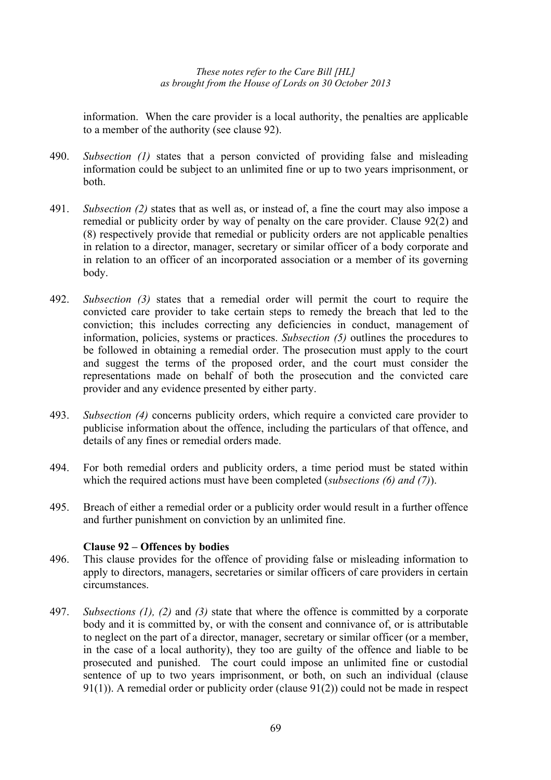information. When the care provider is a local authority, the penalties are applicable to a member of the authority (see clause 92).

- 490. *Subsection (1)* states that a person convicted of providing false and misleading information could be subject to an unlimited fine or up to two years imprisonment, or both.
- 491. *Subsection (2)* states that as well as, or instead of, a fine the court may also impose a remedial or publicity order by way of penalty on the care provider. Clause 92(2) and (8) respectively provide that remedial or publicity orders are not applicable penalties in relation to a director, manager, secretary or similar officer of a body corporate and in relation to an officer of an incorporated association or a member of its governing body.
- 492. *Subsection (3)* states that a remedial order will permit the court to require the convicted care provider to take certain steps to remedy the breach that led to the conviction; this includes correcting any deficiencies in conduct, management of information, policies, systems or practices. *Subsection (5)* outlines the procedures to be followed in obtaining a remedial order. The prosecution must apply to the court and suggest the terms of the proposed order, and the court must consider the representations made on behalf of both the prosecution and the convicted care provider and any evidence presented by either party.
- 493. *Subsection (4)* concerns publicity orders, which require a convicted care provider to publicise information about the offence, including the particulars of that offence, and details of any fines or remedial orders made.
- 494. For both remedial orders and publicity orders, a time period must be stated within which the required actions must have been completed (*subsections (6) and (7)*).
- 495. Breach of either a remedial order or a publicity order would result in a further offence and further punishment on conviction by an unlimited fine.

### **Clause 92 – Offences by bodies**

- 496. This clause provides for the offence of providing false or misleading information to apply to directors, managers, secretaries or similar officers of care providers in certain circumstances.
- 497. *Subsections (1), (2)* and *(3)* state that where the offence is committed by a corporate body and it is committed by, or with the consent and connivance of, or is attributable to neglect on the part of a director, manager, secretary or similar officer (or a member, in the case of a local authority), they too are guilty of the offence and liable to be prosecuted and punished. The court could impose an unlimited fine or custodial sentence of up to two years imprisonment, or both, on such an individual (clause) 91(1)). A remedial order or publicity order (clause 91(2)) could not be made in respect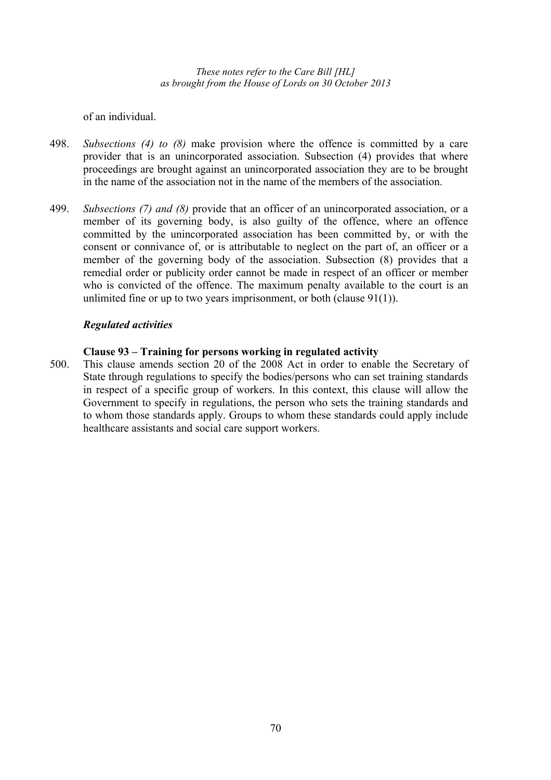of an individual.

- 498. *Subsections (4) to (8)* make provision where the offence is committed by a care provider that is an unincorporated association. Subsection (4) provides that where proceedings are brought against an unincorporated association they are to be brought in the name of the association not in the name of the members of the association.
- 499. *Subsections (7) and (8)* provide that an officer of an unincorporated association, or a member of its governing body, is also guilty of the offence, where an offence committed by the unincorporated association has been committed by, or with the consent or connivance of, or is attributable to neglect on the part of, an officer or a member of the governing body of the association. Subsection (8) provides that a remedial order or publicity order cannot be made in respect of an officer or member who is convicted of the offence. The maximum penalty available to the court is an unlimited fine or up to two years imprisonment, or both (clause 91(1)).

# *Regulated activities*

### **Clause 93 – Training for persons working in regulated activity**

500. This clause amends section 20 of the 2008 Act in order to enable the Secretary of State through regulations to specify the bodies/persons who can set training standards in respect of a specific group of workers. In this context, this clause will allow the Government to specify in regulations, the person who sets the training standards and to whom those standards apply. Groups to whom these standards could apply include healthcare assistants and social care support workers.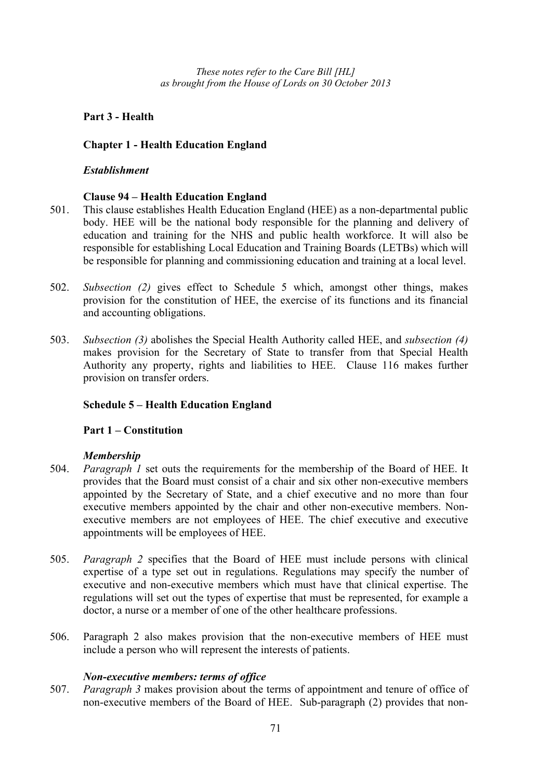# **Part 3 - Health**

# **Chapter 1 - Health Education England**

# *Establishment*

# **Clause 94 – Health Education England**

- 501. This clause establishes Health Education England (HEE) as a non-departmental public body. HEE will be the national body responsible for the planning and delivery of education and training for the NHS and public health workforce. It will also be responsible for establishing Local Education and Training Boards (LETBs) which will be responsible for planning and commissioning education and training at a local level.
- 502. *Subsection (2)* gives effect to Schedule 5 which, amongst other things, makes provision for the constitution of HEE, the exercise of its functions and its financial and accounting obligations.
- 503. *Subsection (3)* abolishes the Special Health Authority called HEE, and *subsection (4)* makes provision for the Secretary of State to transfer from that Special Health Authority any property, rights and liabilities to HEE. Clause 116 makes further provision on transfer orders.

# **Schedule 5 – Health Education England**

### **Part 1 – Constitution**

### *Membership*

- 504. *Paragraph 1* set outs the requirements for the membership of the Board of HEE. It provides that the Board must consist of a chair and six other non-executive members appointed by the Secretary of State, and a chief executive and no more than four executive members appointed by the chair and other non-executive members. Nonexecutive members are not employees of HEE. The chief executive and executive appointments will be employees of HEE.
- 505. *Paragraph 2* specifies that the Board of HEE must include persons with clinical expertise of a type set out in regulations. Regulations may specify the number of executive and non-executive members which must have that clinical expertise. The regulations will set out the types of expertise that must be represented, for example a doctor, a nurse or a member of one of the other healthcare professions.
- 506. Paragraph 2 also makes provision that the non-executive members of HEE must include a person who will represent the interests of patients.

### *Non-executive members: terms of office*

507. *Paragraph 3* makes provision about the terms of appointment and tenure of office of non-executive members of the Board of HEE. Sub-paragraph (2) provides that non-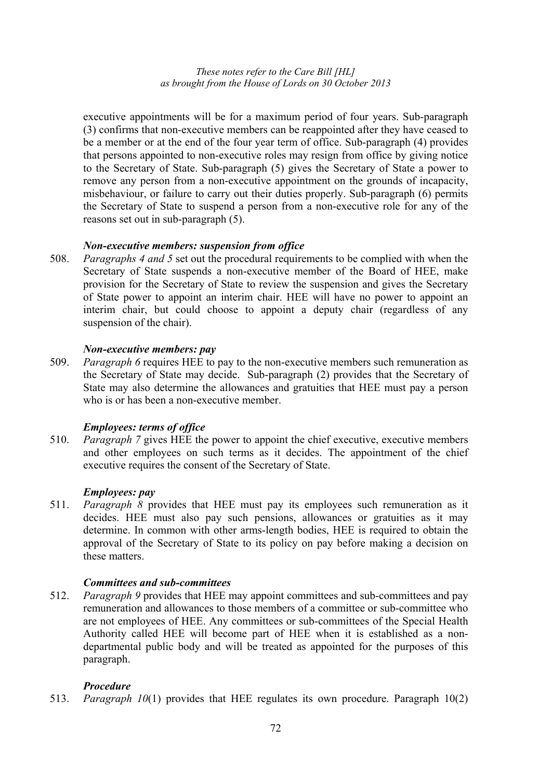executive appointments will be for a maximum period of four years. Sub-paragraph (3) confirms that non-executive members can be reappointed after they have ceased to be a member or at the end of the four year term of office. Sub-paragraph (4) provides that persons appointed to non-executive roles may resign from office by giving notice to the Secretary of State. Sub-paragraph (5) gives the Secretary of State a power to remove any person from a non-executive appointment on the grounds of incapacity, misbehaviour, or failure to carry out their duties properly. Sub-paragraph (6) permits the Secretary of State to suspend a person from a non-executive role for any of the reasons set out in sub-paragraph (5).

# *Non-executive members: suspension from office*

508. *Paragraphs 4 and 5* set out the procedural requirements to be complied with when the Secretary of State suspends a non-executive member of the Board of HEE, make provision for the Secretary of State to review the suspension and gives the Secretary of State power to appoint an interim chair. HEE will have no power to appoint an interim chair, but could choose to appoint a deputy chair (regardless of any suspension of the chair).

### *Non-executive members: pay*

509. *Paragraph 6* requires HEE to pay to the non-executive members such remuneration as the Secretary of State may decide. Sub-paragraph (2) provides that the Secretary of State may also determine the allowances and gratuities that HEE must pay a person who is or has been a non-executive member.

# *Employees: terms of office*

510. *Paragraph 7* gives HEE the power to appoint the chief executive, executive members and other employees on such terms as it decides. The appointment of the chief executive requires the consent of the Secretary of State.

## *Employees: pay*

511. *Paragraph 8* provides that HEE must pay its employees such remuneration as it decides. HEE must also pay such pensions, allowances or gratuities as it may determine. In common with other arms-length bodies, HEE is required to obtain the approval of the Secretary of State to its policy on pay before making a decision on these matters.

# *Committees and sub-committees*

512. *Paragraph 9* provides that HEE may appoint committees and sub-committees and pay remuneration and allowances to those members of a committee or sub-committee who are not employees of HEE. Any committees or sub-committees of the Special Health Authority called HEE will become part of HEE when it is established as a nondepartmental public body and will be treated as appointed for the purposes of this paragraph.

# *Procedure*

513. *Paragraph 10*(1) provides that HEE regulates its own procedure. Paragraph 10(2)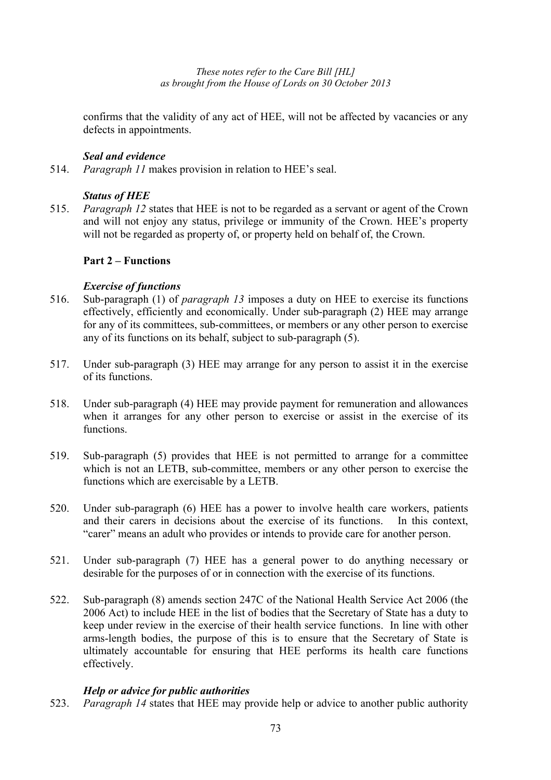confirms that the validity of any act of HEE, will not be affected by vacancies or any defects in appointments.

# *Seal and evidence*

514. *Paragraph 11* makes provision in relation to HEE's seal.

# *Status of HEE*

515. *Paragraph 12* states that HEE is not to be regarded as a servant or agent of the Crown and will not enjoy any status, privilege or immunity of the Crown. HEE's property will not be regarded as property of, or property held on behalf of, the Crown.

# **Part 2 – Functions**

# *Exercise of functions*

- 516. Sub-paragraph (1) of *paragraph 13* imposes a duty on HEE to exercise its functions effectively, efficiently and economically. Under sub-paragraph (2) HEE may arrange for any of its committees, sub-committees, or members or any other person to exercise any of its functions on its behalf, subject to sub-paragraph (5).
- 517. Under sub-paragraph (3) HEE may arrange for any person to assist it in the exercise of its functions.
- 518. Under sub-paragraph (4) HEE may provide payment for remuneration and allowances when it arranges for any other person to exercise or assist in the exercise of its functions.
- 519. Sub-paragraph (5) provides that HEE is not permitted to arrange for a committee which is not an LETB, sub-committee, members or any other person to exercise the functions which are exercisable by a LETB.
- 520. Under sub-paragraph (6) HEE has a power to involve health care workers, patients and their carers in decisions about the exercise of its functions. In this context, "carer" means an adult who provides or intends to provide care for another person.
- 521. Under sub-paragraph (7) HEE has a general power to do anything necessary or desirable for the purposes of or in connection with the exercise of its functions.
- 522. Sub-paragraph (8) amends section 247C of the National Health Service Act 2006 (the 2006 Act) to include HEE in the list of bodies that the Secretary of State has a duty to keep under review in the exercise of their health service functions. In line with other arms-length bodies, the purpose of this is to ensure that the Secretary of State is ultimately accountable for ensuring that HEE performs its health care functions effectively.

### *Help or advice for public authorities*

523. *Paragraph 14* states that HEE may provide help or advice to another public authority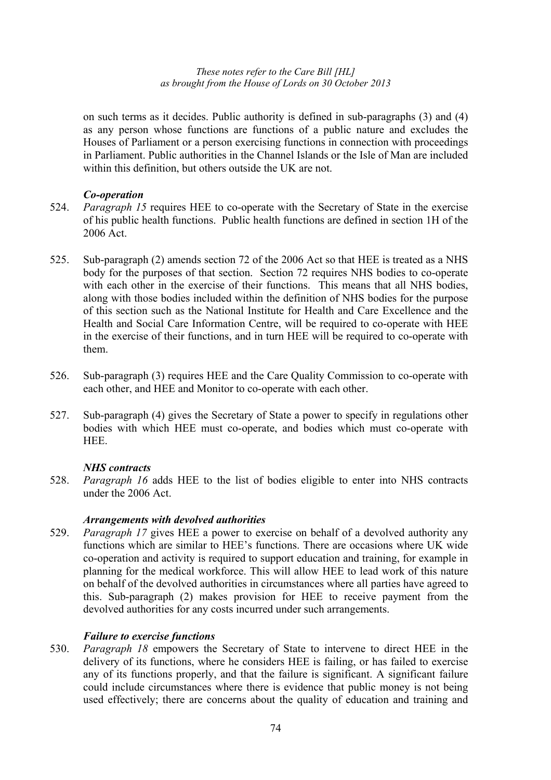on such terms as it decides. Public authority is defined in sub-paragraphs (3) and (4) as any person whose functions are functions of a public nature and excludes the Houses of Parliament or a person exercising functions in connection with proceedings in Parliament. Public authorities in the Channel Islands or the Isle of Man are included within this definition, but others outside the UK are not.

### *Co-operation*

- 524. *Paragraph 15* requires HEE to co-operate with the Secretary of State in the exercise of his public health functions. Public health functions are defined in section 1H of the 2006 Act.
- 525. Sub-paragraph (2) amends section 72 of the 2006 Act so that HEE is treated as a NHS body for the purposes of that section. Section 72 requires NHS bodies to co-operate with each other in the exercise of their functions. This means that all NHS bodies, along with those bodies included within the definition of NHS bodies for the purpose of this section such as the National Institute for Health and Care Excellence and the Health and Social Care Information Centre, will be required to co-operate with HEE in the exercise of their functions, and in turn HEE will be required to co-operate with them.
- 526. Sub-paragraph (3) requires HEE and the Care Quality Commission to co-operate with each other, and HEE and Monitor to co-operate with each other.
- 527. Sub-paragraph (4) gives the Secretary of State a power to specify in regulations other bodies with which HEE must co-operate, and bodies which must co-operate with HEE.

### *NHS contracts*

528. *Paragraph 16* adds HEE to the list of bodies eligible to enter into NHS contracts under the 2006 Act.

### *Arrangements with devolved authorities*

529. *Paragraph 17* gives HEE a power to exercise on behalf of a devolved authority any functions which are similar to HEE's functions. There are occasions where UK wide co-operation and activity is required to support education and training, for example in planning for the medical workforce. This will allow HEE to lead work of this nature on behalf of the devolved authorities in circumstances where all parties have agreed to this. Sub-paragraph (2) makes provision for HEE to receive payment from the devolved authorities for any costs incurred under such arrangements.

# *Failure to exercise functions*

530. *Paragraph 18* empowers the Secretary of State to intervene to direct HEE in the delivery of its functions, where he considers HEE is failing, or has failed to exercise any of its functions properly, and that the failure is significant. A significant failure could include circumstances where there is evidence that public money is not being used effectively; there are concerns about the quality of education and training and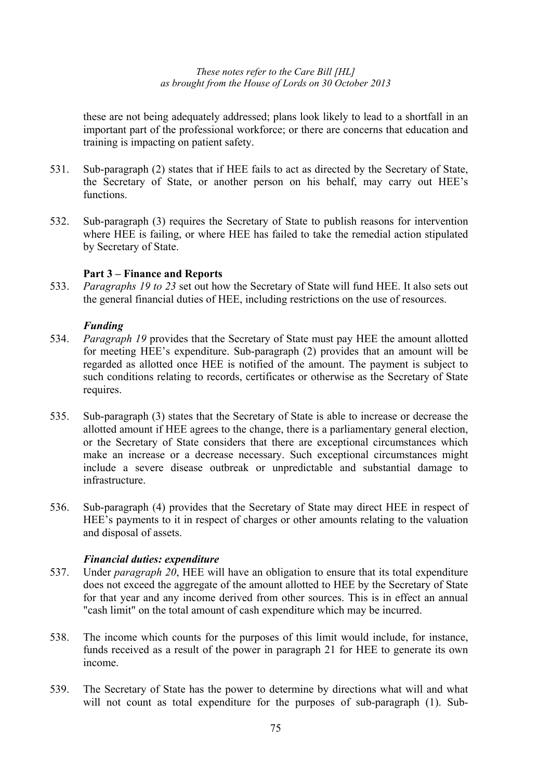these are not being adequately addressed; plans look likely to lead to a shortfall in an important part of the professional workforce; or there are concerns that education and training is impacting on patient safety.

- 531. Sub-paragraph (2) states that if HEE fails to act as directed by the Secretary of State, the Secretary of State, or another person on his behalf, may carry out HEE's functions.
- 532. Sub-paragraph (3) requires the Secretary of State to publish reasons for intervention where HEE is failing, or where HEE has failed to take the remedial action stipulated by Secretary of State.

# **Part 3 – Finance and Reports**

533. *Paragraphs 19 to 23* set out how the Secretary of State will fund HEE. It also sets out the general financial duties of HEE, including restrictions on the use of resources.

# *Funding*

- 534. *Paragraph 19* provides that the Secretary of State must pay HEE the amount allotted for meeting HEE's expenditure. Sub-paragraph (2) provides that an amount will be regarded as allotted once HEE is notified of the amount. The payment is subject to such conditions relating to records, certificates or otherwise as the Secretary of State requires.
- 535. Sub-paragraph (3) states that the Secretary of State is able to increase or decrease the allotted amount if HEE agrees to the change, there is a parliamentary general election, or the Secretary of State considers that there are exceptional circumstances which make an increase or a decrease necessary. Such exceptional circumstances might include a severe disease outbreak or unpredictable and substantial damage to infrastructure.
- 536. Sub-paragraph (4) provides that the Secretary of State may direct HEE in respect of HEE's payments to it in respect of charges or other amounts relating to the valuation and disposal of assets.

# *Financial duties: expenditure*

- 537. Under *paragraph 20*, HEE will have an obligation to ensure that its total expenditure does not exceed the aggregate of the amount allotted to HEE by the Secretary of State for that year and any income derived from other sources. This is in effect an annual "cash limit" on the total amount of cash expenditure which may be incurred.
- 538. The income which counts for the purposes of this limit would include, for instance, funds received as a result of the power in paragraph 21 for HEE to generate its own income.
- 539. The Secretary of State has the power to determine by directions what will and what will not count as total expenditure for the purposes of sub-paragraph (1). Sub-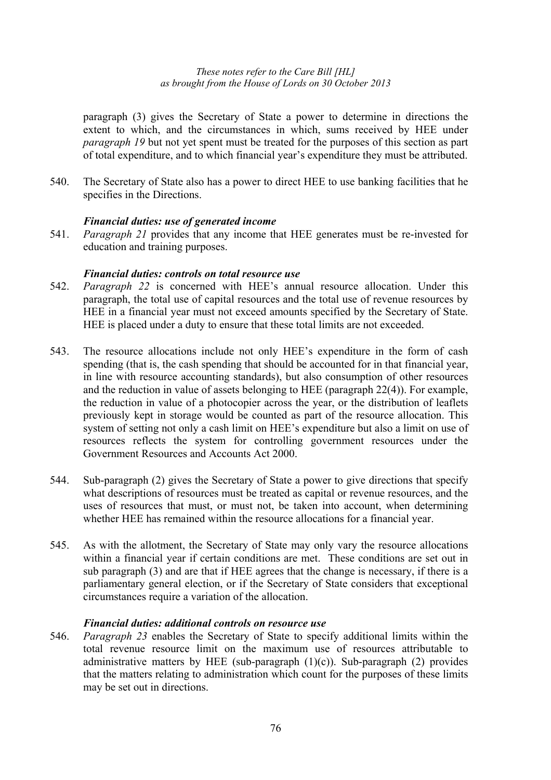paragraph (3) gives the Secretary of State a power to determine in directions the extent to which, and the circumstances in which, sums received by HEE under *paragraph 19* but not yet spent must be treated for the purposes of this section as part of total expenditure, and to which financial year's expenditure they must be attributed.

540. The Secretary of State also has a power to direct HEE to use banking facilities that he specifies in the Directions.

### *Financial duties: use of generated income*

541. *Paragraph 21* provides that any income that HEE generates must be re-invested for education and training purposes.

### *Financial duties: controls on total resource use*

- 542. *Paragraph 22* is concerned with HEE's annual resource allocation. Under this paragraph, the total use of capital resources and the total use of revenue resources by HEE in a financial year must not exceed amounts specified by the Secretary of State. HEE is placed under a duty to ensure that these total limits are not exceeded.
- 543. The resource allocations include not only HEE's expenditure in the form of cash spending (that is, the cash spending that should be accounted for in that financial year, in line with resource accounting standards), but also consumption of other resources and the reduction in value of assets belonging to HEE (paragraph 22(4)). For example, the reduction in value of a photocopier across the year, or the distribution of leaflets previously kept in storage would be counted as part of the resource allocation. This system of setting not only a cash limit on HEE's expenditure but also a limit on use of resources reflects the system for controlling government resources under the Government Resources and Accounts Act 2000.
- 544. Sub-paragraph (2) gives the Secretary of State a power to give directions that specify what descriptions of resources must be treated as capital or revenue resources, and the uses of resources that must, or must not, be taken into account, when determining whether HEE has remained within the resource allocations for a financial year.
- 545. As with the allotment, the Secretary of State may only vary the resource allocations within a financial year if certain conditions are met. These conditions are set out in sub paragraph (3) and are that if HEE agrees that the change is necessary, if there is a parliamentary general election, or if the Secretary of State considers that exceptional circumstances require a variation of the allocation.

# *Financial duties: additional controls on resource use*

546. *Paragraph 23* enables the Secretary of State to specify additional limits within the total revenue resource limit on the maximum use of resources attributable to administrative matters by HEE (sub-paragraph  $(1)(c)$ ). Sub-paragraph  $(2)$  provides that the matters relating to administration which count for the purposes of these limits may be set out in directions.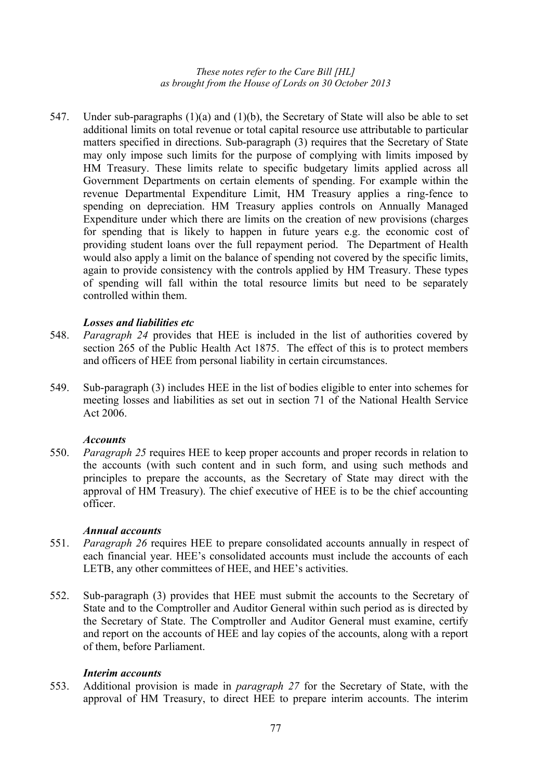547. Under sub-paragraphs (1)(a) and (1)(b), the Secretary of State will also be able to set additional limits on total revenue or total capital resource use attributable to particular matters specified in directions. Sub-paragraph (3) requires that the Secretary of State may only impose such limits for the purpose of complying with limits imposed by HM Treasury. These limits relate to specific budgetary limits applied across all Government Departments on certain elements of spending. For example within the revenue Departmental Expenditure Limit, HM Treasury applies a ring-fence to spending on depreciation. HM Treasury applies controls on Annually Managed Expenditure under which there are limits on the creation of new provisions (charges for spending that is likely to happen in future years e.g. the economic cost of providing student loans over the full repayment period. The Department of Health would also apply a limit on the balance of spending not covered by the specific limits, again to provide consistency with the controls applied by HM Treasury. These types of spending will fall within the total resource limits but need to be separately controlled within them.

### *Losses and liabilities etc*

- 548. *Paragraph 24* provides that HEE is included in the list of authorities covered by section 265 of the Public Health Act 1875. The effect of this is to protect members and officers of HEE from personal liability in certain circumstances.
- 549. Sub-paragraph (3) includes HEE in the list of bodies eligible to enter into schemes for meeting losses and liabilities as set out in section 71 of the National Health Service Act 2006.

#### *Accounts*

550. *Paragraph 25* requires HEE to keep proper accounts and proper records in relation to the accounts (with such content and in such form, and using such methods and principles to prepare the accounts, as the Secretary of State may direct with the approval of HM Treasury). The chief executive of HEE is to be the chief accounting officer.

### *Annual accounts*

- 551. *Paragraph 26* requires HEE to prepare consolidated accounts annually in respect of each financial year. HEE's consolidated accounts must include the accounts of each LETB, any other committees of HEE, and HEE's activities.
- 552. Sub-paragraph (3) provides that HEE must submit the accounts to the Secretary of State and to the Comptroller and Auditor General within such period as is directed by the Secretary of State. The Comptroller and Auditor General must examine, certify and report on the accounts of HEE and lay copies of the accounts, along with a report of them, before Parliament.

#### *Interim accounts*

553. Additional provision is made in *paragraph 27* for the Secretary of State, with the approval of HM Treasury, to direct HEE to prepare interim accounts. The interim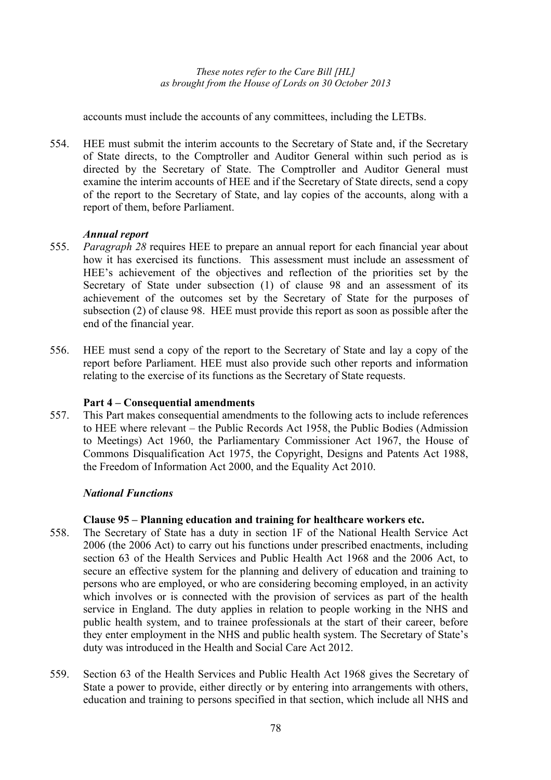accounts must include the accounts of any committees, including the LETBs.

554. HEE must submit the interim accounts to the Secretary of State and, if the Secretary of State directs, to the Comptroller and Auditor General within such period as is directed by the Secretary of State. The Comptroller and Auditor General must examine the interim accounts of HEE and if the Secretary of State directs, send a copy of the report to the Secretary of State, and lay copies of the accounts, along with a report of them, before Parliament.

#### *Annual report*

- 555. *Paragraph 28* requires HEE to prepare an annual report for each financial year about how it has exercised its functions. This assessment must include an assessment of HEE's achievement of the objectives and reflection of the priorities set by the Secretary of State under subsection (1) of clause 98 and an assessment of its achievement of the outcomes set by the Secretary of State for the purposes of subsection (2) of clause 98. HEE must provide this report as soon as possible after the end of the financial year.
- 556. HEE must send a copy of the report to the Secretary of State and lay a copy of the report before Parliament. HEE must also provide such other reports and information relating to the exercise of its functions as the Secretary of State requests.

### **Part 4 – Consequential amendments**

557. This Part makes consequential amendments to the following acts to include references to HEE where relevant – the Public Records Act 1958, the Public Bodies (Admission to Meetings) Act 1960, the Parliamentary Commissioner Act 1967, the House of Commons Disqualification Act 1975, the Copyright, Designs and Patents Act 1988, the Freedom of Information Act 2000, and the Equality Act 2010.

#### *National Functions*

#### **Clause 95 – Planning education and training for healthcare workers etc.**

- 558. The Secretary of State has a duty in section 1F of the National Health Service Act 2006 (the 2006 Act) to carry out his functions under prescribed enactments, including section 63 of the Health Services and Public Health Act 1968 and the 2006 Act, to secure an effective system for the planning and delivery of education and training to persons who are employed, or who are considering becoming employed, in an activity which involves or is connected with the provision of services as part of the health service in England. The duty applies in relation to people working in the NHS and public health system, and to trainee professionals at the start of their career, before they enter employment in the NHS and public health system. The Secretary of State's duty was introduced in the Health and Social Care Act 2012.
- 559. Section 63 of the Health Services and Public Health Act 1968 gives the Secretary of State a power to provide, either directly or by entering into arrangements with others, education and training to persons specified in that section, which include all NHS and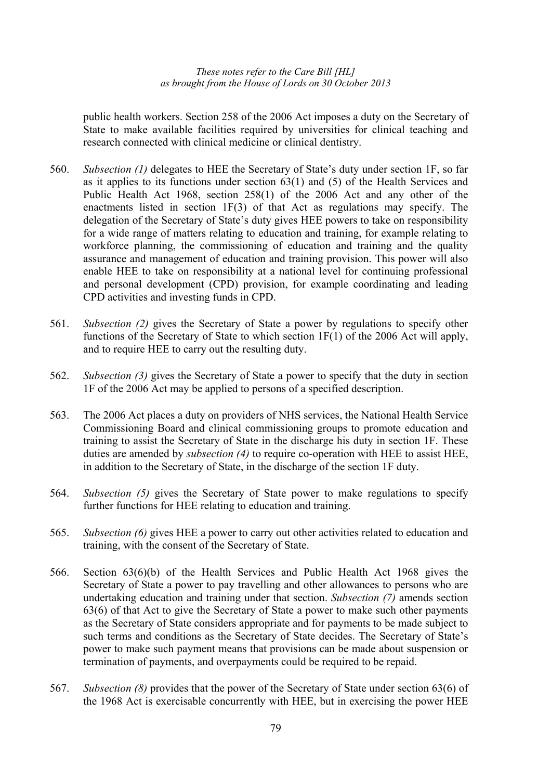public health workers. Section 258 of the 2006 Act imposes a duty on the Secretary of State to make available facilities required by universities for clinical teaching and research connected with clinical medicine or clinical dentistry.

- 560. *Subsection (1)* delegates to HEE the Secretary of State's duty under section 1F, so far as it applies to its functions under section 63(1) and (5) of the Health Services and Public Health Act 1968, section 258(1) of the 2006 Act and any other of the enactments listed in section 1F(3) of that Act as regulations may specify. The delegation of the Secretary of State's duty gives HEE powers to take on responsibility for a wide range of matters relating to education and training, for example relating to workforce planning, the commissioning of education and training and the quality assurance and management of education and training provision. This power will also enable HEE to take on responsibility at a national level for continuing professional and personal development (CPD) provision, for example coordinating and leading CPD activities and investing funds in CPD.
- 561. *Subsection (2)* gives the Secretary of State a power by regulations to specify other functions of the Secretary of State to which section 1F(1) of the 2006 Act will apply, and to require HEE to carry out the resulting duty.
- 562. *Subsection (3)* gives the Secretary of State a power to specify that the duty in section 1F of the 2006 Act may be applied to persons of a specified description.
- 563. The 2006 Act places a duty on providers of NHS services, the National Health Service Commissioning Board and clinical commissioning groups to promote education and training to assist the Secretary of State in the discharge his duty in section 1F. These duties are amended by *subsection (4)* to require co-operation with HEE to assist HEE, in addition to the Secretary of State, in the discharge of the section 1F duty.
- 564. *Subsection (5)* gives the Secretary of State power to make regulations to specify further functions for HEE relating to education and training.
- 565. *Subsection (6)* gives HEE a power to carry out other activities related to education and training, with the consent of the Secretary of State.
- 566. Section 63(6)(b) of the Health Services and Public Health Act 1968 gives the Secretary of State a power to pay travelling and other allowances to persons who are undertaking education and training under that section. *Subsection (7)* amends section 63(6) of that Act to give the Secretary of State a power to make such other payments as the Secretary of State considers appropriate and for payments to be made subject to such terms and conditions as the Secretary of State decides. The Secretary of State's power to make such payment means that provisions can be made about suspension or termination of payments, and overpayments could be required to be repaid.
- 567. *Subsection (8)* provides that the power of the Secretary of State under section 63(6) of the 1968 Act is exercisable concurrently with HEE, but in exercising the power HEE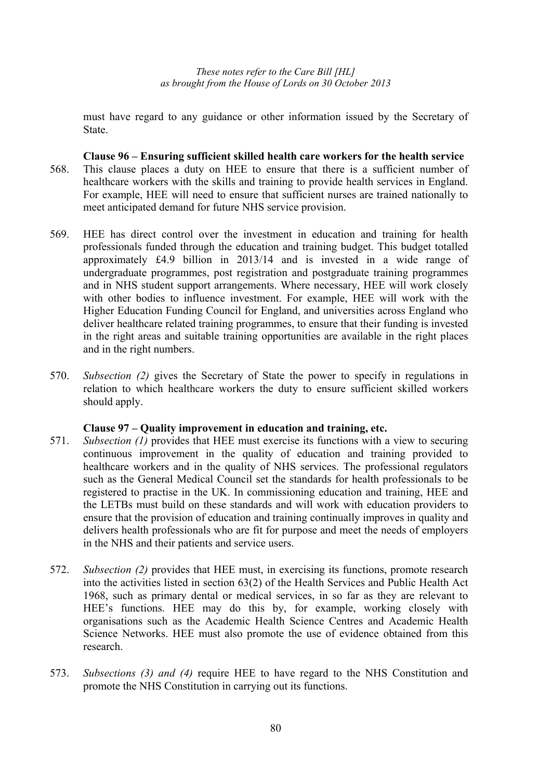must have regard to any guidance or other information issued by the Secretary of State.

- **Clause 96 Ensuring sufficient skilled health care workers for the health service**  568. This clause places a duty on HEE to ensure that there is a sufficient number of healthcare workers with the skills and training to provide health services in England. For example, HEE will need to ensure that sufficient nurses are trained nationally to meet anticipated demand for future NHS service provision.
- 569. HEE has direct control over the investment in education and training for health professionals funded through the education and training budget. This budget totalled approximately £4.9 billion in 2013/14 and is invested in a wide range of undergraduate programmes, post registration and postgraduate training programmes and in NHS student support arrangements. Where necessary, HEE will work closely with other bodies to influence investment. For example, HEE will work with the Higher Education Funding Council for England, and universities across England who deliver healthcare related training programmes, to ensure that their funding is invested in the right areas and suitable training opportunities are available in the right places and in the right numbers.
- 570. *Subsection (2)* gives the Secretary of State the power to specify in regulations in relation to which healthcare workers the duty to ensure sufficient skilled workers should apply.

### **Clause 97 – Quality improvement in education and training, etc.**

- 571. *Subsection (1)* provides that HEE must exercise its functions with a view to securing continuous improvement in the quality of education and training provided to healthcare workers and in the quality of NHS services. The professional regulators such as the General Medical Council set the standards for health professionals to be registered to practise in the UK. In commissioning education and training, HEE and the LETBs must build on these standards and will work with education providers to ensure that the provision of education and training continually improves in quality and delivers health professionals who are fit for purpose and meet the needs of employers in the NHS and their patients and service users.
- 572. *Subsection (2)* provides that HEE must, in exercising its functions, promote research into the activities listed in section 63(2) of the Health Services and Public Health Act 1968, such as primary dental or medical services, in so far as they are relevant to HEE's functions. HEE may do this by, for example, working closely with organisations such as the Academic Health Science Centres and Academic Health Science Networks. HEE must also promote the use of evidence obtained from this research.
- 573. *Subsections (3) and (4)* require HEE to have regard to the NHS Constitution and promote the NHS Constitution in carrying out its functions.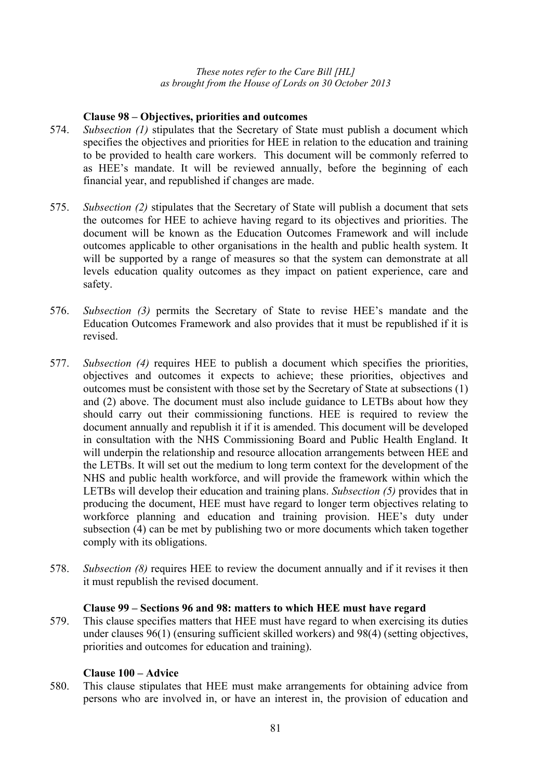# **Clause 98 – Objectives, priorities and outcomes**

- 574. *Subsection (1)* stipulates that the Secretary of State must publish a document which specifies the objectives and priorities for HEE in relation to the education and training to be provided to health care workers. This document will be commonly referred to as HEE's mandate. It will be reviewed annually, before the beginning of each financial year, and republished if changes are made.
- 575. *Subsection (2)* stipulates that the Secretary of State will publish a document that sets the outcomes for HEE to achieve having regard to its objectives and priorities. The document will be known as the Education Outcomes Framework and will include outcomes applicable to other organisations in the health and public health system. It will be supported by a range of measures so that the system can demonstrate at all levels education quality outcomes as they impact on patient experience, care and safety.
- 576. *Subsection (3)* permits the Secretary of State to revise HEE's mandate and the Education Outcomes Framework and also provides that it must be republished if it is revised.
- 577. *Subsection (4)* requires HEE to publish a document which specifies the priorities, objectives and outcomes it expects to achieve; these priorities, objectives and outcomes must be consistent with those set by the Secretary of State at subsections (1) and (2) above. The document must also include guidance to LETBs about how they should carry out their commissioning functions. HEE is required to review the document annually and republish it if it is amended. This document will be developed in consultation with the NHS Commissioning Board and Public Health England. It will underpin the relationship and resource allocation arrangements between HEE and the LETBs. It will set out the medium to long term context for the development of the NHS and public health workforce, and will provide the framework within which the LETBs will develop their education and training plans. *Subsection (5)* provides that in producing the document, HEE must have regard to longer term objectives relating to workforce planning and education and training provision. HEE's duty under subsection (4) can be met by publishing two or more documents which taken together comply with its obligations.
- 578. *Subsection (8)* requires HEE to review the document annually and if it revises it then it must republish the revised document.

### **Clause 99 – Sections 96 and 98: matters to which HEE must have regard**

579. This clause specifies matters that HEE must have regard to when exercising its duties under clauses 96(1) (ensuring sufficient skilled workers) and 98(4) (setting objectives, priorities and outcomes for education and training).

### **Clause 100 – Advice**

580. This clause stipulates that HEE must make arrangements for obtaining advice from persons who are involved in, or have an interest in, the provision of education and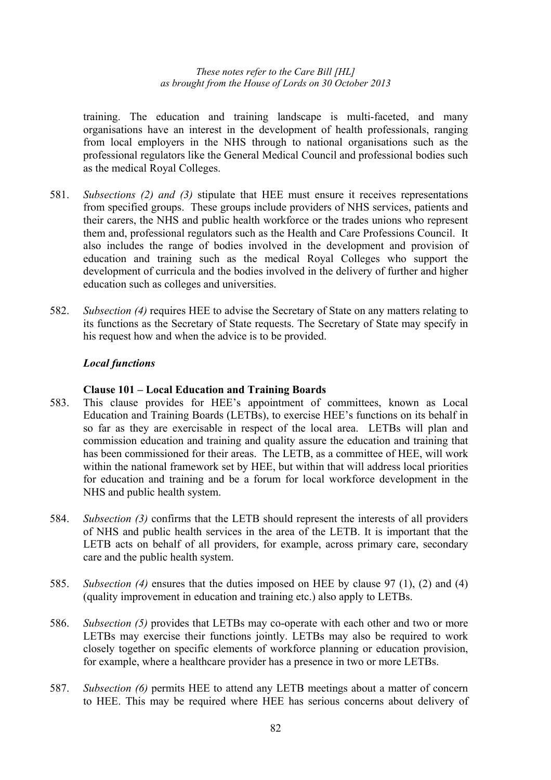training. The education and training landscape is multi-faceted, and many organisations have an interest in the development of health professionals, ranging from local employers in the NHS through to national organisations such as the professional regulators like the General Medical Council and professional bodies such as the medical Royal Colleges.

- 581. *Subsections (2) and (3)* stipulate that HEE must ensure it receives representations from specified groups. These groups include providers of NHS services, patients and their carers, the NHS and public health workforce or the trades unions who represent them and, professional regulators such as the Health and Care Professions Council. It also includes the range of bodies involved in the development and provision of education and training such as the medical Royal Colleges who support the development of curricula and the bodies involved in the delivery of further and higher education such as colleges and universities.
- 582. *Subsection (4)* requires HEE to advise the Secretary of State on any matters relating to its functions as the Secretary of State requests. The Secretary of State may specify in his request how and when the advice is to be provided.

# *Local functions*

#### **Clause 101 – Local Education and Training Boards**

- 583. This clause provides for HEE's appointment of committees, known as Local Education and Training Boards (LETBs), to exercise HEE's functions on its behalf in so far as they are exercisable in respect of the local area. LETBs will plan and commission education and training and quality assure the education and training that has been commissioned for their areas. The LETB, as a committee of HEE, will work within the national framework set by HEE, but within that will address local priorities for education and training and be a forum for local workforce development in the NHS and public health system.
- 584. *Subsection (3)* confirms that the LETB should represent the interests of all providers of NHS and public health services in the area of the LETB. It is important that the LETB acts on behalf of all providers, for example, across primary care, secondary care and the public health system.
- 585. *Subsection (4)* ensures that the duties imposed on HEE by clause 97 (1), (2) and (4) (quality improvement in education and training etc.) also apply to LETBs.
- 586. *Subsection (5)* provides that LETBs may co-operate with each other and two or more LETBs may exercise their functions jointly. LETBs may also be required to work closely together on specific elements of workforce planning or education provision, for example, where a healthcare provider has a presence in two or more LETBs.
- 587. *Subsection (6)* permits HEE to attend any LETB meetings about a matter of concern to HEE. This may be required where HEE has serious concerns about delivery of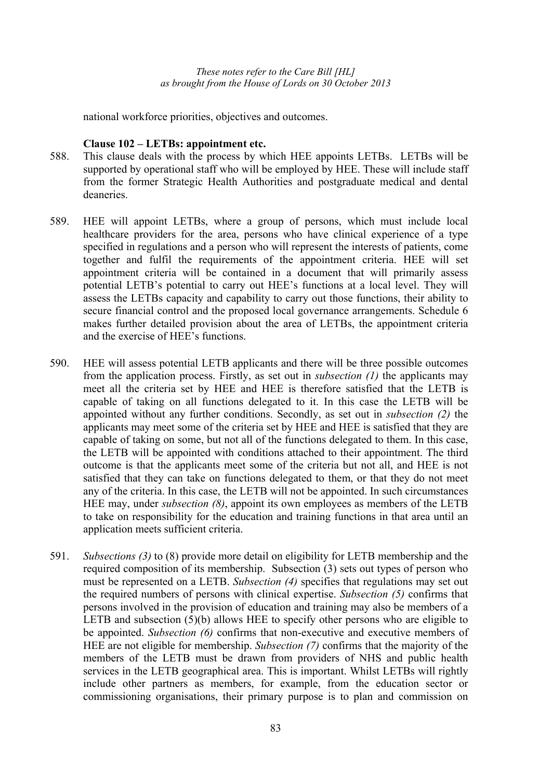national workforce priorities, objectives and outcomes.

### **Clause 102 – LETBs: appointment etc.**

- 588. This clause deals with the process by which HEE appoints LETBs. LETBs will be supported by operational staff who will be employed by HEE. These will include staff from the former Strategic Health Authorities and postgraduate medical and dental deaneries.
- 589. HEE will appoint LETBs, where a group of persons, which must include local healthcare providers for the area, persons who have clinical experience of a type specified in regulations and a person who will represent the interests of patients, come together and fulfil the requirements of the appointment criteria. HEE will set appointment criteria will be contained in a document that will primarily assess potential LETB's potential to carry out HEE's functions at a local level. They will assess the LETBs capacity and capability to carry out those functions, their ability to secure financial control and the proposed local governance arrangements. Schedule 6 makes further detailed provision about the area of LETBs, the appointment criteria and the exercise of HEE's functions.
- 590. HEE will assess potential LETB applicants and there will be three possible outcomes from the application process. Firstly, as set out in *subsection (1)* the applicants may meet all the criteria set by HEE and HEE is therefore satisfied that the LETB is capable of taking on all functions delegated to it. In this case the LETB will be appointed without any further conditions. Secondly, as set out in *subsection (2)* the applicants may meet some of the criteria set by HEE and HEE is satisfied that they are capable of taking on some, but not all of the functions delegated to them. In this case, the LETB will be appointed with conditions attached to their appointment. The third outcome is that the applicants meet some of the criteria but not all, and HEE is not satisfied that they can take on functions delegated to them, or that they do not meet any of the criteria. In this case, the LETB will not be appointed. In such circumstances HEE may, under *subsection (8)*, appoint its own employees as members of the LETB to take on responsibility for the education and training functions in that area until an application meets sufficient criteria.
- 591. *Subsections (3)* to (8) provide more detail on eligibility for LETB membership and the required composition of its membership. Subsection (3) sets out types of person who must be represented on a LETB. *Subsection (4)* specifies that regulations may set out the required numbers of persons with clinical expertise. *Subsection (5)* confirms that persons involved in the provision of education and training may also be members of a LETB and subsection (5)(b) allows HEE to specify other persons who are eligible to be appointed. *Subsection (6)* confirms that non-executive and executive members of HEE are not eligible for membership. *Subsection (7)* confirms that the majority of the members of the LETB must be drawn from providers of NHS and public health services in the LETB geographical area. This is important. Whilst LETBs will rightly include other partners as members, for example, from the education sector or commissioning organisations, their primary purpose is to plan and commission on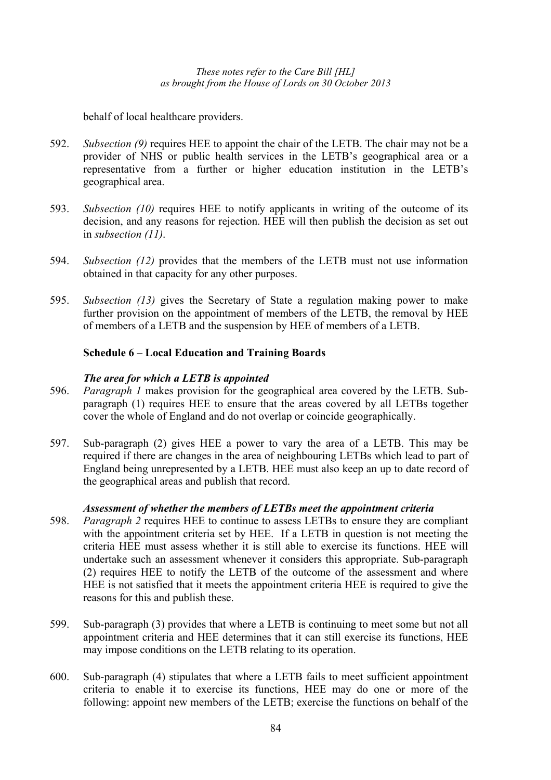behalf of local healthcare providers.

- 592. *Subsection (9)* requires HEE to appoint the chair of the LETB. The chair may not be a provider of NHS or public health services in the LETB's geographical area or a representative from a further or higher education institution in the LETB's geographical area.
- 593. *Subsection (10)* requires HEE to notify applicants in writing of the outcome of its decision, and any reasons for rejection. HEE will then publish the decision as set out in *subsection (11)*.
- 594. *Subsection (12)* provides that the members of the LETB must not use information obtained in that capacity for any other purposes.
- 595. *Subsection (13)* gives the Secretary of State a regulation making power to make further provision on the appointment of members of the LETB, the removal by HEE of members of a LETB and the suspension by HEE of members of a LETB.

# **Schedule 6 – Local Education and Training Boards**

### *The area for which a LETB is appointed*

- 596. *Paragraph 1* makes provision for the geographical area covered by the LETB. Subparagraph (1) requires HEE to ensure that the areas covered by all LETBs together cover the whole of England and do not overlap or coincide geographically.
- 597. Sub-paragraph (2) gives HEE a power to vary the area of a LETB. This may be required if there are changes in the area of neighbouring LETBs which lead to part of England being unrepresented by a LETB. HEE must also keep an up to date record of the geographical areas and publish that record.

### *Assessment of whether the members of LETBs meet the appointment criteria*

- 598. *Paragraph 2* requires HEE to continue to assess LETBs to ensure they are compliant with the appointment criteria set by HEE. If a LETB in question is not meeting the criteria HEE must assess whether it is still able to exercise its functions. HEE will undertake such an assessment whenever it considers this appropriate. Sub-paragraph (2) requires HEE to notify the LETB of the outcome of the assessment and where HEE is not satisfied that it meets the appointment criteria HEE is required to give the reasons for this and publish these.
- 599. Sub-paragraph (3) provides that where a LETB is continuing to meet some but not all appointment criteria and HEE determines that it can still exercise its functions, HEE may impose conditions on the LETB relating to its operation.
- 600. Sub-paragraph (4) stipulates that where a LETB fails to meet sufficient appointment criteria to enable it to exercise its functions, HEE may do one or more of the following: appoint new members of the LETB; exercise the functions on behalf of the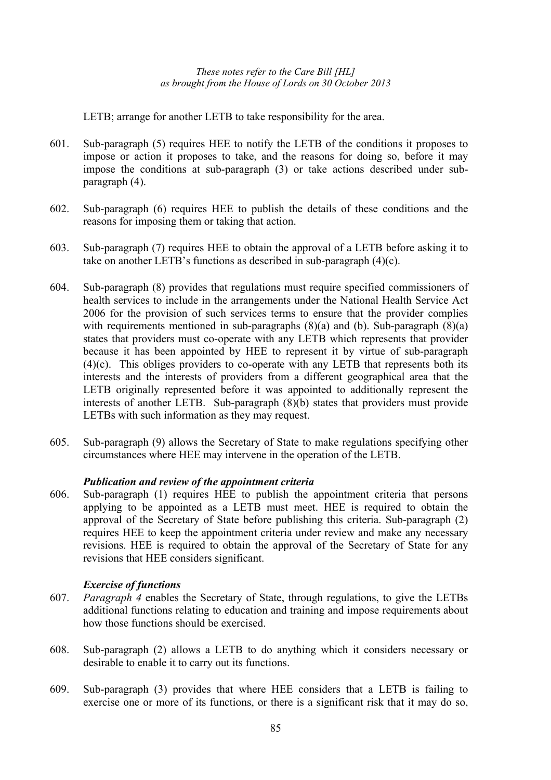LETB; arrange for another LETB to take responsibility for the area.

- 601. Sub-paragraph (5) requires HEE to notify the LETB of the conditions it proposes to impose or action it proposes to take, and the reasons for doing so, before it may impose the conditions at sub-paragraph (3) or take actions described under subparagraph (4).
- 602. Sub-paragraph (6) requires HEE to publish the details of these conditions and the reasons for imposing them or taking that action.
- 603. Sub-paragraph (7) requires HEE to obtain the approval of a LETB before asking it to take on another LETB's functions as described in sub-paragraph (4)(c).
- 604. Sub-paragraph (8) provides that regulations must require specified commissioners of health services to include in the arrangements under the National Health Service Act 2006 for the provision of such services terms to ensure that the provider complies with requirements mentioned in sub-paragraphs  $(8)(a)$  and  $(b)$ . Sub-paragraph  $(8)(a)$ states that providers must co-operate with any LETB which represents that provider because it has been appointed by HEE to represent it by virtue of sub-paragraph (4)(c). This obliges providers to co-operate with any LETB that represents both its interests and the interests of providers from a different geographical area that the LETB originally represented before it was appointed to additionally represent the interests of another LETB. Sub-paragraph (8)(b) states that providers must provide LETBs with such information as they may request.
- 605. Sub-paragraph (9) allows the Secretary of State to make regulations specifying other circumstances where HEE may intervene in the operation of the LETB.

# *Publication and review of the appointment criteria*

606. Sub-paragraph (1) requires HEE to publish the appointment criteria that persons applying to be appointed as a LETB must meet. HEE is required to obtain the approval of the Secretary of State before publishing this criteria. Sub-paragraph (2) requires HEE to keep the appointment criteria under review and make any necessary revisions. HEE is required to obtain the approval of the Secretary of State for any revisions that HEE considers significant.

### *Exercise of functions*

- 607. *Paragraph 4* enables the Secretary of State, through regulations, to give the LETBs additional functions relating to education and training and impose requirements about how those functions should be exercised.
- 608. Sub-paragraph (2) allows a LETB to do anything which it considers necessary or desirable to enable it to carry out its functions.
- 609. Sub-paragraph (3) provides that where HEE considers that a LETB is failing to exercise one or more of its functions, or there is a significant risk that it may do so,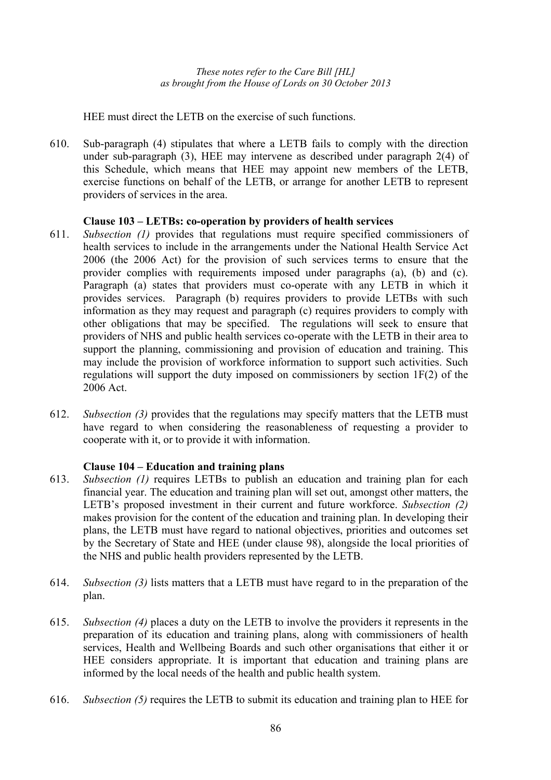HEE must direct the LETB on the exercise of such functions.

610. Sub-paragraph (4) stipulates that where a LETB fails to comply with the direction under sub-paragraph (3), HEE may intervene as described under paragraph 2(4) of this Schedule, which means that HEE may appoint new members of the LETB, exercise functions on behalf of the LETB, or arrange for another LETB to represent providers of services in the area.

# **Clause 103 – LETBs: co-operation by providers of health services**

- 611. *Subsection (1)* provides that regulations must require specified commissioners of health services to include in the arrangements under the National Health Service Act 2006 (the 2006 Act) for the provision of such services terms to ensure that the provider complies with requirements imposed under paragraphs (a), (b) and (c). Paragraph (a) states that providers must co-operate with any LETB in which it provides services. Paragraph (b) requires providers to provide LETBs with such information as they may request and paragraph (c) requires providers to comply with other obligations that may be specified. The regulations will seek to ensure that providers of NHS and public health services co-operate with the LETB in their area to support the planning, commissioning and provision of education and training. This may include the provision of workforce information to support such activities. Such regulations will support the duty imposed on commissioners by section 1F(2) of the 2006 Act.
- 612. *Subsection (3)* provides that the regulations may specify matters that the LETB must have regard to when considering the reasonableness of requesting a provider to cooperate with it, or to provide it with information.

# **Clause 104 – Education and training plans**

- 613. *Subsection (1)* requires LETBs to publish an education and training plan for each financial year. The education and training plan will set out, amongst other matters, the LETB's proposed investment in their current and future workforce. *Subsection (2)* makes provision for the content of the education and training plan. In developing their plans, the LETB must have regard to national objectives, priorities and outcomes set by the Secretary of State and HEE (under clause 98), alongside the local priorities of the NHS and public health providers represented by the LETB.
- 614. *Subsection (3)* lists matters that a LETB must have regard to in the preparation of the plan.
- 615. *Subsection (4)* places a duty on the LETB to involve the providers it represents in the preparation of its education and training plans, along with commissioners of health services, Health and Wellbeing Boards and such other organisations that either it or HEE considers appropriate. It is important that education and training plans are informed by the local needs of the health and public health system.
- 616. *Subsection (5)* requires the LETB to submit its education and training plan to HEE for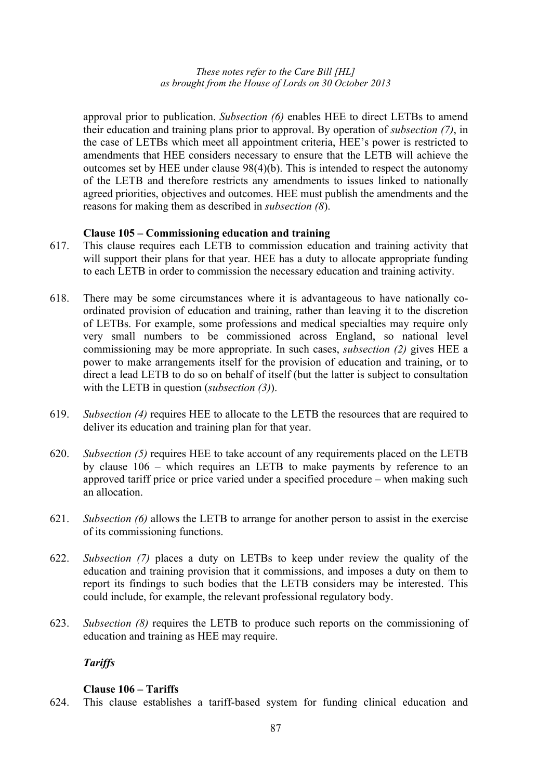approval prior to publication. *Subsection (6)* enables HEE to direct LETBs to amend their education and training plans prior to approval. By operation of *subsection (7)*, in the case of LETBs which meet all appointment criteria, HEE's power is restricted to amendments that HEE considers necessary to ensure that the LETB will achieve the outcomes set by HEE under clause 98(4)(b). This is intended to respect the autonomy of the LETB and therefore restricts any amendments to issues linked to nationally agreed priorities, objectives and outcomes. HEE must publish the amendments and the reasons for making them as described in *subsection (8*).

### **Clause 105 – Commissioning education and training**

- 617. This clause requires each LETB to commission education and training activity that will support their plans for that year. HEE has a duty to allocate appropriate funding to each LETB in order to commission the necessary education and training activity.
- 618. There may be some circumstances where it is advantageous to have nationally coordinated provision of education and training, rather than leaving it to the discretion of LETBs. For example, some professions and medical specialties may require only very small numbers to be commissioned across England, so national level commissioning may be more appropriate. In such cases, *subsection (2)* gives HEE a power to make arrangements itself for the provision of education and training, or to direct a lead LETB to do so on behalf of itself (but the latter is subject to consultation with the LETB in question (*subsection (3)*).
- 619. *Subsection (4)* requires HEE to allocate to the LETB the resources that are required to deliver its education and training plan for that year.
- 620. *Subsection (5)* requires HEE to take account of any requirements placed on the LETB by clause 106 – which requires an LETB to make payments by reference to an approved tariff price or price varied under a specified procedure – when making such an allocation.
- 621. *Subsection (6)* allows the LETB to arrange for another person to assist in the exercise of its commissioning functions.
- 622. *Subsection (7)* places a duty on LETBs to keep under review the quality of the education and training provision that it commissions, and imposes a duty on them to report its findings to such bodies that the LETB considers may be interested. This could include, for example, the relevant professional regulatory body.
- 623. *Subsection (8)* requires the LETB to produce such reports on the commissioning of education and training as HEE may require.

# *Tariffs*

### **Clause 106 – Tariffs**

624. This clause establishes a tariff-based system for funding clinical education and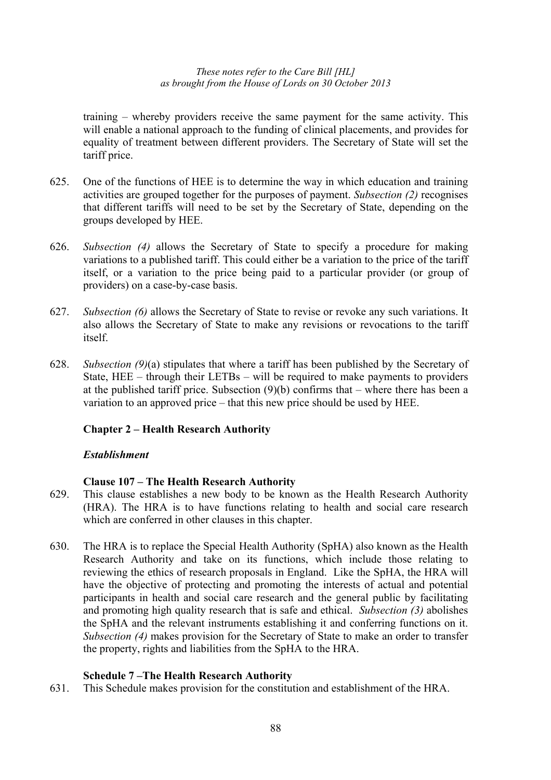training – whereby providers receive the same payment for the same activity. This will enable a national approach to the funding of clinical placements, and provides for equality of treatment between different providers. The Secretary of State will set the tariff price.

- 625. One of the functions of HEE is to determine the way in which education and training activities are grouped together for the purposes of payment. *Subsection (2)* recognises that different tariffs will need to be set by the Secretary of State, depending on the groups developed by HEE.
- 626. *Subsection (4)* allows the Secretary of State to specify a procedure for making variations to a published tariff. This could either be a variation to the price of the tariff itself, or a variation to the price being paid to a particular provider (or group of providers) on a case-by-case basis.
- 627. *Subsection (6)* allows the Secretary of State to revise or revoke any such variations. It also allows the Secretary of State to make any revisions or revocations to the tariff itself.
- 628. *Subsection (9)*(a) stipulates that where a tariff has been published by the Secretary of State, HEE – through their LETBs – will be required to make payments to providers at the published tariff price. Subsection  $(9)(b)$  confirms that – where there has been a variation to an approved price – that this new price should be used by HEE.

# **Chapter 2 – Health Research Authority**

### *Establishment*

### **Clause 107 – The Health Research Authority**

- 629. This clause establishes a new body to be known as the Health Research Authority (HRA). The HRA is to have functions relating to health and social care research which are conferred in other clauses in this chapter.
- 630. The HRA is to replace the Special Health Authority (SpHA) also known as the Health Research Authority and take on its functions, which include those relating to reviewing the ethics of research proposals in England. Like the SpHA, the HRA will have the objective of protecting and promoting the interests of actual and potential participants in health and social care research and the general public by facilitating and promoting high quality research that is safe and ethical. *Subsection (3)* abolishes the SpHA and the relevant instruments establishing it and conferring functions on it. *Subsection (4)* makes provision for the Secretary of State to make an order to transfer the property, rights and liabilities from the SpHA to the HRA.

# **Schedule 7 –The Health Research Authority**

631. This Schedule makes provision for the constitution and establishment of the HRA.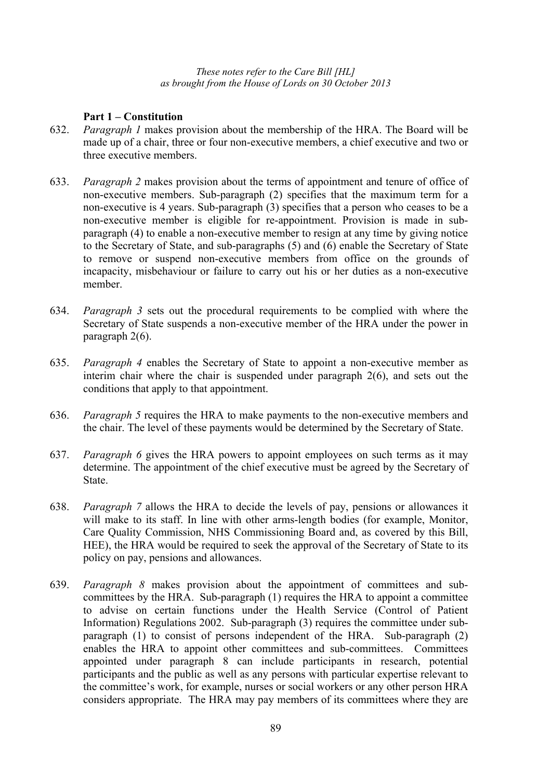### **Part 1 – Constitution**

- 632. *Paragraph 1* makes provision about the membership of the HRA. The Board will be made up of a chair, three or four non-executive members, a chief executive and two or three executive members.
- 633. *Paragraph 2* makes provision about the terms of appointment and tenure of office of non-executive members. Sub-paragraph (2) specifies that the maximum term for a non-executive is 4 years. Sub-paragraph (3) specifies that a person who ceases to be a non-executive member is eligible for re-appointment. Provision is made in subparagraph (4) to enable a non-executive member to resign at any time by giving notice to the Secretary of State, and sub-paragraphs (5) and (6) enable the Secretary of State to remove or suspend non-executive members from office on the grounds of incapacity, misbehaviour or failure to carry out his or her duties as a non-executive member.
- 634. *Paragraph 3* sets out the procedural requirements to be complied with where the Secretary of State suspends a non-executive member of the HRA under the power in paragraph 2(6).
- 635. *Paragraph 4* enables the Secretary of State to appoint a non-executive member as interim chair where the chair is suspended under paragraph 2(6), and sets out the conditions that apply to that appointment.
- 636. *Paragraph 5* requires the HRA to make payments to the non-executive members and the chair. The level of these payments would be determined by the Secretary of State.
- 637. *Paragraph 6* gives the HRA powers to appoint employees on such terms as it may determine. The appointment of the chief executive must be agreed by the Secretary of State.
- 638. *Paragraph 7* allows the HRA to decide the levels of pay, pensions or allowances it will make to its staff. In line with other arms-length bodies (for example, Monitor, Care Quality Commission, NHS Commissioning Board and, as covered by this Bill, HEE), the HRA would be required to seek the approval of the Secretary of State to its policy on pay, pensions and allowances.
- 639. *Paragraph 8* makes provision about the appointment of committees and subcommittees by the HRA. Sub-paragraph (1) requires the HRA to appoint a committee to advise on certain functions under the Health Service (Control of Patient Information) Regulations 2002. Sub-paragraph (3) requires the committee under subparagraph (1) to consist of persons independent of the HRA. Sub-paragraph (2) enables the HRA to appoint other committees and sub-committees. Committees appointed under paragraph 8 can include participants in research, potential participants and the public as well as any persons with particular expertise relevant to the committee's work, for example, nurses or social workers or any other person HRA considers appropriate. The HRA may pay members of its committees where they are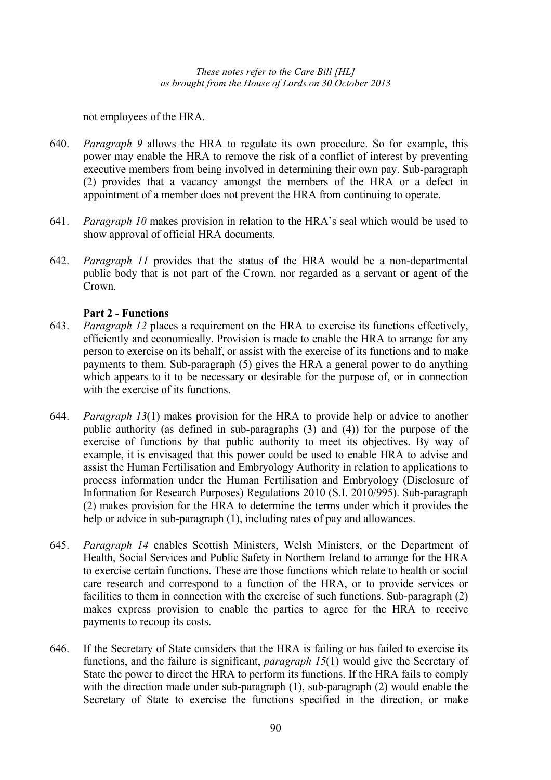not employees of the HRA.

- 640. *Paragraph 9* allows the HRA to regulate its own procedure. So for example, this power may enable the HRA to remove the risk of a conflict of interest by preventing executive members from being involved in determining their own pay. Sub-paragraph (2) provides that a vacancy amongst the members of the HRA or a defect in appointment of a member does not prevent the HRA from continuing to operate.
- 641. *Paragraph 10* makes provision in relation to the HRA's seal which would be used to show approval of official HRA documents.
- 642. *Paragraph 11* provides that the status of the HRA would be a non-departmental public body that is not part of the Crown, nor regarded as a servant or agent of the Crown.

# **Part 2 - Functions**

- 643. *Paragraph 12* places a requirement on the HRA to exercise its functions effectively, efficiently and economically. Provision is made to enable the HRA to arrange for any person to exercise on its behalf, or assist with the exercise of its functions and to make payments to them. Sub-paragraph (5) gives the HRA a general power to do anything which appears to it to be necessary or desirable for the purpose of, or in connection with the exercise of its functions.
- 644. *Paragraph 13*(1) makes provision for the HRA to provide help or advice to another public authority (as defined in sub-paragraphs (3) and (4)) for the purpose of the exercise of functions by that public authority to meet its objectives. By way of example, it is envisaged that this power could be used to enable HRA to advise and assist the Human Fertilisation and Embryology Authority in relation to applications to process information under the Human Fertilisation and Embryology (Disclosure of Information for Research Purposes) Regulations 2010 (S.I. 2010/995). Sub-paragraph (2) makes provision for the HRA to determine the terms under which it provides the help or advice in sub-paragraph  $(1)$ , including rates of pay and allowances.
- 645. *Paragraph 14* enables Scottish Ministers, Welsh Ministers, or the Department of Health, Social Services and Public Safety in Northern Ireland to arrange for the HRA to exercise certain functions. These are those functions which relate to health or social care research and correspond to a function of the HRA, or to provide services or facilities to them in connection with the exercise of such functions. Sub-paragraph (2) makes express provision to enable the parties to agree for the HRA to receive payments to recoup its costs.
- 646. If the Secretary of State considers that the HRA is failing or has failed to exercise its functions, and the failure is significant, *paragraph 15*(1) would give the Secretary of State the power to direct the HRA to perform its functions. If the HRA fails to comply with the direction made under sub-paragraph (1), sub-paragraph (2) would enable the Secretary of State to exercise the functions specified in the direction, or make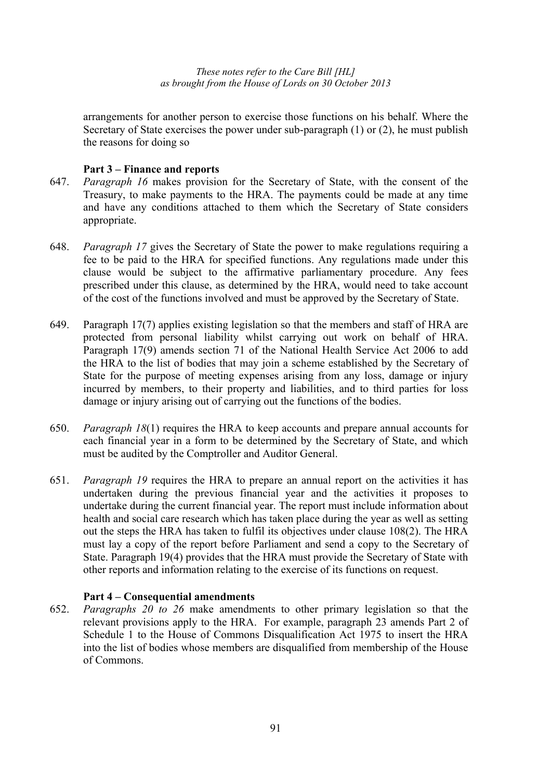arrangements for another person to exercise those functions on his behalf. Where the Secretary of State exercises the power under sub-paragraph (1) or (2), he must publish the reasons for doing so

### **Part 3 – Finance and reports**

- 647. *Paragraph 16* makes provision for the Secretary of State, with the consent of the Treasury, to make payments to the HRA. The payments could be made at any time and have any conditions attached to them which the Secretary of State considers appropriate.
- 648. *Paragraph 17* gives the Secretary of State the power to make regulations requiring a fee to be paid to the HRA for specified functions. Any regulations made under this clause would be subject to the affirmative parliamentary procedure. Any fees prescribed under this clause, as determined by the HRA, would need to take account of the cost of the functions involved and must be approved by the Secretary of State.
- 649. Paragraph 17(7) applies existing legislation so that the members and staff of HRA are protected from personal liability whilst carrying out work on behalf of HRA. Paragraph 17(9) amends section 71 of the National Health Service Act 2006 to add the HRA to the list of bodies that may join a scheme established by the Secretary of State for the purpose of meeting expenses arising from any loss, damage or injury incurred by members, to their property and liabilities, and to third parties for loss damage or injury arising out of carrying out the functions of the bodies.
- 650. *Paragraph 18*(1) requires the HRA to keep accounts and prepare annual accounts for each financial year in a form to be determined by the Secretary of State, and which must be audited by the Comptroller and Auditor General.
- 651. *Paragraph 19* requires the HRA to prepare an annual report on the activities it has undertaken during the previous financial year and the activities it proposes to undertake during the current financial year. The report must include information about health and social care research which has taken place during the year as well as setting out the steps the HRA has taken to fulfil its objectives under clause 108(2). The HRA must lay a copy of the report before Parliament and send a copy to the Secretary of State. Paragraph 19(4) provides that the HRA must provide the Secretary of State with other reports and information relating to the exercise of its functions on request.

### **Part 4 – Consequential amendments**

652. *Paragraphs 20 to 26* make amendments to other primary legislation so that the relevant provisions apply to the HRA. For example, paragraph 23 amends Part 2 of Schedule 1 to the House of Commons Disqualification Act 1975 to insert the HRA into the list of bodies whose members are disqualified from membership of the House of Commons.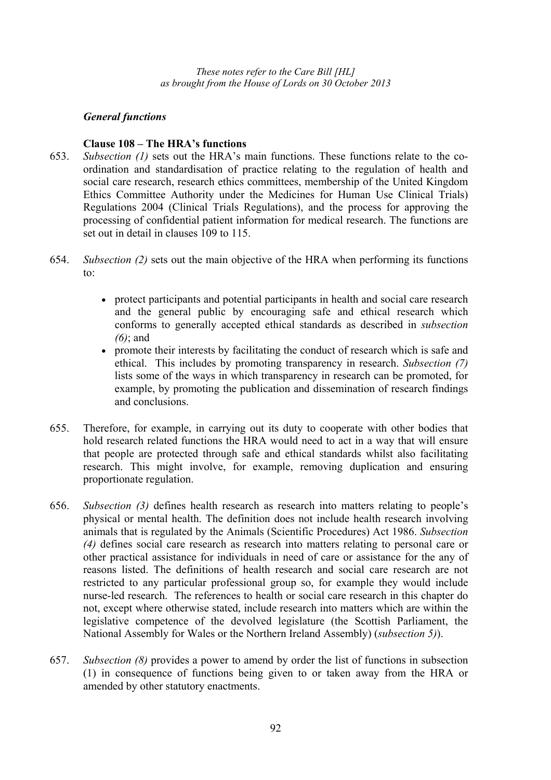# *General functions*

### **Clause 108 – The HRA's functions**

- 653. *Subsection (1)* sets out the HRA's main functions. These functions relate to the coordination and standardisation of practice relating to the regulation of health and social care research, research ethics committees, membership of the United Kingdom Ethics Committee Authority under the Medicines for Human Use Clinical Trials) Regulations 2004 (Clinical Trials Regulations), and the process for approving the processing of confidential patient information for medical research. The functions are set out in detail in clauses 109 to 115.
- 654. *Subsection (2)* sets out the main objective of the HRA when performing its functions to:
	- protect participants and potential participants in health and social care research and the general public by encouraging safe and ethical research which conforms to generally accepted ethical standards as described in *subsection (6)*; and
	- promote their interests by facilitating the conduct of research which is safe and ethical. This includes by promoting transparency in research. *Subsection (7)*  lists some of the ways in which transparency in research can be promoted, for example, by promoting the publication and dissemination of research findings and conclusions.
- 655. Therefore, for example, in carrying out its duty to cooperate with other bodies that hold research related functions the HRA would need to act in a way that will ensure that people are protected through safe and ethical standards whilst also facilitating research. This might involve, for example, removing duplication and ensuring proportionate regulation.
- 656. *Subsection (3)* defines health research as research into matters relating to people's physical or mental health. The definition does not include health research involving animals that is regulated by the Animals (Scientific Procedures) Act 1986. *Subsection (4)* defines social care research as research into matters relating to personal care or other practical assistance for individuals in need of care or assistance for the any of reasons listed. The definitions of health research and social care research are not restricted to any particular professional group so, for example they would include nurse-led research. The references to health or social care research in this chapter do not, except where otherwise stated, include research into matters which are within the legislative competence of the devolved legislature (the Scottish Parliament, the National Assembly for Wales or the Northern Ireland Assembly) (*subsection 5)*).
- 657. *Subsection (8)* provides a power to amend by order the list of functions in subsection (1) in consequence of functions being given to or taken away from the HRA or amended by other statutory enactments.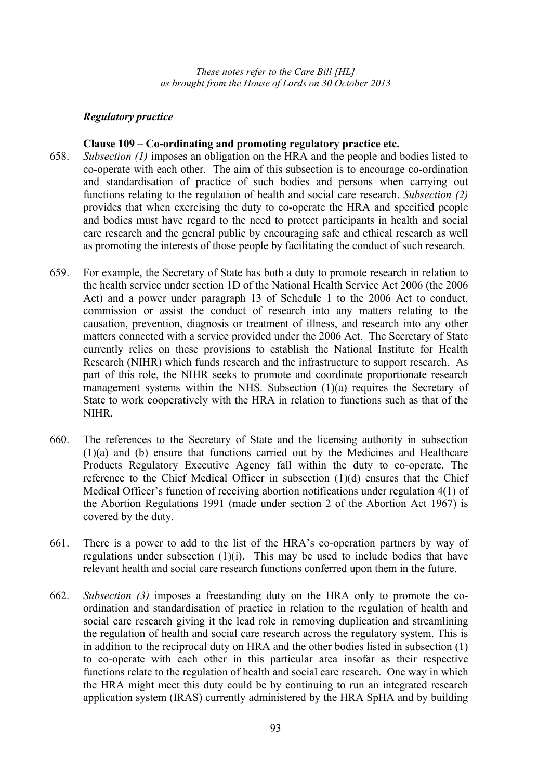# *Regulatory practice*

#### **Clause 109 – Co-ordinating and promoting regulatory practice etc.**

- 658. *Subsection (1)* imposes an obligation on the HRA and the people and bodies listed to co-operate with each other. The aim of this subsection is to encourage co-ordination and standardisation of practice of such bodies and persons when carrying out functions relating to the regulation of health and social care research. *Subsection (2)* provides that when exercising the duty to co-operate the HRA and specified people and bodies must have regard to the need to protect participants in health and social care research and the general public by encouraging safe and ethical research as well as promoting the interests of those people by facilitating the conduct of such research.
- 659. For example, the Secretary of State has both a duty to promote research in relation to the health service under section 1D of the National Health Service Act 2006 (the 2006 Act) and a power under paragraph 13 of Schedule 1 to the 2006 Act to conduct, commission or assist the conduct of research into any matters relating to the causation, prevention, diagnosis or treatment of illness, and research into any other matters connected with a service provided under the 2006 Act. The Secretary of State currently relies on these provisions to establish the National Institute for Health Research (NIHR) which funds research and the infrastructure to support research. As part of this role, the NIHR seeks to promote and coordinate proportionate research management systems within the NHS. Subsection (1)(a) requires the Secretary of State to work cooperatively with the HRA in relation to functions such as that of the NIHR.
- 660. The references to the Secretary of State and the licensing authority in subsection (1)(a) and (b) ensure that functions carried out by the Medicines and Healthcare Products Regulatory Executive Agency fall within the duty to co-operate. The reference to the Chief Medical Officer in subsection (1)(d) ensures that the Chief Medical Officer's function of receiving abortion notifications under regulation 4(1) of the Abortion Regulations 1991 (made under section 2 of the Abortion Act 1967) is covered by the duty.
- 661. There is a power to add to the list of the HRA's co-operation partners by way of regulations under subsection (1)(i). This may be used to include bodies that have relevant health and social care research functions conferred upon them in the future.
- 662. *Subsection (3)* imposes a freestanding duty on the HRA only to promote the coordination and standardisation of practice in relation to the regulation of health and social care research giving it the lead role in removing duplication and streamlining the regulation of health and social care research across the regulatory system. This is in addition to the reciprocal duty on HRA and the other bodies listed in subsection (1) to co-operate with each other in this particular area insofar as their respective functions relate to the regulation of health and social care research. One way in which the HRA might meet this duty could be by continuing to run an integrated research application system (IRAS) currently administered by the HRA SpHA and by building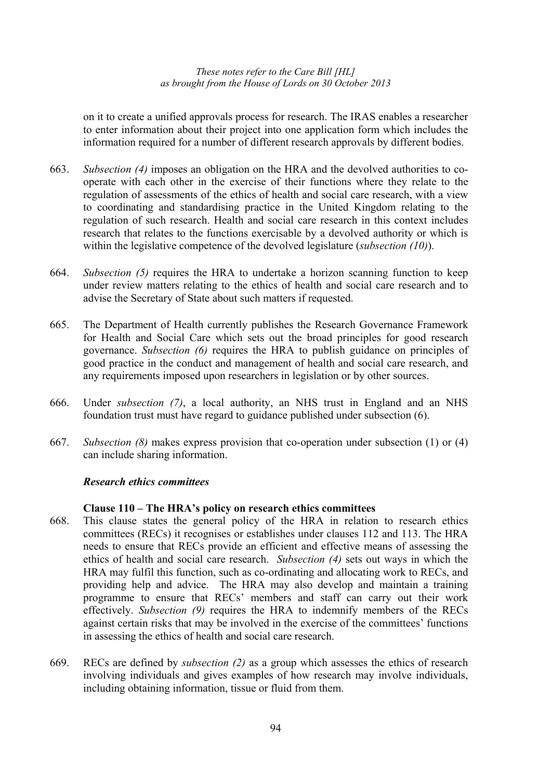on it to create a unified approvals process for research. The IRAS enables a researcher to enter information about their project into one application form which includes the information required for a number of different research approvals by different bodies.

- 663. *Subsection (4)* imposes an obligation on the HRA and the devolved authorities to cooperate with each other in the exercise of their functions where they relate to the regulation of assessments of the ethics of health and social care research, with a view to coordinating and standardising practice in the United Kingdom relating to the regulation of such research. Health and social care research in this context includes research that relates to the functions exercisable by a devolved authority or which is within the legislative competence of the devolved legislature (*subsection (10)*).
- 664. *Subsection (5)* requires the HRA to undertake a horizon scanning function to keep under review matters relating to the ethics of health and social care research and to advise the Secretary of State about such matters if requested.
- 665. The Department of Health currently publishes the Research Governance Framework for Health and Social Care which sets out the broad principles for good research governance. *Subsection (6)* requires the HRA to publish guidance on principles of good practice in the conduct and management of health and social care research, and any requirements imposed upon researchers in legislation or by other sources.
- 666. Under *subsection (7)*, a local authority, an NHS trust in England and an NHS foundation trust must have regard to guidance published under subsection (6).
- 667. *Subsection (8)* makes express provision that co-operation under subsection (1) or (4) can include sharing information.

#### *Research ethics committees*

#### **Clause 110 – The HRA's policy on research ethics committees**

- 668. This clause states the general policy of the HRA in relation to research ethics committees (RECs) it recognises or establishes under clauses 112 and 113. The HRA needs to ensure that RECs provide an efficient and effective means of assessing the ethics of health and social care research. *Subsection (4)* sets out ways in which the HRA may fulfil this function, such as co-ordinating and allocating work to RECs, and providing help and advice. The HRA may also develop and maintain a training programme to ensure that RECs' members and staff can carry out their work effectively. *Subsection (9)* requires the HRA to indemnify members of the RECs against certain risks that may be involved in the exercise of the committees' functions in assessing the ethics of health and social care research.
- 669. RECs are defined by *subsection (2)* as a group which assesses the ethics of research involving individuals and gives examples of how research may involve individuals, including obtaining information, tissue or fluid from them.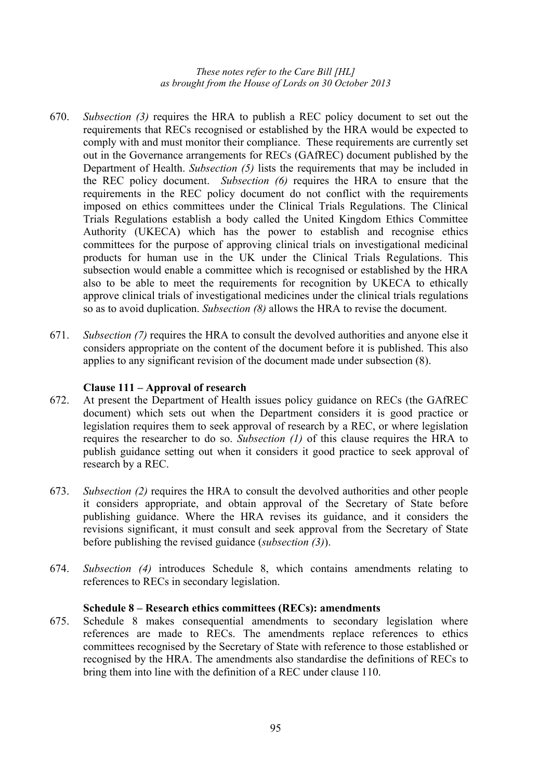- 670. *Subsection (3)* requires the HRA to publish a REC policy document to set out the requirements that RECs recognised or established by the HRA would be expected to comply with and must monitor their compliance. These requirements are currently set out in the Governance arrangements for RECs (GAfREC) document published by the Department of Health. *Subsection (5)* lists the requirements that may be included in the REC policy document. *Subsection (6)* requires the HRA to ensure that the requirements in the REC policy document do not conflict with the requirements imposed on ethics committees under the Clinical Trials Regulations. The Clinical Trials Regulations establish a body called the United Kingdom Ethics Committee Authority (UKECA) which has the power to establish and recognise ethics committees for the purpose of approving clinical trials on investigational medicinal products for human use in the UK under the Clinical Trials Regulations. This subsection would enable a committee which is recognised or established by the HRA also to be able to meet the requirements for recognition by UKECA to ethically approve clinical trials of investigational medicines under the clinical trials regulations so as to avoid duplication. *Subsection (8)* allows the HRA to revise the document.
- 671. *Subsection (7)* requires the HRA to consult the devolved authorities and anyone else it considers appropriate on the content of the document before it is published. This also applies to any significant revision of the document made under subsection (8).

# **Clause 111 – Approval of research**

- 672. At present the Department of Health issues policy guidance on RECs (the GAfREC document) which sets out when the Department considers it is good practice or legislation requires them to seek approval of research by a REC, or where legislation requires the researcher to do so. *Subsection (1)* of this clause requires the HRA to publish guidance setting out when it considers it good practice to seek approval of research by a REC.
- 673. *Subsection (2)* requires the HRA to consult the devolved authorities and other people it considers appropriate, and obtain approval of the Secretary of State before publishing guidance. Where the HRA revises its guidance, and it considers the revisions significant, it must consult and seek approval from the Secretary of State before publishing the revised guidance (*subsection (3)*).
- 674. *Subsection (4)* introduces Schedule 8, which contains amendments relating to references to RECs in secondary legislation.

### **Schedule 8 – Research ethics committees (RECs): amendments**

675. Schedule 8 makes consequential amendments to secondary legislation where references are made to RECs. The amendments replace references to ethics committees recognised by the Secretary of State with reference to those established or recognised by the HRA. The amendments also standardise the definitions of RECs to bring them into line with the definition of a REC under clause 110.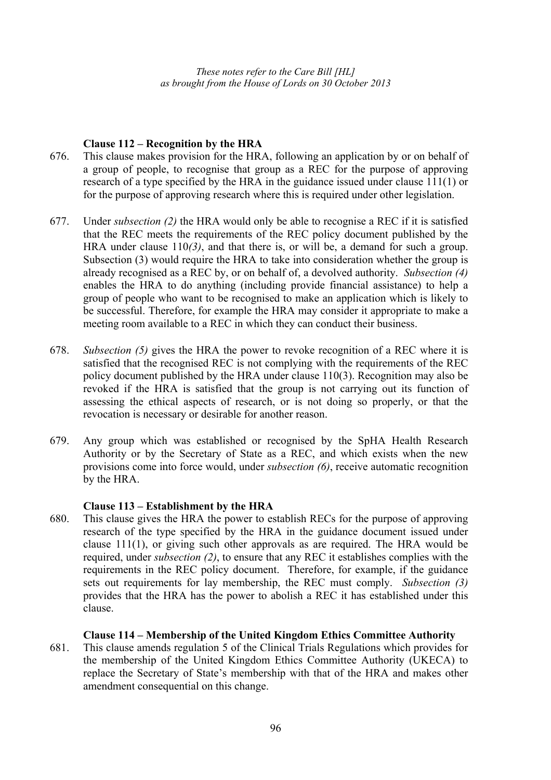# **Clause 112 – Recognition by the HRA**

- 676. This clause makes provision for the HRA, following an application by or on behalf of a group of people, to recognise that group as a REC for the purpose of approving research of a type specified by the HRA in the guidance issued under clause 111(1) or for the purpose of approving research where this is required under other legislation.
- 677. Under *subsection (2)* the HRA would only be able to recognise a REC if it is satisfied that the REC meets the requirements of the REC policy document published by the HRA under clause 110*(3)*, and that there is, or will be, a demand for such a group. Subsection (3) would require the HRA to take into consideration whether the group is already recognised as a REC by, or on behalf of, a devolved authority. *Subsection (4)* enables the HRA to do anything (including provide financial assistance) to help a group of people who want to be recognised to make an application which is likely to be successful. Therefore, for example the HRA may consider it appropriate to make a meeting room available to a REC in which they can conduct their business.
- 678. *Subsection (5)* gives the HRA the power to revoke recognition of a REC where it is satisfied that the recognised REC is not complying with the requirements of the REC policy document published by the HRA under clause 110(3). Recognition may also be revoked if the HRA is satisfied that the group is not carrying out its function of assessing the ethical aspects of research, or is not doing so properly, or that the revocation is necessary or desirable for another reason.
- 679. Any group which was established or recognised by the SpHA Health Research Authority or by the Secretary of State as a REC, and which exists when the new provisions come into force would, under *subsection (6)*, receive automatic recognition by the HRA.

### **Clause 113 – Establishment by the HRA**

680. This clause gives the HRA the power to establish RECs for the purpose of approving research of the type specified by the HRA in the guidance document issued under clause 111(1), or giving such other approvals as are required. The HRA would be required, under *subsection (2)*, to ensure that any REC it establishes complies with the requirements in the REC policy document. Therefore, for example, if the guidance sets out requirements for lay membership, the REC must comply. *Subsection (3)* provides that the HRA has the power to abolish a REC it has established under this clause.

### **Clause 114 – Membership of the United Kingdom Ethics Committee Authority**

681. This clause amends regulation 5 of the Clinical Trials Regulations which provides for the membership of the United Kingdom Ethics Committee Authority (UKECA) to replace the Secretary of State's membership with that of the HRA and makes other amendment consequential on this change.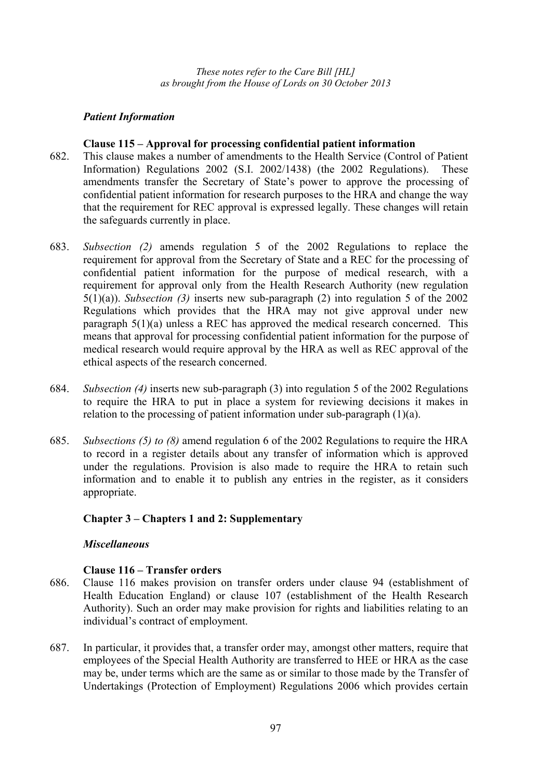### *Patient Information*

### **Clause 115 – Approval for processing confidential patient information**

- 682. This clause makes a number of amendments to the Health Service (Control of Patient Information) Regulations 2002 (S.I. 2002/1438) (the 2002 Regulations). These amendments transfer the Secretary of State's power to approve the processing of confidential patient information for research purposes to the HRA and change the way that the requirement for REC approval is expressed legally. These changes will retain the safeguards currently in place.
- 683. *Subsection (2)* amends regulation 5 of the 2002 Regulations to replace the requirement for approval from the Secretary of State and a REC for the processing of confidential patient information for the purpose of medical research, with a requirement for approval only from the Health Research Authority (new regulation 5(1)(a)). *Subsection (3)* inserts new sub-paragraph (2) into regulation 5 of the 2002 Regulations which provides that the HRA may not give approval under new paragraph 5(1)(a) unless a REC has approved the medical research concerned. This means that approval for processing confidential patient information for the purpose of medical research would require approval by the HRA as well as REC approval of the ethical aspects of the research concerned.
- 684. *Subsection (4)* inserts new sub-paragraph (3) into regulation 5 of the 2002 Regulations to require the HRA to put in place a system for reviewing decisions it makes in relation to the processing of patient information under sub-paragraph (1)(a).
- 685. *Subsections (5) to (8)* amend regulation 6 of the 2002 Regulations to require the HRA to record in a register details about any transfer of information which is approved under the regulations. Provision is also made to require the HRA to retain such information and to enable it to publish any entries in the register, as it considers appropriate.

### **Chapter 3 – Chapters 1 and 2: Supplementary**

### *Miscellaneous*

### **Clause 116 – Transfer orders**

- 686. Clause 116 makes provision on transfer orders under clause 94 (establishment of Health Education England) or clause 107 (establishment of the Health Research Authority). Such an order may make provision for rights and liabilities relating to an individual's contract of employment.
- 687. In particular, it provides that, a transfer order may, amongst other matters, require that employees of the Special Health Authority are transferred to HEE or HRA as the case may be, under terms which are the same as or similar to those made by the Transfer of Undertakings (Protection of Employment) Regulations 2006 which provides certain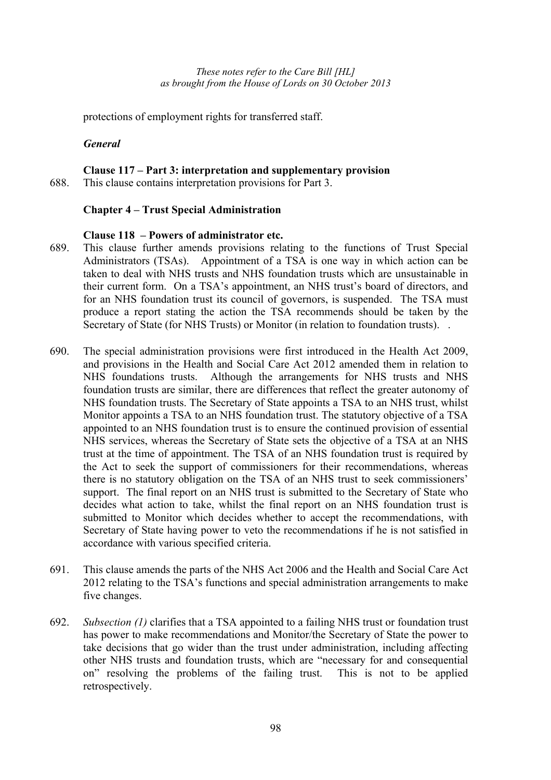protections of employment rights for transferred staff.

# *General*

# **Clause 117 – Part 3: interpretation and supplementary provision**

688. This clause contains interpretation provisions for Part 3.

# **Chapter 4 – Trust Special Administration**

### **Clause 118 – Powers of administrator etc.**

- 689. This clause further amends provisions relating to the functions of Trust Special Administrators (TSAs). Appointment of a TSA is one way in which action can be taken to deal with NHS trusts and NHS foundation trusts which are unsustainable in their current form. On a TSA's appointment, an NHS trust's board of directors, and for an NHS foundation trust its council of governors, is suspended. The TSA must produce a report stating the action the TSA recommends should be taken by the Secretary of State (for NHS Trusts) or Monitor (in relation to foundation trusts). .
- 690. The special administration provisions were first introduced in the Health Act 2009, and provisions in the Health and Social Care Act 2012 amended them in relation to NHS foundations trusts. Although the arrangements for NHS trusts and NHS foundation trusts are similar, there are differences that reflect the greater autonomy of NHS foundation trusts. The Secretary of State appoints a TSA to an NHS trust, whilst Monitor appoints a TSA to an NHS foundation trust. The statutory objective of a TSA appointed to an NHS foundation trust is to ensure the continued provision of essential NHS services, whereas the Secretary of State sets the objective of a TSA at an NHS trust at the time of appointment. The TSA of an NHS foundation trust is required by the Act to seek the support of commissioners for their recommendations, whereas there is no statutory obligation on the TSA of an NHS trust to seek commissioners' support. The final report on an NHS trust is submitted to the Secretary of State who decides what action to take, whilst the final report on an NHS foundation trust is submitted to Monitor which decides whether to accept the recommendations, with Secretary of State having power to veto the recommendations if he is not satisfied in accordance with various specified criteria.
- 691. This clause amends the parts of the NHS Act 2006 and the Health and Social Care Act 2012 relating to the TSA's functions and special administration arrangements to make five changes.
- 692. *Subsection (1)* clarifies that a TSA appointed to a failing NHS trust or foundation trust has power to make recommendations and Monitor/the Secretary of State the power to take decisions that go wider than the trust under administration, including affecting other NHS trusts and foundation trusts, which are "necessary for and consequential on" resolving the problems of the failing trust. This is not to be applied retrospectively.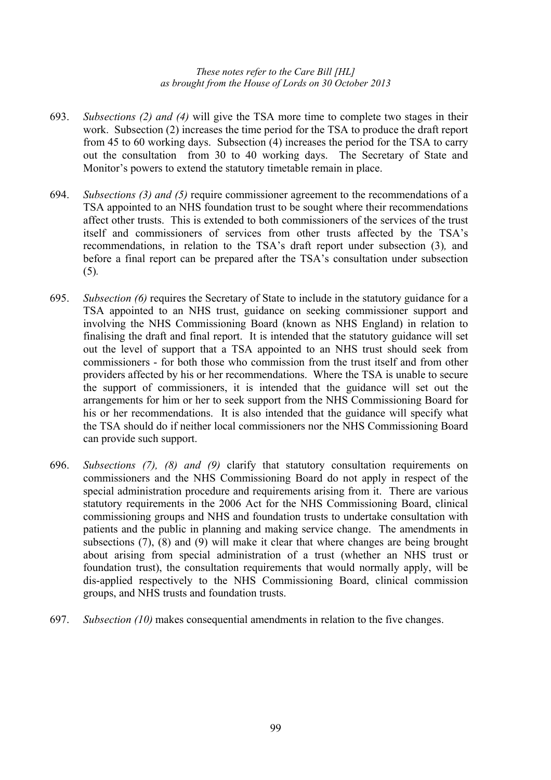- 693. *Subsections (2) and (4)* will give the TSA more time to complete two stages in their work. Subsection (2) increases the time period for the TSA to produce the draft report from 45 to 60 working days. Subsection (4) increases the period for the TSA to carry out the consultation from 30 to 40 working days. The Secretary of State and Monitor's powers to extend the statutory timetable remain in place.
- 694. *Subsections (3) and (5)* require commissioner agreement to the recommendations of a TSA appointed to an NHS foundation trust to be sought where their recommendations affect other trusts. This is extended to both commissioners of the services of the trust itself and commissioners of services from other trusts affected by the TSA's recommendations, in relation to the TSA's draft report under subsection (3)*,* and before a final report can be prepared after the TSA's consultation under subsection (5)*.*
- 695. *Subsection (6)* requires the Secretary of State to include in the statutory guidance for a TSA appointed to an NHS trust, guidance on seeking commissioner support and involving the NHS Commissioning Board (known as NHS England) in relation to finalising the draft and final report. It is intended that the statutory guidance will set out the level of support that a TSA appointed to an NHS trust should seek from commissioners - for both those who commission from the trust itself and from other providers affected by his or her recommendations. Where the TSA is unable to secure the support of commissioners, it is intended that the guidance will set out the arrangements for him or her to seek support from the NHS Commissioning Board for his or her recommendations. It is also intended that the guidance will specify what the TSA should do if neither local commissioners nor the NHS Commissioning Board can provide such support.
- 696. *Subsections (7), (8) and (9)* clarify that statutory consultation requirements on commissioners and the NHS Commissioning Board do not apply in respect of the special administration procedure and requirements arising from it. There are various statutory requirements in the 2006 Act for the NHS Commissioning Board, clinical commissioning groups and NHS and foundation trusts to undertake consultation with patients and the public in planning and making service change. The amendments in subsections (7), (8) and (9) will make it clear that where changes are being brought about arising from special administration of a trust (whether an NHS trust or foundation trust), the consultation requirements that would normally apply, will be dis-applied respectively to the NHS Commissioning Board, clinical commission groups, and NHS trusts and foundation trusts.
- 697. *Subsection (10)* makes consequential amendments in relation to the five changes.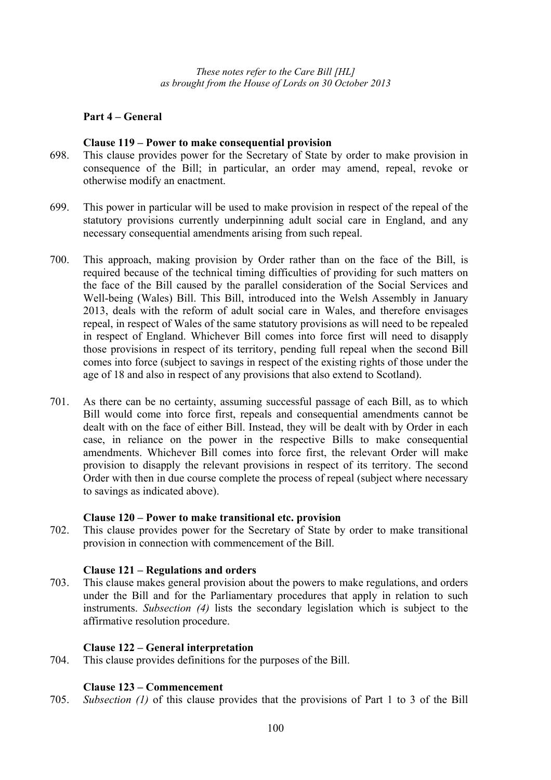# **Part 4 – General**

#### **Clause 119 – Power to make consequential provision**

- 698. This clause provides power for the Secretary of State by order to make provision in consequence of the Bill; in particular, an order may amend, repeal, revoke or otherwise modify an enactment.
- 699. This power in particular will be used to make provision in respect of the repeal of the statutory provisions currently underpinning adult social care in England, and any necessary consequential amendments arising from such repeal.
- 700. This approach, making provision by Order rather than on the face of the Bill, is required because of the technical timing difficulties of providing for such matters on the face of the Bill caused by the parallel consideration of the Social Services and Well-being (Wales) Bill. This Bill, introduced into the Welsh Assembly in January 2013, deals with the reform of adult social care in Wales, and therefore envisages repeal, in respect of Wales of the same statutory provisions as will need to be repealed in respect of England. Whichever Bill comes into force first will need to disapply those provisions in respect of its territory, pending full repeal when the second Bill comes into force (subject to savings in respect of the existing rights of those under the age of 18 and also in respect of any provisions that also extend to Scotland).
- 701. As there can be no certainty, assuming successful passage of each Bill, as to which Bill would come into force first, repeals and consequential amendments cannot be dealt with on the face of either Bill. Instead, they will be dealt with by Order in each case, in reliance on the power in the respective Bills to make consequential amendments. Whichever Bill comes into force first, the relevant Order will make provision to disapply the relevant provisions in respect of its territory. The second Order with then in due course complete the process of repeal (subject where necessary to savings as indicated above).

#### **Clause 120 – Power to make transitional etc. provision**

702. This clause provides power for the Secretary of State by order to make transitional provision in connection with commencement of the Bill.

#### **Clause 121 – Regulations and orders**

703. This clause makes general provision about the powers to make regulations, and orders under the Bill and for the Parliamentary procedures that apply in relation to such instruments. *Subsection (4)* lists the secondary legislation which is subject to the affirmative resolution procedure.

### **Clause 122 – General interpretation**

704. This clause provides definitions for the purposes of the Bill.

# **Clause 123 – Commencement**

705. *Subsection (1)* of this clause provides that the provisions of Part 1 to 3 of the Bill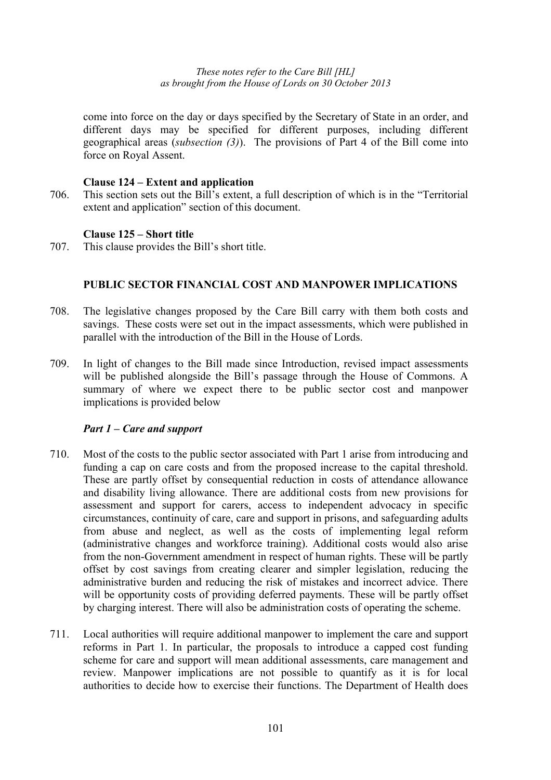come into force on the day or days specified by the Secretary of State in an order, and different days may be specified for different purposes, including different geographical areas (*subsection (3)*). The provisions of Part 4 of the Bill come into force on Royal Assent.

# **Clause 124 – Extent and application**

706. This section sets out the Bill's extent, a full description of which is in the "Territorial extent and application" section of this document.

# **Clause 125 – Short title**

707. This clause provides the Bill's short title.

# **PUBLIC SECTOR FINANCIAL COST AND MANPOWER IMPLICATIONS**

- 708. The legislative changes proposed by the Care Bill carry with them both costs and savings. These costs were set out in the impact assessments, which were published in parallel with the introduction of the Bill in the House of Lords.
- 709. In light of changes to the Bill made since Introduction, revised impact assessments will be published alongside the Bill's passage through the House of Commons. A summary of where we expect there to be public sector cost and manpower implications is provided below

### *Part 1 – Care and support*

- 710. Most of the costs to the public sector associated with Part 1 arise from introducing and funding a cap on care costs and from the proposed increase to the capital threshold. These are partly offset by consequential reduction in costs of attendance allowance and disability living allowance. There are additional costs from new provisions for assessment and support for carers, access to independent advocacy in specific circumstances, continuity of care, care and support in prisons, and safeguarding adults from abuse and neglect, as well as the costs of implementing legal reform (administrative changes and workforce training). Additional costs would also arise from the non-Government amendment in respect of human rights. These will be partly offset by cost savings from creating clearer and simpler legislation, reducing the administrative burden and reducing the risk of mistakes and incorrect advice. There will be opportunity costs of providing deferred payments. These will be partly offset by charging interest. There will also be administration costs of operating the scheme.
- 711. Local authorities will require additional manpower to implement the care and support reforms in Part 1. In particular, the proposals to introduce a capped cost funding scheme for care and support will mean additional assessments, care management and review. Manpower implications are not possible to quantify as it is for local authorities to decide how to exercise their functions. The Department of Health does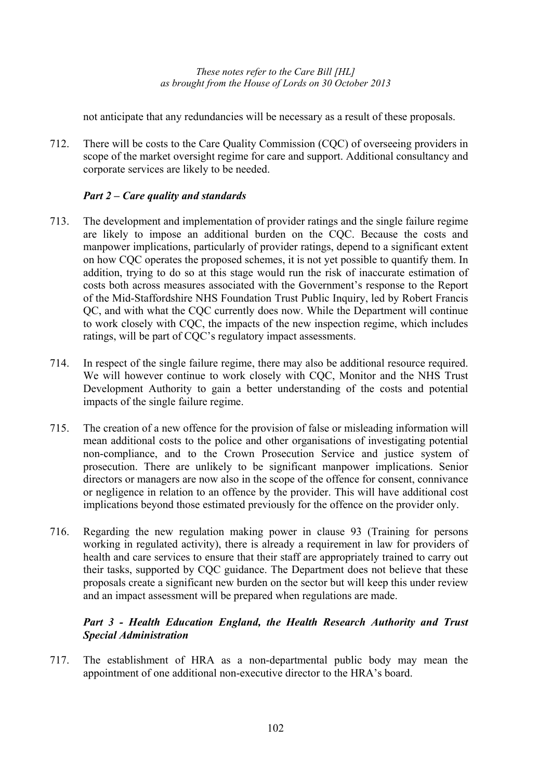not anticipate that any redundancies will be necessary as a result of these proposals.

712. There will be costs to the Care Quality Commission (CQC) of overseeing providers in scope of the market oversight regime for care and support. Additional consultancy and corporate services are likely to be needed.

# *Part 2 – Care quality and standards*

- 713. The development and implementation of provider ratings and the single failure regime are likely to impose an additional burden on the CQC. Because the costs and manpower implications, particularly of provider ratings, depend to a significant extent on how CQC operates the proposed schemes, it is not yet possible to quantify them. In addition, trying to do so at this stage would run the risk of inaccurate estimation of costs both across measures associated with the Government's response to the Report of the Mid-Staffordshire NHS Foundation Trust Public Inquiry, led by Robert Francis QC, and with what the CQC currently does now. While the Department will continue to work closely with CQC, the impacts of the new inspection regime, which includes ratings, will be part of CQC's regulatory impact assessments.
- 714. In respect of the single failure regime, there may also be additional resource required. We will however continue to work closely with CQC, Monitor and the NHS Trust Development Authority to gain a better understanding of the costs and potential impacts of the single failure regime.
- 715. The creation of a new offence for the provision of false or misleading information will mean additional costs to the police and other organisations of investigating potential non-compliance, and to the Crown Prosecution Service and justice system of prosecution. There are unlikely to be significant manpower implications. Senior directors or managers are now also in the scope of the offence for consent, connivance or negligence in relation to an offence by the provider. This will have additional cost implications beyond those estimated previously for the offence on the provider only.
- 716. Regarding the new regulation making power in clause 93 (Training for persons working in regulated activity), there is already a requirement in law for providers of health and care services to ensure that their staff are appropriately trained to carry out their tasks, supported by CQC guidance. The Department does not believe that these proposals create a significant new burden on the sector but will keep this under review and an impact assessment will be prepared when regulations are made.

# *Part 3 - Health Education England, the Health Research Authority and Trust Special Administration*

717. The establishment of HRA as a non-departmental public body may mean the appointment of one additional non-executive director to the HRA's board.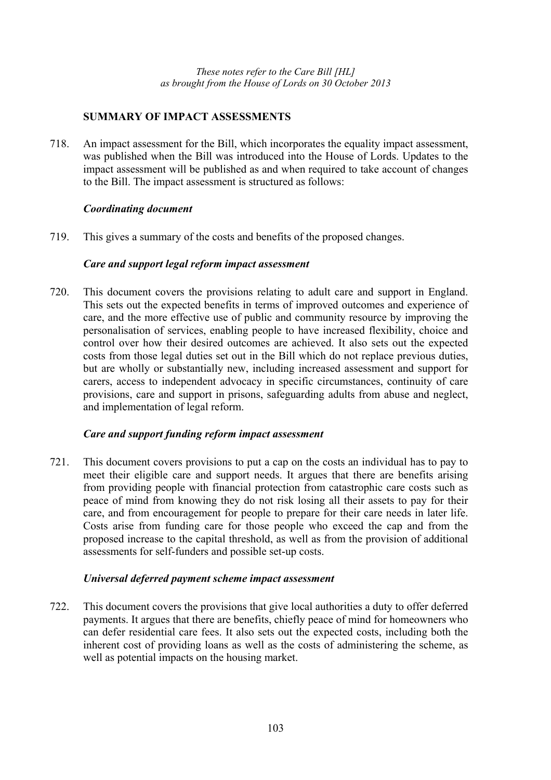# **SUMMARY OF IMPACT ASSESSMENTS**

718. An impact assessment for the Bill, which incorporates the equality impact assessment, was published when the Bill was introduced into the House of Lords. Updates to the impact assessment will be published as and when required to take account of changes to the Bill. The impact assessment is structured as follows:

# *Coordinating document*

719. This gives a summary of the costs and benefits of the proposed changes.

# *Care and support legal reform impact assessment*

720. This document covers the provisions relating to adult care and support in England. This sets out the expected benefits in terms of improved outcomes and experience of care, and the more effective use of public and community resource by improving the personalisation of services, enabling people to have increased flexibility, choice and control over how their desired outcomes are achieved. It also sets out the expected costs from those legal duties set out in the Bill which do not replace previous duties, but are wholly or substantially new, including increased assessment and support for carers, access to independent advocacy in specific circumstances, continuity of care provisions, care and support in prisons, safeguarding adults from abuse and neglect, and implementation of legal reform.

# *Care and support funding reform impact assessment*

721. This document covers provisions to put a cap on the costs an individual has to pay to meet their eligible care and support needs. It argues that there are benefits arising from providing people with financial protection from catastrophic care costs such as peace of mind from knowing they do not risk losing all their assets to pay for their care, and from encouragement for people to prepare for their care needs in later life. Costs arise from funding care for those people who exceed the cap and from the proposed increase to the capital threshold, as well as from the provision of additional assessments for self-funders and possible set-up costs.

# *Universal deferred payment scheme impact assessment*

722. This document covers the provisions that give local authorities a duty to offer deferred payments. It argues that there are benefits, chiefly peace of mind for homeowners who can defer residential care fees. It also sets out the expected costs, including both the inherent cost of providing loans as well as the costs of administering the scheme, as well as potential impacts on the housing market.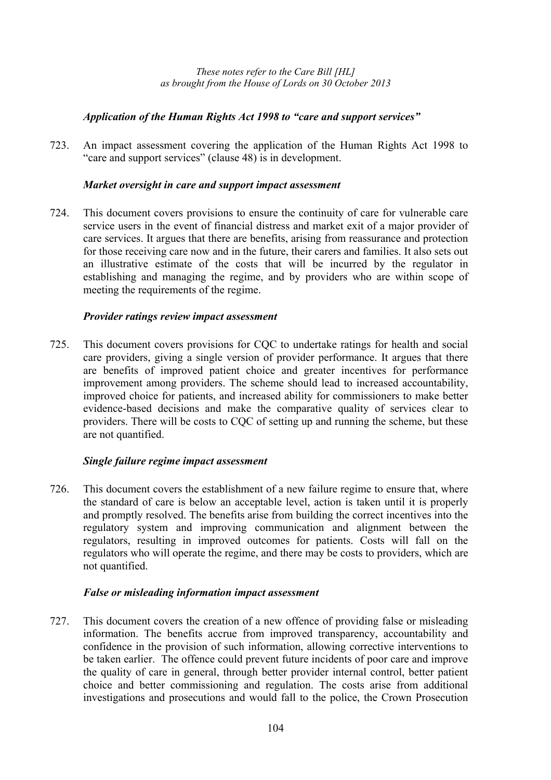# *Application of the Human Rights Act 1998 to "care and support services"*

723. An impact assessment covering the application of the Human Rights Act 1998 to "care and support services" (clause 48) is in development.

# *Market oversight in care and support impact assessment*

724. This document covers provisions to ensure the continuity of care for vulnerable care service users in the event of financial distress and market exit of a major provider of care services. It argues that there are benefits, arising from reassurance and protection for those receiving care now and in the future, their carers and families. It also sets out an illustrative estimate of the costs that will be incurred by the regulator in establishing and managing the regime, and by providers who are within scope of meeting the requirements of the regime.

# *Provider ratings review impact assessment*

725. This document covers provisions for CQC to undertake ratings for health and social care providers, giving a single version of provider performance. It argues that there are benefits of improved patient choice and greater incentives for performance improvement among providers. The scheme should lead to increased accountability, improved choice for patients, and increased ability for commissioners to make better evidence-based decisions and make the comparative quality of services clear to providers. There will be costs to CQC of setting up and running the scheme, but these are not quantified.

# *Single failure regime impact assessment*

726. This document covers the establishment of a new failure regime to ensure that, where the standard of care is below an acceptable level, action is taken until it is properly and promptly resolved. The benefits arise from building the correct incentives into the regulatory system and improving communication and alignment between the regulators, resulting in improved outcomes for patients. Costs will fall on the regulators who will operate the regime, and there may be costs to providers, which are not quantified.

# *False or misleading information impact assessment*

727. This document covers the creation of a new offence of providing false or misleading information. The benefits accrue from improved transparency, accountability and confidence in the provision of such information, allowing corrective interventions to be taken earlier. The offence could prevent future incidents of poor care and improve the quality of care in general, through better provider internal control, better patient choice and better commissioning and regulation. The costs arise from additional investigations and prosecutions and would fall to the police, the Crown Prosecution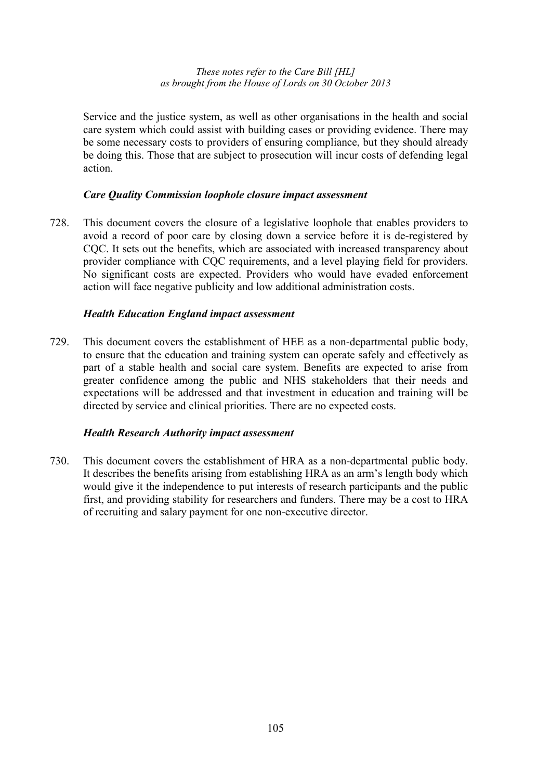Service and the justice system, as well as other organisations in the health and social care system which could assist with building cases or providing evidence. There may be some necessary costs to providers of ensuring compliance, but they should already be doing this. Those that are subject to prosecution will incur costs of defending legal action.

### *Care Quality Commission loophole closure impact assessment*

728. This document covers the closure of a legislative loophole that enables providers to avoid a record of poor care by closing down a service before it is de-registered by CQC. It sets out the benefits, which are associated with increased transparency about provider compliance with CQC requirements, and a level playing field for providers. No significant costs are expected. Providers who would have evaded enforcement action will face negative publicity and low additional administration costs.

# *Health Education England impact assessment*

729. This document covers the establishment of HEE as a non-departmental public body, to ensure that the education and training system can operate safely and effectively as part of a stable health and social care system. Benefits are expected to arise from greater confidence among the public and NHS stakeholders that their needs and expectations will be addressed and that investment in education and training will be directed by service and clinical priorities. There are no expected costs.

### *Health Research Authority impact assessment*

730. This document covers the establishment of HRA as a non-departmental public body. It describes the benefits arising from establishing HRA as an arm's length body which would give it the independence to put interests of research participants and the public first, and providing stability for researchers and funders. There may be a cost to HRA of recruiting and salary payment for one non-executive director.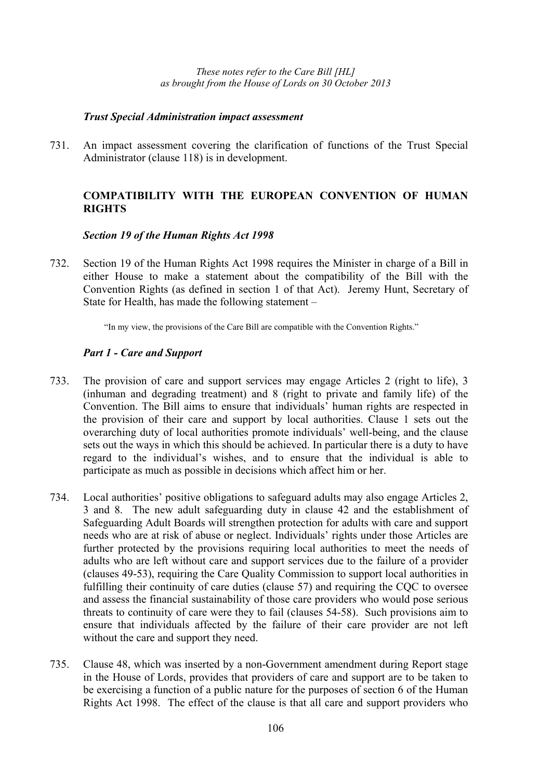### *Trust Special Administration impact assessment*

731. An impact assessment covering the clarification of functions of the Trust Special Administrator (clause 118) is in development.

# **COMPATIBILITY WITH THE EUROPEAN CONVENTION OF HUMAN RIGHTS**

### *Section 19 of the Human Rights Act 1998*

732. Section 19 of the Human Rights Act 1998 requires the Minister in charge of a Bill in either House to make a statement about the compatibility of the Bill with the Convention Rights (as defined in section 1 of that Act). Jeremy Hunt, Secretary of State for Health, has made the following statement –

"In my view, the provisions of the Care Bill are compatible with the Convention Rights."

# *Part 1 - Care and Support*

- 733. The provision of care and support services may engage Articles 2 (right to life), 3 (inhuman and degrading treatment) and 8 (right to private and family life) of the Convention. The Bill aims to ensure that individuals' human rights are respected in the provision of their care and support by local authorities. Clause 1 sets out the overarching duty of local authorities promote individuals' well-being, and the clause sets out the ways in which this should be achieved. In particular there is a duty to have regard to the individual's wishes, and to ensure that the individual is able to participate as much as possible in decisions which affect him or her.
- 734. Local authorities' positive obligations to safeguard adults may also engage Articles 2, 3 and 8. The new adult safeguarding duty in clause 42 and the establishment of Safeguarding Adult Boards will strengthen protection for adults with care and support needs who are at risk of abuse or neglect. Individuals' rights under those Articles are further protected by the provisions requiring local authorities to meet the needs of adults who are left without care and support services due to the failure of a provider (clauses 49-53), requiring the Care Quality Commission to support local authorities in fulfilling their continuity of care duties (clause 57) and requiring the CQC to oversee and assess the financial sustainability of those care providers who would pose serious threats to continuity of care were they to fail (clauses 54-58). Such provisions aim to ensure that individuals affected by the failure of their care provider are not left without the care and support they need.
- 735. Clause 48, which was inserted by a non-Government amendment during Report stage in the House of Lords, provides that providers of care and support are to be taken to be exercising a function of a public nature for the purposes of section 6 of the Human Rights Act 1998. The effect of the clause is that all care and support providers who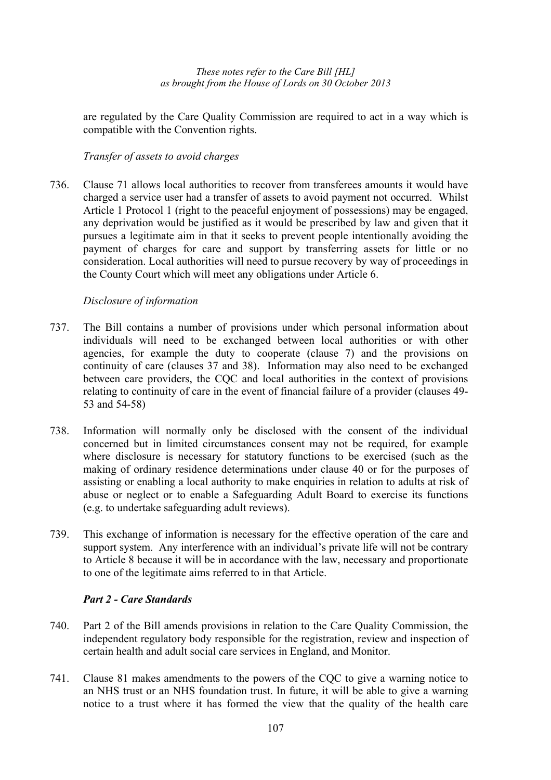are regulated by the Care Quality Commission are required to act in a way which is compatible with the Convention rights.

# *Transfer of assets to avoid charges*

736. Clause 71 allows local authorities to recover from transferees amounts it would have charged a service user had a transfer of assets to avoid payment not occurred. Whilst Article 1 Protocol 1 (right to the peaceful enjoyment of possessions) may be engaged, any deprivation would be justified as it would be prescribed by law and given that it pursues a legitimate aim in that it seeks to prevent people intentionally avoiding the payment of charges for care and support by transferring assets for little or no consideration. Local authorities will need to pursue recovery by way of proceedings in the County Court which will meet any obligations under Article 6.

# *Disclosure of information*

- 737. The Bill contains a number of provisions under which personal information about individuals will need to be exchanged between local authorities or with other agencies, for example the duty to cooperate (clause 7) and the provisions on continuity of care (clauses 37 and 38). Information may also need to be exchanged between care providers, the CQC and local authorities in the context of provisions relating to continuity of care in the event of financial failure of a provider (clauses 49- 53 and 54-58)
- 738. Information will normally only be disclosed with the consent of the individual concerned but in limited circumstances consent may not be required, for example where disclosure is necessary for statutory functions to be exercised (such as the making of ordinary residence determinations under clause 40 or for the purposes of assisting or enabling a local authority to make enquiries in relation to adults at risk of abuse or neglect or to enable a Safeguarding Adult Board to exercise its functions (e.g. to undertake safeguarding adult reviews).
- 739. This exchange of information is necessary for the effective operation of the care and support system. Any interference with an individual's private life will not be contrary to Article 8 because it will be in accordance with the law, necessary and proportionate to one of the legitimate aims referred to in that Article.

# *Part 2 - Care Standards*

- 740. Part 2 of the Bill amends provisions in relation to the Care Quality Commission, the independent regulatory body responsible for the registration, review and inspection of certain health and adult social care services in England, and Monitor.
- 741. Clause 81 makes amendments to the powers of the CQC to give a warning notice to an NHS trust or an NHS foundation trust. In future, it will be able to give a warning notice to a trust where it has formed the view that the quality of the health care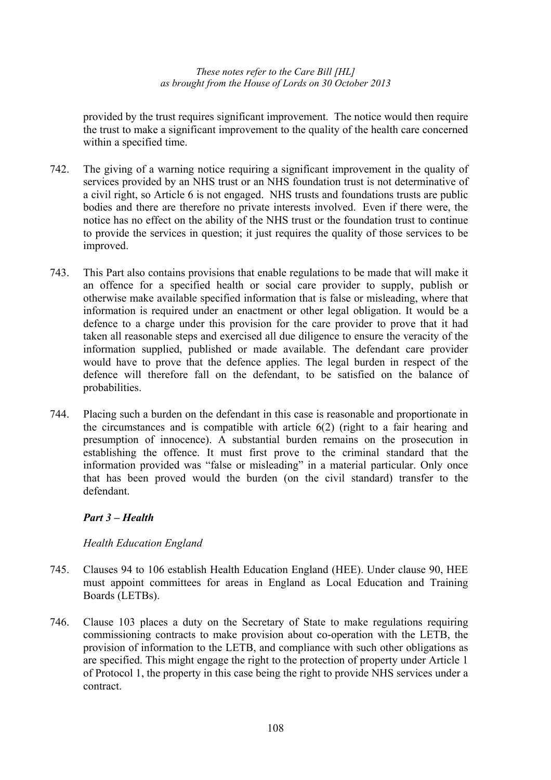provided by the trust requires significant improvement. The notice would then require the trust to make a significant improvement to the quality of the health care concerned within a specified time.

- 742. The giving of a warning notice requiring a significant improvement in the quality of services provided by an NHS trust or an NHS foundation trust is not determinative of a civil right, so Article 6 is not engaged. NHS trusts and foundations trusts are public bodies and there are therefore no private interests involved. Even if there were, the notice has no effect on the ability of the NHS trust or the foundation trust to continue to provide the services in question; it just requires the quality of those services to be improved.
- 743. This Part also contains provisions that enable regulations to be made that will make it an offence for a specified health or social care provider to supply, publish or otherwise make available specified information that is false or misleading, where that information is required under an enactment or other legal obligation. It would be a defence to a charge under this provision for the care provider to prove that it had taken all reasonable steps and exercised all due diligence to ensure the veracity of the information supplied, published or made available. The defendant care provider would have to prove that the defence applies. The legal burden in respect of the defence will therefore fall on the defendant, to be satisfied on the balance of probabilities.
- 744. Placing such a burden on the defendant in this case is reasonable and proportionate in the circumstances and is compatible with article 6(2) (right to a fair hearing and presumption of innocence). A substantial burden remains on the prosecution in establishing the offence. It must first prove to the criminal standard that the information provided was "false or misleading" in a material particular. Only once that has been proved would the burden (on the civil standard) transfer to the defendant.

### *Part 3 – Health*

### *Health Education England*

- 745. Clauses 94 to 106 establish Health Education England (HEE). Under clause 90, HEE must appoint committees for areas in England as Local Education and Training Boards (LETBs).
- 746. Clause 103 places a duty on the Secretary of State to make regulations requiring commissioning contracts to make provision about co-operation with the LETB, the provision of information to the LETB, and compliance with such other obligations as are specified. This might engage the right to the protection of property under Article 1 of Protocol 1, the property in this case being the right to provide NHS services under a contract.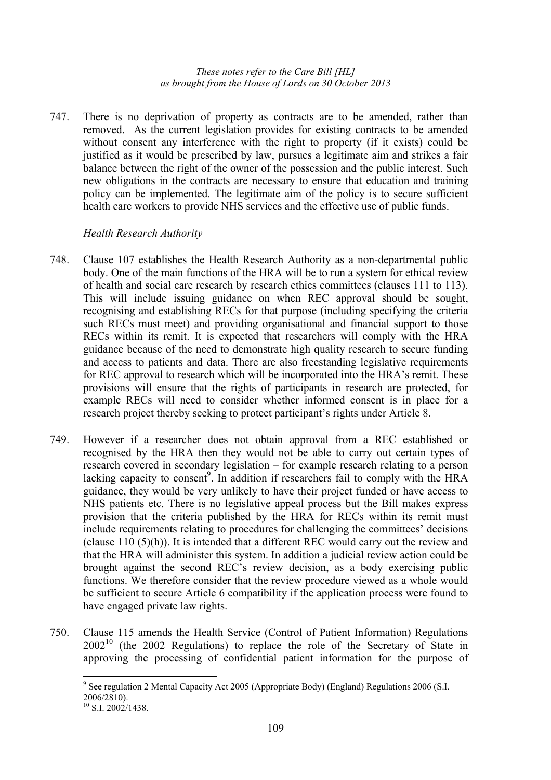747. There is no deprivation of property as contracts are to be amended, rather than removed. As the current legislation provides for existing contracts to be amended without consent any interference with the right to property (if it exists) could be justified as it would be prescribed by law, pursues a legitimate aim and strikes a fair balance between the right of the owner of the possession and the public interest. Such new obligations in the contracts are necessary to ensure that education and training policy can be implemented. The legitimate aim of the policy is to secure sufficient health care workers to provide NHS services and the effective use of public funds.

## *Health Research Authority*

- 748. Clause 107 establishes the Health Research Authority as a non-departmental public body. One of the main functions of the HRA will be to run a system for ethical review of health and social care research by research ethics committees (clauses 111 to 113). This will include issuing guidance on when REC approval should be sought, recognising and establishing RECs for that purpose (including specifying the criteria such RECs must meet) and providing organisational and financial support to those RECs within its remit. It is expected that researchers will comply with the HRA guidance because of the need to demonstrate high quality research to secure funding and access to patients and data. There are also freestanding legislative requirements for REC approval to research which will be incorporated into the HRA's remit. These provisions will ensure that the rights of participants in research are protected, for example RECs will need to consider whether informed consent is in place for a research project thereby seeking to protect participant's rights under Article 8.
- 749. However if a researcher does not obtain approval from a REC established or recognised by the HRA then they would not be able to carry out certain types of research covered in secondary legislation – for example research relating to a person lacking capacity to consent<sup>9</sup>. In addition if researchers fail to comply with the HRA guidance, they would be very unlikely to have their project funded or have access to NHS patients etc. There is no legislative appeal process but the Bill makes express provision that the criteria published by the HRA for RECs within its remit must include requirements relating to procedures for challenging the committees' decisions (clause 110 (5)(h)). It is intended that a different REC would carry out the review and that the HRA will administer this system. In addition a judicial review action could be brought against the second REC's review decision, as a body exercising public functions. We therefore consider that the review procedure viewed as a whole would be sufficient to secure Article 6 compatibility if the application process were found to have engaged private law rights.
- 750. Clause 115 amends the Health Service (Control of Patient Information) Regulations  $2002<sup>10</sup>$  (the 2002 Regulations) to replace the role of the Secretary of State in approving the processing of confidential patient information for the purpose of

 $\overline{a}$ <sup>9</sup> See regulation 2 Mental Capacity Act 2005 (Appropriate Body) (England) Regulations 2006 (S.I. 2006/2810).

 $10$  S.I. 2002/1438.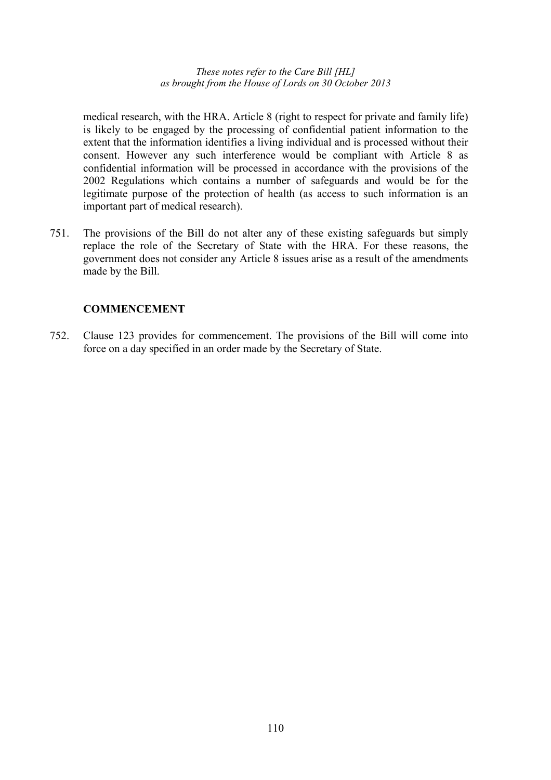medical research, with the HRA. Article 8 (right to respect for private and family life) is likely to be engaged by the processing of confidential patient information to the extent that the information identifies a living individual and is processed without their consent. However any such interference would be compliant with Article 8 as confidential information will be processed in accordance with the provisions of the 2002 Regulations which contains a number of safeguards and would be for the legitimate purpose of the protection of health (as access to such information is an important part of medical research).

751. The provisions of the Bill do not alter any of these existing safeguards but simply replace the role of the Secretary of State with the HRA. For these reasons, the government does not consider any Article 8 issues arise as a result of the amendments made by the Bill.

## **COMMENCEMENT**

752. Clause 123 provides for commencement. The provisions of the Bill will come into force on a day specified in an order made by the Secretary of State.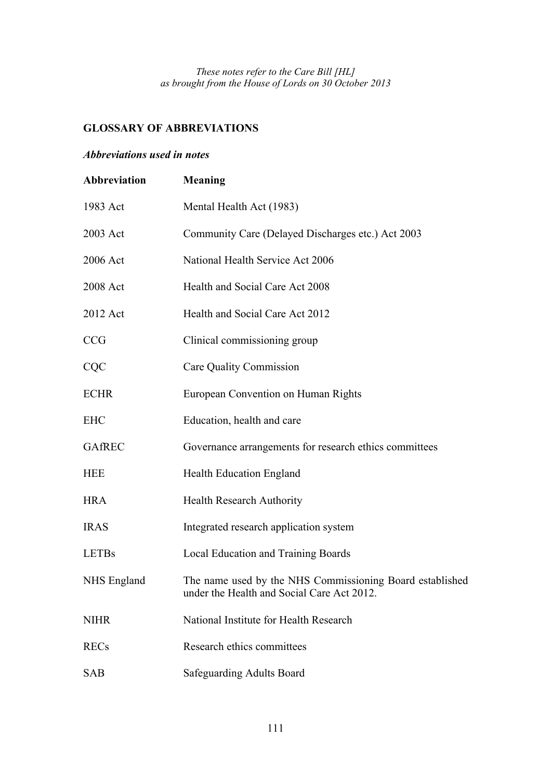## **GLOSSARY OF ABBREVIATIONS**

## *Abbreviations used in notes*

| Abbreviation  | <b>Meaning</b>                                                                                         |
|---------------|--------------------------------------------------------------------------------------------------------|
| 1983 Act      | Mental Health Act (1983)                                                                               |
| 2003 Act      | Community Care (Delayed Discharges etc.) Act 2003                                                      |
| 2006 Act      | National Health Service Act 2006                                                                       |
| 2008 Act      | Health and Social Care Act 2008                                                                        |
| 2012 Act      | Health and Social Care Act 2012                                                                        |
| <b>CCG</b>    | Clinical commissioning group                                                                           |
| CQC           | Care Quality Commission                                                                                |
| <b>ECHR</b>   | European Convention on Human Rights                                                                    |
| <b>EHC</b>    | Education, health and care                                                                             |
| <b>GAfREC</b> | Governance arrangements for research ethics committees                                                 |
| <b>HEE</b>    | <b>Health Education England</b>                                                                        |
| <b>HRA</b>    | <b>Health Research Authority</b>                                                                       |
| <b>IRAS</b>   | Integrated research application system                                                                 |
| <b>LETBs</b>  | Local Education and Training Boards                                                                    |
| NHS England   | The name used by the NHS Commissioning Board established<br>under the Health and Social Care Act 2012. |
| <b>NIHR</b>   | National Institute for Health Research                                                                 |
| <b>RECs</b>   | Research ethics committees                                                                             |
| <b>SAB</b>    | Safeguarding Adults Board                                                                              |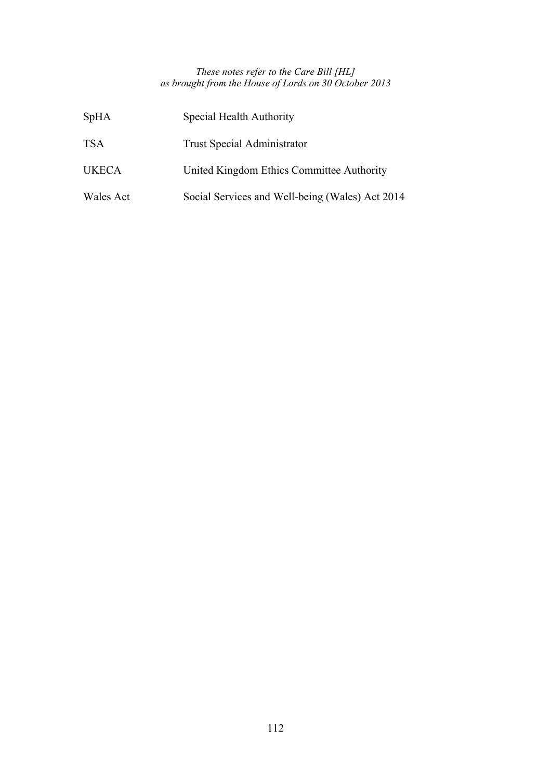| <b>SpHA</b>  | Special Health Authority                        |
|--------------|-------------------------------------------------|
| <b>TSA</b>   | <b>Trust Special Administrator</b>              |
| <b>UKECA</b> | United Kingdom Ethics Committee Authority       |
| Wales Act    | Social Services and Well-being (Wales) Act 2014 |